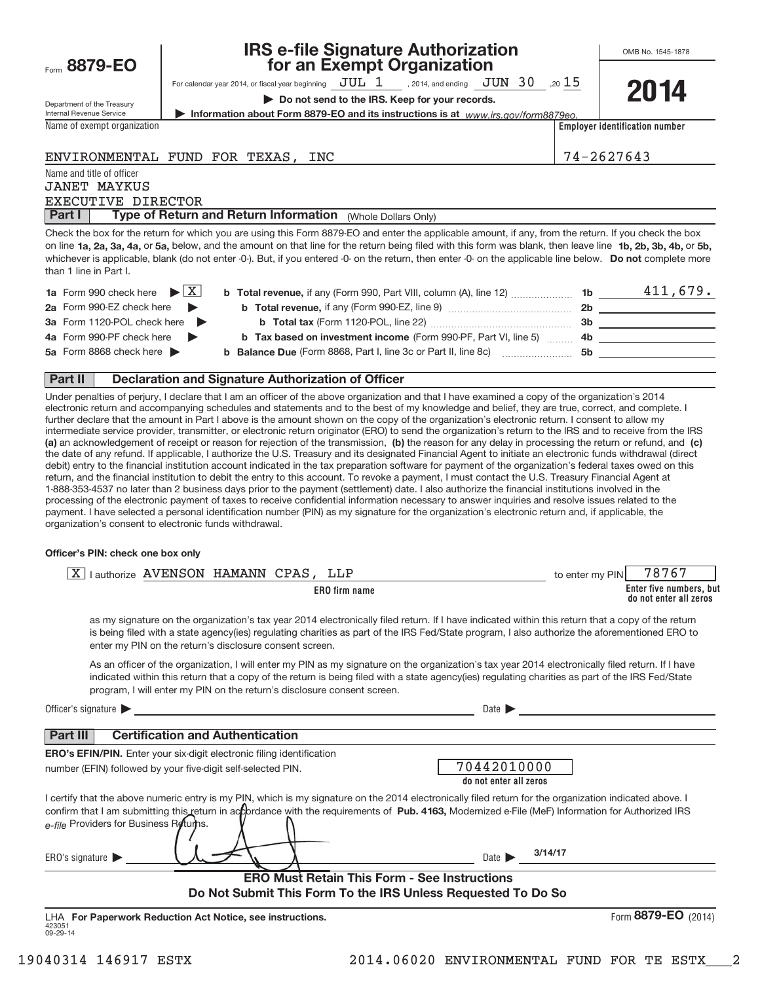| Form 8879-EO |  |  |
|--------------|--|--|
|              |  |  |

## **IRS e‐file Signature Authorization 887 for an Exempt Organization**

OMB No. 1545‐1878

Department of the Treasury Internal Revenue Service

Name and title of officer

For calendar year 2014, or fiscal year beginning  $\rm\,JUL~$   $1$   $\rm\,$  , 2014, and ending  $\rm\,JUN~$   $30$   $\rm\,$  ,20  $15$ **| Do not send to the IRS. Keep for your records.**

**| Information about Form 8879‐EO and its instructions is at**  *www.irs.gov/form8879eo.*

**2014**

Name of exempt organization

**Employer identification number**

## ENVIRONMENTAL FUND FOR TEXAS, INC 74–2627643

## EXECUTIVE DIRECTOR JANET MAYKUS

 (Whole Dollars Only) **Part I Type of Return and Return Information** 

on line 1a, 2a, 3a, 4a, or 5a, below, and the amount on that line for the return being filed with this form was blank, then leave line 1b, 2b, 3b, 4b, or 5b, whichever is applicable, blank (do not enter -0-). But, if you entered -0- on the return, then enter -0- on the applicable line below. **Do not** complete more Check the box for the return for which you are using this Form 8879‐EO and enter the applicable amount, if any, from the return. If you check the box than 1 line in Part I.

| <b>1a</b> Form 990 check here $\triangleright \boxed{X}$ |                                                                        | 1b  | 411,679. |
|----------------------------------------------------------|------------------------------------------------------------------------|-----|----------|
| 2a Form 990-EZ check here $\blacktriangleright$          | <b>b</b> Total revenue, if any (Form 990-EZ, line 9)                   | -2b |          |
| <b>3a</b> Form 1120-POL check here ▶                     |                                                                        | 3b. |          |
| 4a Form 990-PF check here $\blacktriangleright$          | <b>b Tax based on investment income (Form 990-PF, Part VI, line 5)</b> | 4b  |          |
| 5a Form 8868 check here $\blacktriangleright$            | <b>b</b> Balance Due (Form 8868, Part I, line 3c or Part II, line 8c)  | .5b |          |
|                                                          |                                                                        |     |          |

## **Part II Declaration and Signature Authorization of Officer**

(a) an acknowledgement of receipt or reason for rejection of the transmission, (b) the reason for any delay in processing the return or refund, and (c) Under penalties of perjury, I declare that I am an officer of the above organization and that I have examined a copy of the organization's 2014 electronic return and accompanying schedules and statements and to the best of my knowledge and belief, they are true, correct, and complete. I further declare that the amount in Part I above is the amount shown on the copy of the organization's electronic return. I consent to allow my intermediate service provider, transmitter, or electronic return originator (ERO) to send the organization's return to the IRS and to receive from the IRS the date of any refund. If applicable, I authorize the U.S. Treasury and its designated Financial Agent to initiate an electronic funds withdrawal (direct debit) entry to the financial institution account indicated in the tax preparation software for payment of the organization's federal taxes owed on this return, and the financial institution to debit the entry to this account. To revoke a payment, I must contact the U.S. Treasury Financial Agent at 1‐888‐353‐4537 no later than 2 business days prior to the payment (settlement) date. I also authorize the financial institutions involved in the processing of the electronic payment of taxes to receive confidential information necessary to answer inquiries and resolve issues related to the payment. I have selected a personal identification number (PIN) as my signature for the organization's electronic return and, if applicable, the organization's consent to electronic funds withdrawal.

## **Officer's PIN: check one box only**

| I authorize AVENSON HAMANN CPAS, LLP<br>X.                                                                                                                                                                                                                                                                                                                                       | 78767<br>to enter my PIN                          |
|----------------------------------------------------------------------------------------------------------------------------------------------------------------------------------------------------------------------------------------------------------------------------------------------------------------------------------------------------------------------------------|---------------------------------------------------|
| ERO firm name                                                                                                                                                                                                                                                                                                                                                                    | Enter five numbers, but<br>do not enter all zeros |
| as my signature on the organization's tax year 2014 electronically filed return. If I have indicated within this return that a copy of the return<br>is being filed with a state agency(ies) regulating charities as part of the IRS Fed/State program, I also authorize the aforementioned ERO to<br>enter my PIN on the return's disclosure consent screen.                    |                                                   |
| As an officer of the organization, I will enter my PIN as my signature on the organization's tax year 2014 electronically filed return. If I have<br>indicated within this return that a copy of the return is being filed with a state agency(ies) regulating charities as part of the IRS Fed/State<br>program, I will enter my PIN on the return's disclosure consent screen. |                                                   |
| Officer's signature $\blacktriangleright$<br><u> 1980 - Jan Sterling Sterling (d. 1980)</u>                                                                                                                                                                                                                                                                                      | Date $\blacksquare$                               |
| <b>Certification and Authentication</b><br>Part III                                                                                                                                                                                                                                                                                                                              |                                                   |
| <b>ERO's EFIN/PIN.</b> Enter your six-digit electronic filing identification                                                                                                                                                                                                                                                                                                     |                                                   |
| number (EFIN) followed by your five-digit self-selected PIN.                                                                                                                                                                                                                                                                                                                     | 70442010000<br>do not enter all zeros             |
| I certify that the above numeric entry is my PIN, which is my signature on the 2014 electronically filed return for the organization indicated above. I<br>confirm that I am submitting this return in accordance with the requirements of Pub. 4163, Modernized e-File (MeF) Information for Authorized IRS<br>e-file Providers for Business Returns.                           |                                                   |
| ERO's signature                                                                                                                                                                                                                                                                                                                                                                  | 3/14/17<br>Date                                   |
| <b>ERO Must Retain This Form - See Instructions</b>                                                                                                                                                                                                                                                                                                                              |                                                   |
| Do Not Submit This Form To the IRS Unless Requested To Do So                                                                                                                                                                                                                                                                                                                     |                                                   |
| LHA For Paperwork Reduction Act Notice, see instructions.<br>423051<br>09-29-14                                                                                                                                                                                                                                                                                                  | Form 8879-EO (2014)                               |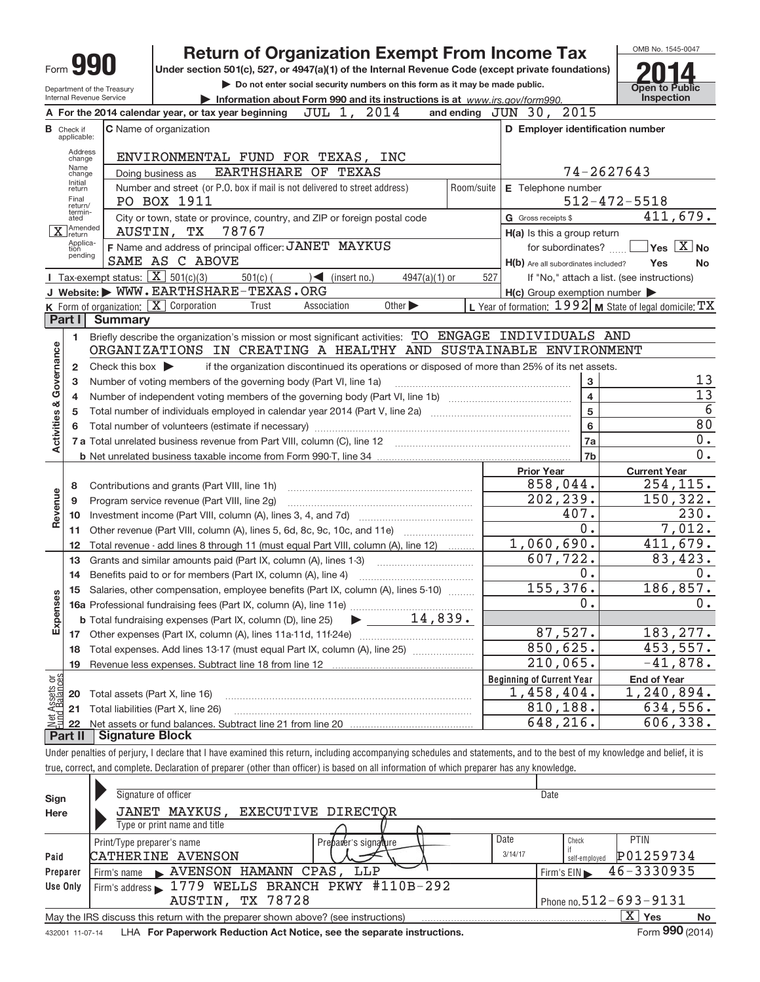| <b>Return of Organization Exempt From Income Tax</b><br>Form 990<br>Under section 501(c), 527, or 4947(a)(1) of the Internal Revenue Code (except private foundations) |                                  |  |                                                                       |                                            |                   |  |
|------------------------------------------------------------------------------------------------------------------------------------------------------------------------|----------------------------------|--|-----------------------------------------------------------------------|--------------------------------------------|-------------------|--|
|                                                                                                                                                                        |                                  |  |                                                                       | 2014                                       |                   |  |
| Do not enter social security numbers on this form as it may be made public.<br>Department of the Treasury                                                              |                                  |  |                                                                       |                                            | Open to Public    |  |
| Internal Revenue Service<br>Information about Form 990 and its instructions is at www.irs.gov/form990.                                                                 |                                  |  |                                                                       |                                            | <b>Inspection</b> |  |
| 2015<br>2014<br>JUN<br>JUL 1<br>A For the 2014 calendar year, or tax year beginning<br>and ending                                                                      |                                  |  |                                                                       |                                            |                   |  |
|                                                                                                                                                                        | <b>B</b> Check if<br>applicable: |  | <b>C</b> Name of organization                                         | <b>Employer identification number</b><br>D |                   |  |
|                                                                                                                                                                        | Address                          |  | T370<br>mmzzz<br><b>*******</b><br>$\blacksquare \wedge \blacksquare$ |                                            |                   |  |

|                         | Address<br>change   | ENVIRONMENTAL FUND FOR TEXAS, INC                                                                                                       |     |                                                     |                                                           |  |  |  |
|-------------------------|---------------------|-----------------------------------------------------------------------------------------------------------------------------------------|-----|-----------------------------------------------------|-----------------------------------------------------------|--|--|--|
|                         | Name<br>change      | EARTHSHARE OF TEXAS<br>Doing business as                                                                                                |     | 74-2627643                                          |                                                           |  |  |  |
|                         | Initial<br>return   | Number and street (or P.O. box if mail is not delivered to street address)                                                              |     | Room/suite   E Telephone number                     |                                                           |  |  |  |
|                         | Final<br>return/    | PO BOX 1911                                                                                                                             |     |                                                     | $512 - 472 - 5518$                                        |  |  |  |
|                         | termin-<br>ated     | City or town, state or province, country, and ZIP or foreign postal code                                                                |     | G Gross receipts \$                                 | 411,679.                                                  |  |  |  |
| x                       | 1Amended<br>Ireturn | AUSTIN, TX<br>78767                                                                                                                     |     | $H(a)$ is this a group return                       |                                                           |  |  |  |
|                         | Applica-<br>tion    | F Name and address of principal officer: JANET MAYKUS                                                                                   |     | for subordinates?                                   | $\sqrt{ }$ Yes $\boxed{\text{X}}$ No                      |  |  |  |
|                         | pending             | SAME AS C ABOVE                                                                                                                         |     | H(b) Are all subordinates included?                 | Yes<br>No                                                 |  |  |  |
|                         |                     | <b>I</b> Tax-exempt status: $\boxed{\mathbf{X}}$ 501(c)(3)<br>$\sum$ (insert no.)<br>$501(c)$ (<br>$4947(a)(1)$ or                      | 527 |                                                     | If "No," attach a list. (see instructions)                |  |  |  |
|                         |                     | J Website: WWW.EARTHSHARE-TEXAS.ORG                                                                                                     |     | $H(c)$ Group exemption number $\blacktriangleright$ |                                                           |  |  |  |
|                         |                     | K Form of organization: $X$ Corporation<br>Other $\blacktriangleright$<br>Trust<br>Association                                          |     |                                                     | L Year of formation: $1992$ M State of legal domicile: TX |  |  |  |
|                         | Part I              | <b>Summary</b>                                                                                                                          |     |                                                     |                                                           |  |  |  |
|                         | $\mathbf{1}$        | Briefly describe the organization's mission or most significant activities: TO ENGAGE INDIVIDUALS AND                                   |     |                                                     |                                                           |  |  |  |
|                         |                     | ORGANIZATIONS IN CREATING A HEALTHY AND SUSTAINABLE ENVIRONMENT                                                                         |     |                                                     |                                                           |  |  |  |
|                         | $\mathbf{2}$        | if the organization discontinued its operations or disposed of more than 25% of its net assets.<br>Check this box $\blacktriangleright$ |     |                                                     |                                                           |  |  |  |
|                         | 3                   | Number of voting members of the governing body (Part VI, line 1a)                                                                       |     | 3                                                   | 13                                                        |  |  |  |
|                         | 4                   |                                                                                                                                         |     | $\overline{\mathbf{4}}$                             | $\overline{13}$                                           |  |  |  |
|                         | 5                   |                                                                                                                                         |     | $\overline{5}$                                      | 6                                                         |  |  |  |
|                         | 6                   |                                                                                                                                         |     | $6\phantom{a}$                                      | 80                                                        |  |  |  |
| Activities & Governance |                     |                                                                                                                                         |     | <b>7a</b>                                           | 0.                                                        |  |  |  |
|                         |                     |                                                                                                                                         |     | 7b                                                  | 0.                                                        |  |  |  |
|                         |                     |                                                                                                                                         |     | <b>Prior Year</b>                                   | <b>Current Year</b>                                       |  |  |  |
|                         | 8                   | Contributions and grants (Part VIII, line 1h)                                                                                           |     | 858,044.                                            | 254,115.                                                  |  |  |  |
|                         | 9                   | Program service revenue (Part VIII, line 2g)                                                                                            |     | 202, 239.                                           | 150,322.                                                  |  |  |  |
| Revenue                 | 10                  |                                                                                                                                         |     | 407.                                                | 230.                                                      |  |  |  |
|                         | 11                  | Other revenue (Part VIII, column (A), lines 5, 6d, 8c, 9c, 10c, and 11e)                                                                |     | $0$ .                                               | 7,012.                                                    |  |  |  |
|                         | 12                  | Total revenue - add lines 8 through 11 (must equal Part VIII, column (A), line 12)                                                      |     | 1,060,690.                                          | 411,679.                                                  |  |  |  |
|                         | 13                  | Grants and similar amounts paid (Part IX, column (A), lines 1-3)                                                                        |     | 607, 722.                                           | 83,423.                                                   |  |  |  |
|                         | 14                  | Benefits paid to or for members (Part IX, column (A), line 4)                                                                           |     | 0.<br>155,376.                                      | 0.                                                        |  |  |  |
|                         | 15                  | Salaries, other compensation, employee benefits (Part IX, column (A), lines 5-10)                                                       |     |                                                     | 186, 857.                                                 |  |  |  |
| Expenses                |                     |                                                                                                                                         |     | 0.                                                  | 0.                                                        |  |  |  |
|                         |                     | $\blacktriangleright$ 14,839.<br><b>b</b> Total fundraising expenses (Part IX, column (D), line 25)                                     |     |                                                     |                                                           |  |  |  |
|                         |                     |                                                                                                                                         |     | 87,527.<br>850,625.                                 | 183, 277.                                                 |  |  |  |
|                         | 18                  | Total expenses. Add lines 13-17 (must equal Part IX, column (A), line 25)                                                               |     |                                                     | 453,557.                                                  |  |  |  |
|                         | 19                  |                                                                                                                                         |     | $210,065$ .                                         | $-41,878.$                                                |  |  |  |
| ងខ្ល                    |                     |                                                                                                                                         |     | <b>Beginning of Current Year</b>                    | <b>End of Year</b>                                        |  |  |  |
| Assets<br>Balanc        | 20                  | Total assets (Part X, line 16)                                                                                                          |     | 1,458,404.                                          | 1,240,894.                                                |  |  |  |
|                         | 21                  | Total liabilities (Part X, line 26)                                                                                                     |     | 810, 188.                                           | 634,556.                                                  |  |  |  |
|                         | 22<br>Part II       | Signature Block                                                                                                                         |     | 648,216.                                            | 606,338.                                                  |  |  |  |
|                         |                     |                                                                                                                                         |     |                                                     |                                                           |  |  |  |

Under penalties of perjury, I declare that I have examined this return, including accompanying schedules and statements, and to the best of my knowledge and belief, it is true, correct, and complete. Declaration of preparer (other than officer) is based on all information of which preparer has any knowledge.

| Sign            | Signature of officer                                                              |         | Date                         |  |
|-----------------|-----------------------------------------------------------------------------------|---------|------------------------------|--|
| Here            | JANET MAYKUS, EXECUTIVE DIRECTOR                                                  |         |                              |  |
|                 | Type or print name and title                                                      |         |                              |  |
|                 | Preparer's signature<br>Print/Type preparer's name                                | Date    | PTIN<br>Check                |  |
| Paid            | CATHERINE AVENSON                                                                 | 3/14/17 | P01259734<br>self-employed   |  |
| Preparer        | Firm's name NAVENSON HAMANN CPAS, LLP                                             |         | 46-3330935<br>Firm's EIN     |  |
| Use Only        | Firm's address 1779 WELLS BRANCH PKWY #110B-292                                   |         |                              |  |
|                 | AUSTIN, TX 78728                                                                  |         | Phone no. $512 - 693 - 9131$ |  |
|                 | May the IRS discuss this return with the preparer shown above? (see instructions) |         | $\mathbf{X}$<br>Yes<br>No    |  |
| 432001 11-07-14 | LHA For Paperwork Reduction Act Notice, see the separate instructions.            |         | Form 990 (2014)              |  |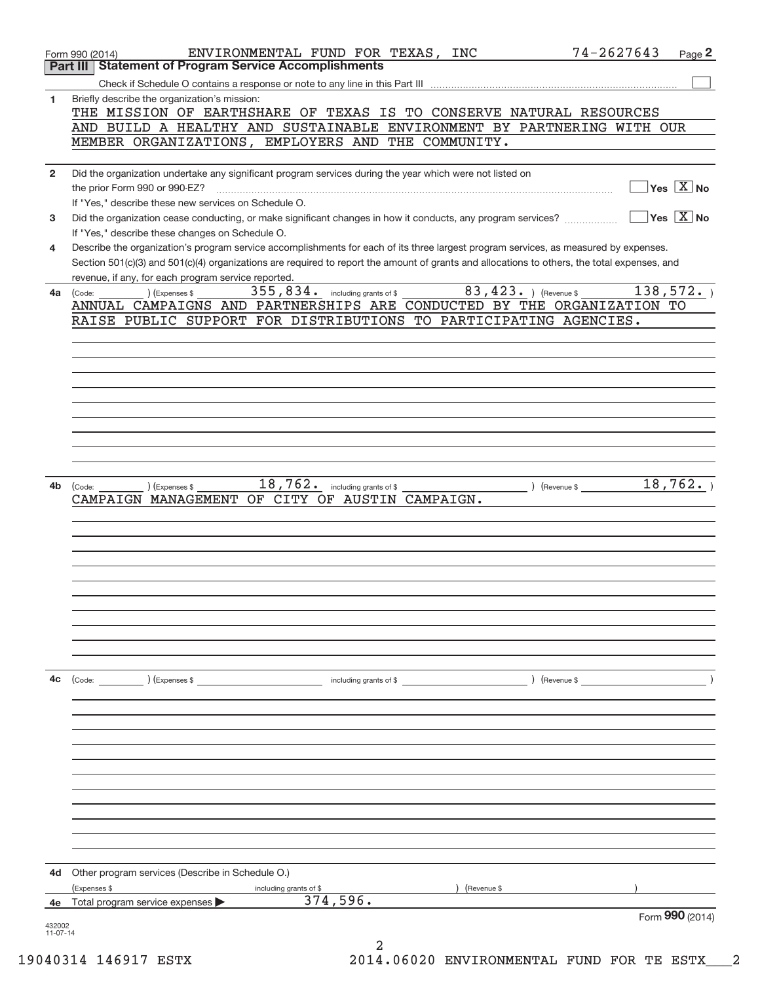|                      | 74-2627643<br>ENVIRONMENTAL FUND FOR TEXAS, INC<br>Form 990 (2014)                                                                                                                                  | Page 2                                  |
|----------------------|-----------------------------------------------------------------------------------------------------------------------------------------------------------------------------------------------------|-----------------------------------------|
|                      | <b>Statement of Program Service Accomplishments</b><br>Part III                                                                                                                                     |                                         |
|                      |                                                                                                                                                                                                     |                                         |
| 1                    | Briefly describe the organization's mission:<br>THE MISSION OF EARTHSHARE OF TEXAS IS TO CONSERVE NATURAL RESOURCES                                                                                 |                                         |
|                      | AND BUILD A HEALTHY AND SUSTAINABLE ENVIRONMENT BY PARTNERING WITH OUR                                                                                                                              |                                         |
|                      | MEMBER ORGANIZATIONS, EMPLOYERS AND THE COMMUNITY.                                                                                                                                                  |                                         |
| $\overline{2}$       | Did the organization undertake any significant program services during the year which were not listed on                                                                                            |                                         |
|                      | the prior Form 990 or 990-EZ?                                                                                                                                                                       | $\sqrt{}$ Yes $\sqrt{}$ X $\sqrt{}$ No  |
|                      | If "Yes," describe these new services on Schedule O.                                                                                                                                                | $\overline{\mathsf{Yes} \mathbb{X}}$ No |
| 3                    | Did the organization cease conducting, or make significant changes in how it conducts, any program services?<br>If "Yes," describe these changes on Schedule O.                                     |                                         |
| 4                    | Describe the organization's program service accomplishments for each of its three largest program services, as measured by expenses.                                                                |                                         |
|                      | Section 501(c)(3) and 501(c)(4) organizations are required to report the amount of grants and allocations to others, the total expenses, and<br>revenue, if any, for each program service reported. |                                         |
| 4a                   | 83,423.<br>355,834.<br>) (Revenue \$<br>including grants of \$<br>) (Expenses \$<br>(Code:                                                                                                          | 138,572.                                |
|                      | ANNUAL CAMPAIGNS AND PARTNERSHIPS ARE CONDUCTED BY THE ORGANIZATION TO                                                                                                                              |                                         |
|                      | RAISE PUBLIC SUPPORT FOR DISTRIBUTIONS TO PARTICIPATING AGENCIES.                                                                                                                                   |                                         |
|                      |                                                                                                                                                                                                     |                                         |
|                      |                                                                                                                                                                                                     |                                         |
|                      |                                                                                                                                                                                                     |                                         |
|                      |                                                                                                                                                                                                     |                                         |
|                      |                                                                                                                                                                                                     |                                         |
|                      |                                                                                                                                                                                                     |                                         |
|                      |                                                                                                                                                                                                     |                                         |
|                      |                                                                                                                                                                                                     |                                         |
| 4b                   | 18,762.<br>including grants of \$<br>) (Revenue \$<br>(Code:<br>(Expenses \$                                                                                                                        | 18,762.                                 |
|                      | OF CITY<br>OF AUSTIN CAMPAIGN.<br>CAMPAIGN MANAGEMENT                                                                                                                                               |                                         |
|                      |                                                                                                                                                                                                     |                                         |
|                      |                                                                                                                                                                                                     |                                         |
|                      |                                                                                                                                                                                                     |                                         |
|                      |                                                                                                                                                                                                     |                                         |
|                      |                                                                                                                                                                                                     |                                         |
|                      |                                                                                                                                                                                                     |                                         |
|                      |                                                                                                                                                                                                     |                                         |
|                      |                                                                                                                                                                                                     |                                         |
|                      |                                                                                                                                                                                                     |                                         |
| 4c                   | (Code: ) (Expenses \$<br>and the set of \$<br>$\left($ Revenue \$ $\right)$                                                                                                                         |                                         |
|                      |                                                                                                                                                                                                     |                                         |
|                      |                                                                                                                                                                                                     |                                         |
|                      |                                                                                                                                                                                                     |                                         |
|                      |                                                                                                                                                                                                     |                                         |
|                      |                                                                                                                                                                                                     |                                         |
|                      |                                                                                                                                                                                                     |                                         |
|                      |                                                                                                                                                                                                     |                                         |
|                      |                                                                                                                                                                                                     |                                         |
|                      |                                                                                                                                                                                                     |                                         |
|                      |                                                                                                                                                                                                     |                                         |
| 4d                   | Other program services (Describe in Schedule O.)                                                                                                                                                    |                                         |
|                      | Expenses \$<br>including grants of \$<br>(Revenue \$                                                                                                                                                |                                         |
| 4e                   | 374,596.<br>Total program service expenses >                                                                                                                                                        | Form 990 (2014)                         |
| 432002<br>$11-07-14$ |                                                                                                                                                                                                     |                                         |
|                      | 2                                                                                                                                                                                                   |                                         |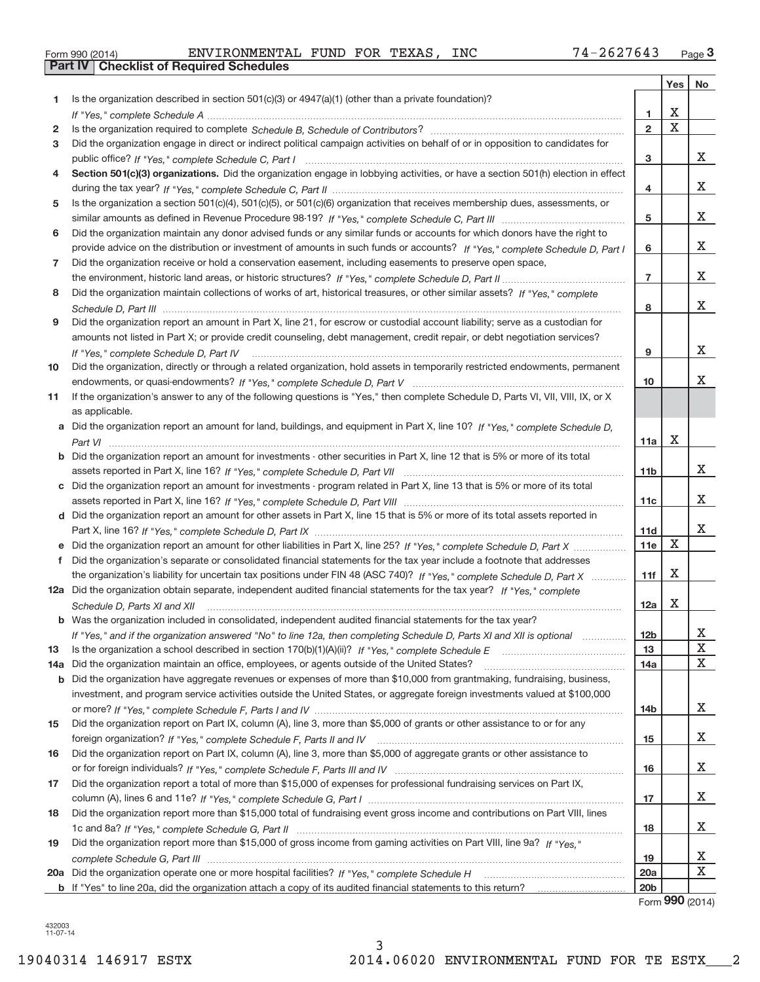|  | Form 990 (2014) |
|--|-----------------|

Form 990 (2014) Page **Part IV Checklist of Required Schedules** ENVIRONMENTAL FUND FOR TEXAS, INC 74‐2627643

|     |                                                                                                                                      |                 | Yes                     | No          |
|-----|--------------------------------------------------------------------------------------------------------------------------------------|-----------------|-------------------------|-------------|
| 1   | Is the organization described in section $501(c)(3)$ or $4947(a)(1)$ (other than a private foundation)?                              |                 |                         |             |
|     |                                                                                                                                      | $\mathbf{1}$    | X                       |             |
| 2   |                                                                                                                                      | $\mathbf{2}$    | $\overline{\textbf{X}}$ |             |
| з   | Did the organization engage in direct or indirect political campaign activities on behalf of or in opposition to candidates for      |                 |                         |             |
|     |                                                                                                                                      | 3               |                         | X           |
| 4   | Section 501(c)(3) organizations. Did the organization engage in lobbying activities, or have a section 501(h) election in effect     |                 |                         |             |
|     |                                                                                                                                      | 4               |                         | x           |
| 5   | Is the organization a section 501(c)(4), 501(c)(5), or 501(c)(6) organization that receives membership dues, assessments, or         |                 |                         |             |
|     |                                                                                                                                      | 5               |                         | x           |
| 6   | Did the organization maintain any donor advised funds or any similar funds or accounts for which donors have the right to            |                 |                         |             |
|     | provide advice on the distribution or investment of amounts in such funds or accounts? If "Yes," complete Schedule D, Part I         | 6               |                         | X           |
| 7   | Did the organization receive or hold a conservation easement, including easements to preserve open space,                            |                 |                         |             |
|     |                                                                                                                                      | $\overline{7}$  |                         | X           |
| 8   | Did the organization maintain collections of works of art, historical treasures, or other similar assets? If "Yes," complete         |                 |                         |             |
|     |                                                                                                                                      | 8               |                         | X           |
| 9   | Did the organization report an amount in Part X, line 21, for escrow or custodial account liability; serve as a custodian for        |                 |                         |             |
|     | amounts not listed in Part X; or provide credit counseling, debt management, credit repair, or debt negotiation services?            |                 |                         |             |
|     | If "Yes," complete Schedule D, Part IV                                                                                               | 9               |                         | x           |
| 10  | Did the organization, directly or through a related organization, hold assets in temporarily restricted endowments, permanent        |                 |                         |             |
|     |                                                                                                                                      | 10              |                         | x           |
| 11  | If the organization's answer to any of the following questions is "Yes," then complete Schedule D, Parts VI, VII, VIII, IX, or X     |                 |                         |             |
|     | as applicable.                                                                                                                       |                 |                         |             |
|     | a Did the organization report an amount for land, buildings, and equipment in Part X, line 10? If "Yes," complete Schedule D,        |                 |                         |             |
|     |                                                                                                                                      | 11a             | X                       |             |
|     | <b>b</b> Did the organization report an amount for investments - other securities in Part X, line 12 that is 5% or more of its total |                 |                         |             |
|     |                                                                                                                                      | 11 <sub>b</sub> |                         | X           |
|     | c Did the organization report an amount for investments - program related in Part X, line 13 that is 5% or more of its total         |                 |                         | X           |
|     |                                                                                                                                      | 11c             |                         |             |
|     | d Did the organization report an amount for other assets in Part X, line 15 that is 5% or more of its total assets reported in       |                 |                         | x           |
|     |                                                                                                                                      | 11d<br>11e      | $\mathbf X$             |             |
|     | f Did the organization's separate or consolidated financial statements for the tax year include a footnote that addresses            |                 |                         |             |
|     | the organization's liability for uncertain tax positions under FIN 48 (ASC 740)? If "Yes," complete Schedule D, Part X               | 11f             | X                       |             |
|     | 12a Did the organization obtain separate, independent audited financial statements for the tax year? If "Yes," complete              |                 |                         |             |
|     | Schedule D. Parts XI and XII                                                                                                         | 12a             | X                       |             |
|     | <b>b</b> Was the organization included in consolidated, independent audited financial statements for the tax year?                   |                 |                         |             |
|     | If "Yes," and if the organization answered "No" to line 12a, then completing Schedule D, Parts XI and XII is optional                | 12 <sub>b</sub> |                         | X           |
| 13  |                                                                                                                                      | 13              |                         | $\mathbf X$ |
| 14a | Did the organization maintain an office, employees, or agents outside of the United States?                                          | 14a             |                         | $\mathbf X$ |
|     | <b>b</b> Did the organization have aggregate revenues or expenses of more than \$10,000 from grantmaking, fundraising, business,     |                 |                         |             |
|     | investment, and program service activities outside the United States, or aggregate foreign investments valued at \$100,000           |                 |                         |             |
|     |                                                                                                                                      | 14b             |                         | X.          |
| 15  | Did the organization report on Part IX, column (A), line 3, more than \$5,000 of grants or other assistance to or for any            |                 |                         |             |
|     |                                                                                                                                      | 15              |                         | Χ           |
| 16  | Did the organization report on Part IX, column (A), line 3, more than \$5,000 of aggregate grants or other assistance to             |                 |                         |             |
|     |                                                                                                                                      | 16              |                         | Χ           |
| 17  | Did the organization report a total of more than \$15,000 of expenses for professional fundraising services on Part IX,              |                 |                         |             |
|     |                                                                                                                                      | 17              |                         | X           |
| 18  | Did the organization report more than \$15,000 total of fundraising event gross income and contributions on Part VIII, lines         |                 |                         |             |
|     |                                                                                                                                      | 18              |                         | X           |
| 19  | Did the organization report more than \$15,000 of gross income from gaming activities on Part VIII, line 9a? If "Yes."               |                 |                         |             |
|     |                                                                                                                                      | 19              |                         | X           |
|     |                                                                                                                                      | 20a             |                         | X           |
|     |                                                                                                                                      | 20 <sub>b</sub> |                         |             |

Form **990** (2014)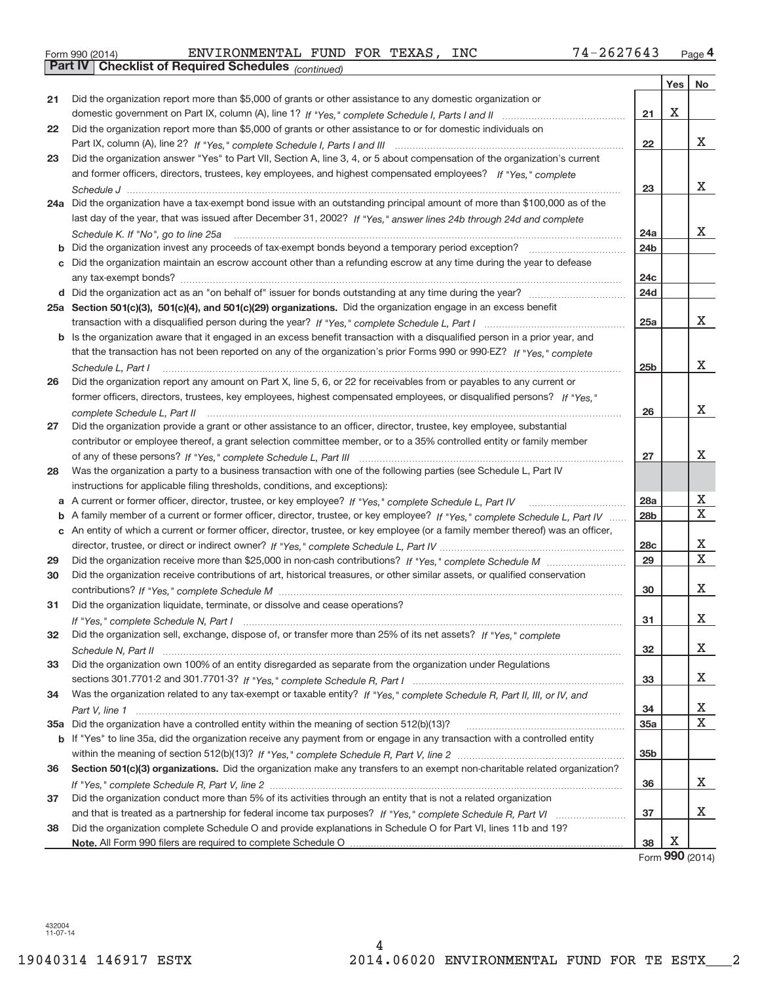| Form 990 (2014) | ENVIRONMENTAL FUND FOR TEXAS, |  |  |  | <b>INC</b> | 74-2627643 | Page |
|-----------------|-------------------------------|--|--|--|------------|------------|------|
|-----------------|-------------------------------|--|--|--|------------|------------|------|

|    | <b>Part IV Checklist of Required Schedules</b> (continued)                                                                                                                                                                     |                 |     |             |
|----|--------------------------------------------------------------------------------------------------------------------------------------------------------------------------------------------------------------------------------|-----------------|-----|-------------|
|    |                                                                                                                                                                                                                                |                 | Yes | No          |
| 21 | Did the organization report more than \$5,000 of grants or other assistance to any domestic organization or                                                                                                                    |                 |     |             |
|    |                                                                                                                                                                                                                                | 21              | X   |             |
| 22 | Did the organization report more than \$5,000 of grants or other assistance to or for domestic individuals on                                                                                                                  |                 |     |             |
|    |                                                                                                                                                                                                                                | 22              |     | X           |
| 23 | Did the organization answer "Yes" to Part VII, Section A, line 3, 4, or 5 about compensation of the organization's current                                                                                                     |                 |     |             |
|    | and former officers, directors, trustees, key employees, and highest compensated employees? If "Yes," complete                                                                                                                 |                 |     |             |
|    |                                                                                                                                                                                                                                | 23              |     | x           |
|    | 24a Did the organization have a tax-exempt bond issue with an outstanding principal amount of more than \$100,000 as of the                                                                                                    |                 |     |             |
|    | last day of the year, that was issued after December 31, 2002? If "Yes," answer lines 24b through 24d and complete                                                                                                             |                 |     |             |
|    |                                                                                                                                                                                                                                | 24a             |     | X           |
|    |                                                                                                                                                                                                                                | 24 <sub>b</sub> |     |             |
|    |                                                                                                                                                                                                                                |                 |     |             |
| с  | Did the organization maintain an escrow account other than a refunding escrow at any time during the year to defease                                                                                                           |                 |     |             |
|    |                                                                                                                                                                                                                                | 24c<br>24d      |     |             |
|    |                                                                                                                                                                                                                                |                 |     |             |
|    | 25a Section 501(c)(3), 501(c)(4), and 501(c)(29) organizations. Did the organization engage in an excess benefit                                                                                                               |                 |     | X           |
|    |                                                                                                                                                                                                                                | 25a             |     |             |
|    | b Is the organization aware that it engaged in an excess benefit transaction with a disqualified person in a prior year, and                                                                                                   |                 |     |             |
|    | that the transaction has not been reported on any of the organization's prior Forms 990 or 990-EZ? If "Yes," complete                                                                                                          |                 |     |             |
|    | Schedule L, Part I                                                                                                                                                                                                             | 25 <sub>b</sub> |     | x           |
| 26 | Did the organization report any amount on Part X, line 5, 6, or 22 for receivables from or payables to any current or                                                                                                          |                 |     |             |
|    | former officers, directors, trustees, key employees, highest compensated employees, or disqualified persons? If "Yes."                                                                                                         |                 |     |             |
|    | complete Schedule L. Part II (ed. the complete schedule L. Part II) (ed. the complete Schedule L. Part II) (ed. the complete Schedule L. Part II) (ed. the complete Schedule L. Part II) (ed. the complete Schedule L. Part II | 26              |     | X           |
| 27 | Did the organization provide a grant or other assistance to an officer, director, trustee, key employee, substantial                                                                                                           |                 |     |             |
|    | contributor or employee thereof, a grant selection committee member, or to a 35% controlled entity or family member                                                                                                            |                 |     | х           |
|    |                                                                                                                                                                                                                                | 27              |     |             |
| 28 | Was the organization a party to a business transaction with one of the following parties (see Schedule L, Part IV                                                                                                              |                 |     |             |
|    | instructions for applicable filing thresholds, conditions, and exceptions):                                                                                                                                                    |                 |     | Х           |
| a  |                                                                                                                                                                                                                                | 28a             |     | $\mathbf X$ |
| b  | A family member of a current or former officer, director, trustee, or key employee? If "Yes," complete Schedule L, Part IV                                                                                                     | 28 <sub>b</sub> |     |             |
|    | c An entity of which a current or former officer, director, trustee, or key employee (or a family member thereof) was an officer,                                                                                              |                 |     | Χ           |
|    |                                                                                                                                                                                                                                | 28c             |     | $\mathbf X$ |
| 29 |                                                                                                                                                                                                                                | 29              |     |             |
| 30 | Did the organization receive contributions of art, historical treasures, or other similar assets, or qualified conservation                                                                                                    |                 |     | x           |
|    |                                                                                                                                                                                                                                | 30              |     |             |
| 31 | Did the organization liquidate, terminate, or dissolve and cease operations?                                                                                                                                                   |                 |     | X           |
|    | Did the organization sell, exchange, dispose of, or transfer more than 25% of its net assets? If "Yes," complete                                                                                                               | 31              |     |             |
| 32 |                                                                                                                                                                                                                                | 32              |     | x           |
|    | Did the organization own 100% of an entity disregarded as separate from the organization under Regulations                                                                                                                     |                 |     |             |
| 33 |                                                                                                                                                                                                                                | 33              |     | X           |
| 34 |                                                                                                                                                                                                                                |                 |     |             |
|    | Was the organization related to any tax-exempt or taxable entity? If "Yes," complete Schedule R, Part II, III, or IV, and                                                                                                      | 34              |     | х           |
|    |                                                                                                                                                                                                                                | 35a             |     | $\mathbf X$ |
|    |                                                                                                                                                                                                                                |                 |     |             |
|    | b If "Yes" to line 35a, did the organization receive any payment from or engage in any transaction with a controlled entity                                                                                                    | 35 <sub>b</sub> |     |             |
| 36 | Section 501(c)(3) organizations. Did the organization make any transfers to an exempt non-charitable related organization?                                                                                                     |                 |     |             |
|    |                                                                                                                                                                                                                                | 36              |     | X.          |
| 37 | Did the organization conduct more than 5% of its activities through an entity that is not a related organization                                                                                                               |                 |     |             |
|    |                                                                                                                                                                                                                                | 37              |     | х           |
| 38 | Did the organization complete Schedule O and provide explanations in Schedule O for Part VI, lines 11b and 19?                                                                                                                 |                 |     |             |
|    |                                                                                                                                                                                                                                | 38              | Х   |             |
|    |                                                                                                                                                                                                                                |                 |     |             |

Form **990** (2014)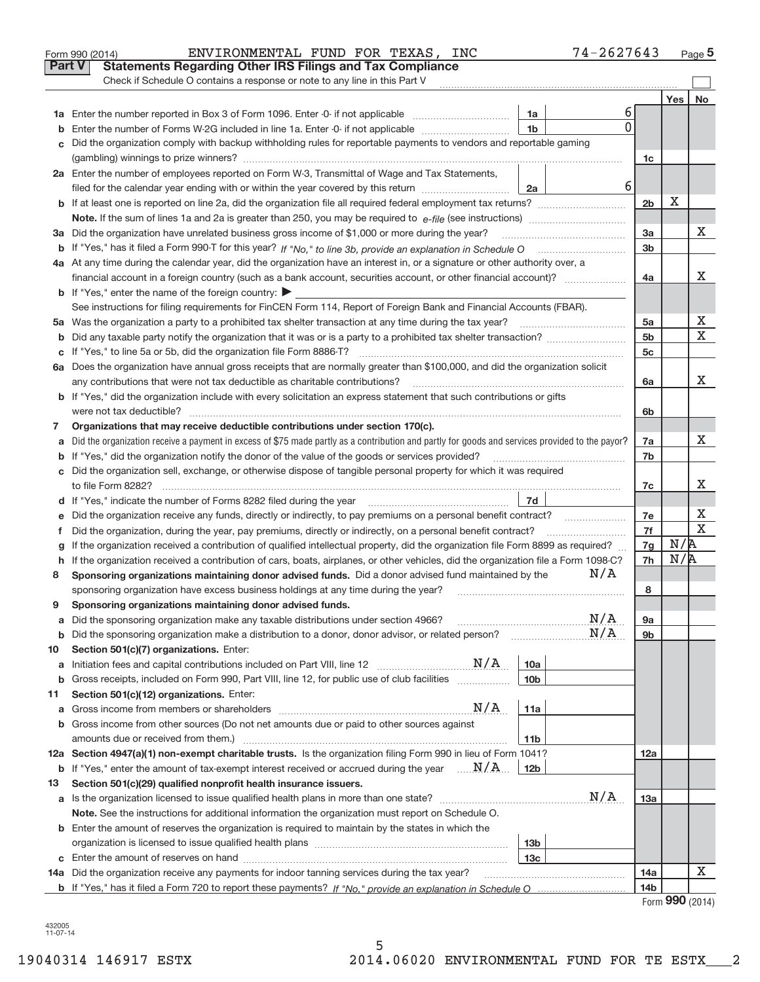|    | <b>Part V</b><br><b>Statements Regarding Other IRS Filings and Tax Compliance</b>                                                                                                          |                        |            |             |  |  |
|----|--------------------------------------------------------------------------------------------------------------------------------------------------------------------------------------------|------------------------|------------|-------------|--|--|
|    | Check if Schedule O contains a response or note to any line in this Part V                                                                                                                 |                        |            |             |  |  |
|    |                                                                                                                                                                                            |                        | <b>Yes</b> | No          |  |  |
|    | 6<br>1a                                                                                                                                                                                    |                        |            |             |  |  |
| b  | $\Omega$<br>1 <sub>b</sub><br>Enter the number of Forms W-2G included in line 1a. Enter -0- if not applicable                                                                              |                        |            |             |  |  |
|    | Did the organization comply with backup withholding rules for reportable payments to vendors and reportable gaming                                                                         |                        |            |             |  |  |
|    |                                                                                                                                                                                            | 1c                     |            |             |  |  |
|    | 2a Enter the number of employees reported on Form W-3, Transmittal of Wage and Tax Statements,                                                                                             |                        |            |             |  |  |
|    | 6<br>filed for the calendar year ending with or within the year covered by this return<br>2a                                                                                               |                        |            |             |  |  |
|    |                                                                                                                                                                                            | 2 <sub>b</sub>         | х          |             |  |  |
|    |                                                                                                                                                                                            |                        |            |             |  |  |
|    | 3a Did the organization have unrelated business gross income of \$1,000 or more during the year?                                                                                           | 3a                     |            | х           |  |  |
|    |                                                                                                                                                                                            | 3 <sub>b</sub>         |            |             |  |  |
|    | 4a At any time during the calendar year, did the organization have an interest in, or a signature or other authority over, a                                                               |                        |            |             |  |  |
|    | financial account in a foreign country (such as a bank account, securities account, or other financial account)?                                                                           | 4a                     |            | х           |  |  |
|    | <b>b</b> If "Yes," enter the name of the foreign country: $\blacktriangleright$                                                                                                            |                        |            |             |  |  |
|    | See instructions for filing requirements for FinCEN Form 114, Report of Foreign Bank and Financial Accounts (FBAR).                                                                        |                        |            |             |  |  |
| 5a |                                                                                                                                                                                            | 5a                     |            | Х           |  |  |
| b  |                                                                                                                                                                                            | 5 <sub>b</sub>         |            | X           |  |  |
| с  |                                                                                                                                                                                            | 5c                     |            |             |  |  |
| 6a | Does the organization have annual gross receipts that are normally greater than \$100,000, and did the organization solicit                                                                |                        |            |             |  |  |
|    |                                                                                                                                                                                            | 6a                     |            | Χ           |  |  |
|    | b If "Yes," did the organization include with every solicitation an express statement that such contributions or gifts                                                                     |                        |            |             |  |  |
|    | were not tax deductible?                                                                                                                                                                   | 6b                     |            |             |  |  |
| 7  | Organizations that may receive deductible contributions under section 170(c).                                                                                                              |                        |            | x           |  |  |
| а  | Did the organization receive a payment in excess of \$75 made partly as a contribution and partly for goods and services provided to the payor?                                            |                        |            |             |  |  |
|    | <b>b</b> If "Yes," did the organization notify the donor of the value of the goods or services provided?                                                                                   | 7b                     |            |             |  |  |
|    | c Did the organization sell, exchange, or otherwise dispose of tangible personal property for which it was required                                                                        |                        |            |             |  |  |
|    |                                                                                                                                                                                            | 7c                     |            | х           |  |  |
|    | 7d<br>d If "Yes," indicate the number of Forms 8282 filed during the year manufacture intervent contained to the Net                                                                       |                        |            |             |  |  |
| е  | Did the organization receive any funds, directly or indirectly, to pay premiums on a personal benefit contract?                                                                            | 7e                     |            | х           |  |  |
| f. | Did the organization, during the year, pay premiums, directly or indirectly, on a personal benefit contract?                                                                               | 7f                     |            | $\mathbf X$ |  |  |
| g  | If the organization received a contribution of qualified intellectual property, did the organization file Form 8899 as required?                                                           | 7g                     | N/R        |             |  |  |
| h  | If the organization received a contribution of cars, boats, airplanes, or other vehicles, did the organization file a Form 1098-C?                                                         | 7h                     | N/R        |             |  |  |
| 8  | N/A<br>Sponsoring organizations maintaining donor advised funds. Did a donor advised fund maintained by the                                                                                |                        |            |             |  |  |
|    | sponsoring organization have excess business holdings at any time during the year?                                                                                                         | 8                      |            |             |  |  |
| 9  | Sponsoring organizations maintaining donor advised funds.                                                                                                                                  |                        |            |             |  |  |
| а  | N/A<br>Did the sponsoring organization make any taxable distributions under section 4966? [1001] [1001] Did the sponsoring organization make any taxable distributions under section 4966? | 9а                     |            |             |  |  |
| b  | N/A<br>Did the sponsoring organization make a distribution to a donor, donor advisor, or related person?                                                                                   | 9b                     |            |             |  |  |
| 10 | Section 501(c)(7) organizations. Enter:                                                                                                                                                    |                        |            |             |  |  |
| а  | 10a                                                                                                                                                                                        |                        |            |             |  |  |
| b  | Gross receipts, included on Form 990, Part VIII, line 12, for public use of club facilities<br>10 <sub>b</sub>                                                                             |                        |            |             |  |  |
| 11 | Section 501(c)(12) organizations. Enter:<br>N/A                                                                                                                                            |                        |            |             |  |  |
| а  | 11a<br>Gross income from members or shareholders                                                                                                                                           |                        |            |             |  |  |
|    | b Gross income from other sources (Do not net amounts due or paid to other sources against                                                                                                 |                        |            |             |  |  |
|    | amounts due or received from them.)<br>11b<br>12a Section 4947(a)(1) non-exempt charitable trusts. Is the organization filing Form 990 in lieu of Form 1041?                               |                        |            |             |  |  |
|    |                                                                                                                                                                                            | 12a                    |            |             |  |  |
| b  | If "Yes," enter the amount of tax-exempt interest received or accrued during the year $\ldots$ $\mathbf{N}/\mathbf{A}$ .<br>12 <sub>b</sub>                                                |                        |            |             |  |  |
| 13 | Section 501(c)(29) qualified nonprofit health insurance issuers.<br>N/A                                                                                                                    |                        |            |             |  |  |
| a  |                                                                                                                                                                                            | 13a                    |            |             |  |  |
|    | Note. See the instructions for additional information the organization must report on Schedule O.                                                                                          |                        |            |             |  |  |
|    | <b>b</b> Enter the amount of reserves the organization is required to maintain by the states in which the                                                                                  |                        |            |             |  |  |
|    | 13 <sub>b</sub>                                                                                                                                                                            |                        |            |             |  |  |
| с  | 13 <sub>c</sub>                                                                                                                                                                            |                        |            | х           |  |  |
|    | 14a Did the organization receive any payments for indoor tanning services during the tax year?                                                                                             | 14a<br>14 <sub>b</sub> |            |             |  |  |
|    |                                                                                                                                                                                            |                        |            |             |  |  |

Form 990 (2014) ENVIRONMENTAL FUND FOR TEXAS,INC 74-2627643 <sub>Page</sub>

Form (2014) **990**

**5**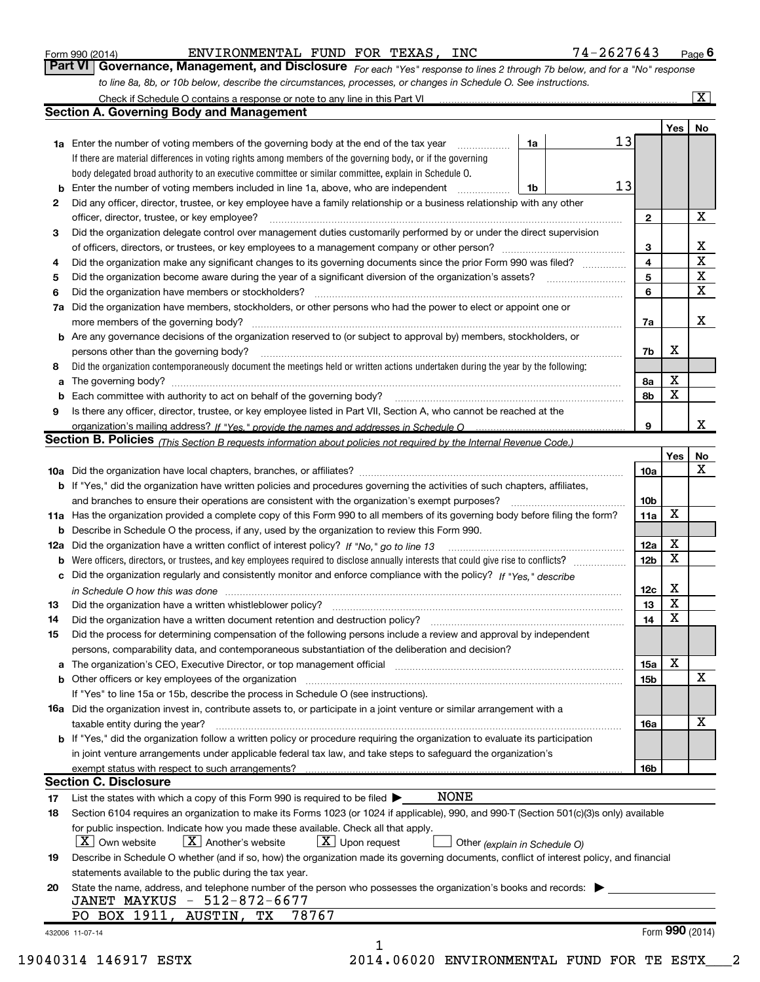|  | Form 990 (2014) |  |
|--|-----------------|--|
|  |                 |  |

## $_{\rm Form}$   $_{990}$   $_{(2014)}$   $_{\rm ENVIRONMENTAL}$   $_{\rm FUND}$   $_{\rm FOR}$   $_{\rm TEXAS}$  ,  $_{\rm INC}$   $_{\rm TMC}$   $_{\rm 74-2627643}$   $_{\rm Page}$

Part VI | Governance, Management, and Disclosure  $F_{Or}$  each "Yes" response to lines 2 through 7b below, and for a "No" response to line 8a, 8b, or 10b below, describe the circumstances, processes, or changes in Schedule O. See instructions.

|    |                                                                                                                                                                            |                               |    |                 | Yes             | No                      |
|----|----------------------------------------------------------------------------------------------------------------------------------------------------------------------------|-------------------------------|----|-----------------|-----------------|-------------------------|
|    | 1a Enter the number of voting members of the governing body at the end of the tax year                                                                                     | 1a                            | 13 |                 |                 |                         |
|    | If there are material differences in voting rights among members of the governing body, or if the governing                                                                |                               |    |                 |                 |                         |
|    | body delegated broad authority to an executive committee or similar committee, explain in Schedule O.                                                                      |                               |    |                 |                 |                         |
|    | <b>b</b> Enter the number of voting members included in line 1a, above, who are independent <i>manumum</i>                                                                 | 1b                            | 13 |                 |                 |                         |
| 2  | Did any officer, director, trustee, or key employee have a family relationship or a business relationship with any other                                                   |                               |    |                 |                 |                         |
|    | officer, director, trustee, or key employee?                                                                                                                               |                               |    | $\mathbf{2}$    |                 | X                       |
| 3  | Did the organization delegate control over management duties customarily performed by or under the direct supervision                                                      |                               |    |                 |                 |                         |
|    |                                                                                                                                                                            |                               |    | 3               |                 | х                       |
| 4  | Did the organization make any significant changes to its governing documents since the prior Form 990 was filed?                                                           |                               |    | 4               |                 | $\overline{\texttt{x}}$ |
| 5  |                                                                                                                                                                            |                               |    | 5               |                 | $\overline{\mathbf{x}}$ |
| 6  | Did the organization have members or stockholders?                                                                                                                         |                               |    | 6               |                 | $\overline{\mathbf{x}}$ |
| 7а | Did the organization have members, stockholders, or other persons who had the power to elect or appoint one or                                                             |                               |    |                 |                 |                         |
|    |                                                                                                                                                                            |                               |    | 7a              |                 | х                       |
|    | <b>b</b> Are any governance decisions of the organization reserved to (or subject to approval by) members, stockholders, or                                                |                               |    |                 |                 |                         |
|    | persons other than the governing body?                                                                                                                                     |                               |    | 7b              | X               |                         |
| 8  | Did the organization contemporaneously document the meetings held or written actions undertaken during the year by the following:                                          |                               |    |                 |                 |                         |
|    |                                                                                                                                                                            |                               |    | 8а              | X               |                         |
| а  |                                                                                                                                                                            |                               |    |                 | X               |                         |
|    |                                                                                                                                                                            |                               |    | 8b              |                 |                         |
| 9  | Is there any officer, director, trustee, or key employee listed in Part VII, Section A, who cannot be reached at the                                                       |                               |    | 9               |                 | x                       |
|    |                                                                                                                                                                            |                               |    |                 |                 |                         |
|    | Section B. Policies (This Section B requests information about policies not required by the Internal Revenue Code.)                                                        |                               |    |                 |                 |                         |
|    |                                                                                                                                                                            |                               |    |                 | Yes             | No<br>$\mathbf X$       |
|    |                                                                                                                                                                            |                               |    | 10a             |                 |                         |
|    | b If "Yes," did the organization have written policies and procedures governing the activities of such chapters, affiliates,                                               |                               |    |                 |                 |                         |
|    |                                                                                                                                                                            |                               |    | 10b             |                 |                         |
|    | 11a Has the organization provided a complete copy of this Form 990 to all members of its governing body before filing the form?                                            |                               |    | 11a             | X               |                         |
|    | <b>b</b> Describe in Schedule O the process, if any, used by the organization to review this Form 990.                                                                     |                               |    |                 |                 |                         |
|    |                                                                                                                                                                            |                               |    | 12a             | X               |                         |
| b  |                                                                                                                                                                            |                               |    | 12 <sub>b</sub> | X               |                         |
|    | c Did the organization regularly and consistently monitor and enforce compliance with the policy? If "Yes." describe                                                       |                               |    |                 |                 |                         |
|    | in Schedule O how this was done measured and continuum control to the control of the state of the control of t                                                             |                               |    | 12c             | х               |                         |
| 13 |                                                                                                                                                                            |                               |    | 13              | X               |                         |
| 14 | Did the organization have a written document retention and destruction policy? manufactured and the organization have a written document retention and destruction policy? |                               |    | 14              | X               |                         |
| 15 | Did the process for determining compensation of the following persons include a review and approval by independent                                                         |                               |    |                 |                 |                         |
|    | persons, comparability data, and contemporaneous substantiation of the deliberation and decision?                                                                          |                               |    |                 |                 |                         |
|    |                                                                                                                                                                            |                               |    | 15a             | X               |                         |
|    | <b>b</b> Other officers or key employees of the organization                                                                                                               |                               |    | 15 <sub>b</sub> |                 | X                       |
|    | If "Yes" to line 15a or 15b, describe the process in Schedule O (see instructions).                                                                                        |                               |    |                 |                 |                         |
|    | 16a Did the organization invest in, contribute assets to, or participate in a joint venture or similar arrangement with a                                                  |                               |    |                 |                 |                         |
|    | taxable entity during the year?                                                                                                                                            |                               |    | 16a             |                 | X                       |
|    | b If "Yes," did the organization follow a written policy or procedure requiring the organization to evaluate its participation                                             |                               |    |                 |                 |                         |
|    | in joint venture arrangements under applicable federal tax law, and take steps to safeguard the organization's                                                             |                               |    |                 |                 |                         |
|    | exempt status with respect to such arrangements?                                                                                                                           |                               |    | 16b             |                 |                         |
|    | <b>Section C. Disclosure</b>                                                                                                                                               |                               |    |                 |                 |                         |
| 17 | <b>NONE</b><br>List the states with which a copy of this Form 990 is required to be filed $\blacktriangleright$                                                            |                               |    |                 |                 |                         |
| 18 | Section 6104 requires an organization to make its Forms 1023 (or 1024 if applicable), 990, and 990-T (Section 501(c)(3)s only) available                                   |                               |    |                 |                 |                         |
|    | for public inspection. Indicate how you made these available. Check all that apply.                                                                                        |                               |    |                 |                 |                         |
|    | $X$ Upon request<br>$ X $ Own website<br>$X$ Another's website                                                                                                             | Other (explain in Schedule O) |    |                 |                 |                         |
| 19 | Describe in Schedule O whether (and if so, how) the organization made its governing documents, conflict of interest policy, and financial                                  |                               |    |                 |                 |                         |
|    | statements available to the public during the tax year.                                                                                                                    |                               |    |                 |                 |                         |
| 20 | State the name, address, and telephone number of the person who possesses the organization's books and records:                                                            |                               |    |                 |                 |                         |
|    | JANET MAYKUS - 512-872-6677                                                                                                                                                |                               |    |                 |                 |                         |
|    | 78767<br>PO BOX 1911,<br>AUSTIN,<br>TХ                                                                                                                                     |                               |    |                 |                 |                         |
|    |                                                                                                                                                                            |                               |    |                 | Form 990 (2014) |                         |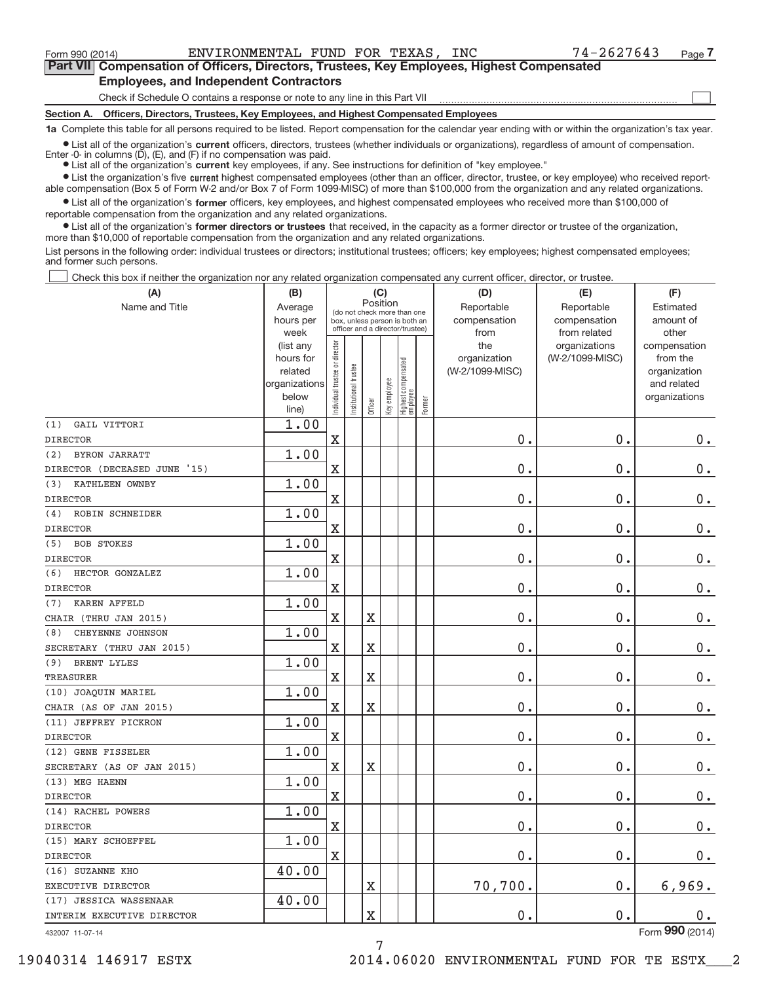$\boxed{\phantom{1}}$ 

**Part VII Compensation of Officers, Directors, Trustees, Key Employees, Highest Compensated Employees, and Independent Contractors**

Check if Schedule O contains a response or note to any line in this Part VII

**Section A. Officers, Directors, Trustees, Key Employees, and Highest Compensated Employees**

**1a**  Complete this table for all persons required to be listed. Report compensation for the calendar year ending with or within the organization's tax year.

**•** List all of the organization's current officers, directors, trustees (whether individuals or organizations), regardless of amount of compensation. Enter  $-0$ - in columns  $(D)$ ,  $(E)$ , and  $(F)$  if no compensation was paid.

**•** List all of the organization's **current** key employees, if any. See instructions for definition of "key employee."

● List the organization's five current highest compensated employees (other than an officer, director, trustee, or key employee) who received reportable compensation (Box 5 of Form W‐2 and/or Box 7 of Form 1099‐MISC) of more than \$100,000 from the organization and any related organizations.

 $\bullet$  List all of the organization's former officers, key employees, and highest compensated employees who received more than \$100,000 of reportable compensation from the organization and any related organizations.

**•** List all of the organization's former directors or trustees that received, in the capacity as a former director or trustee of the organization, more than \$10,000 of reportable compensation from the organization and any related organizations.

List persons in the following order: individual trustees or directors; institutional trustees; officers; key employees; highest compensated employees; and former such persons.

Check this box if neither the organization nor any related organization compensated any current officer, director, or trustee.  $\Box$ 

| (A)                          | (B)                    |                                |                                                                  | (C)                   |              |                                  |        | (D)             | (E)                              | (F)                      |
|------------------------------|------------------------|--------------------------------|------------------------------------------------------------------|-----------------------|--------------|----------------------------------|--------|-----------------|----------------------------------|--------------------------|
| Name and Title               | Average                |                                | (do not check more than one                                      | Position              |              |                                  |        | Reportable      | Reportable                       | Estimated                |
|                              | hours per              |                                | box, unless person is both an<br>officer and a director/trustee) |                       |              |                                  |        | compensation    | compensation                     | amount of                |
|                              | week                   |                                |                                                                  |                       |              |                                  |        | from<br>the     | from related                     | other                    |
|                              | (list any<br>hours for |                                |                                                                  |                       |              |                                  |        | organization    | organizations<br>(W-2/1099-MISC) | compensation<br>from the |
|                              | related                |                                |                                                                  |                       |              |                                  |        | (W-2/1099-MISC) |                                  | organization             |
|                              | organizations          |                                |                                                                  |                       |              |                                  |        |                 |                                  | and related              |
|                              | below                  | Individual trustee or director | In stitutional trustee                                           |                       | Key employee |                                  |        |                 |                                  | organizations            |
|                              | line)                  |                                |                                                                  | Officer               |              | Highest compensated<br> employee | Former |                 |                                  |                          |
| GAIL VITTORI<br>(1)          | 1.00                   |                                |                                                                  |                       |              |                                  |        |                 |                                  |                          |
| <b>DIRECTOR</b>              |                        | $\mathbf X$                    |                                                                  |                       |              |                                  |        | 0.              | 0.                               | $0 \cdot$                |
| <b>BYRON JARRATT</b><br>(2)  | 1.00                   |                                |                                                                  |                       |              |                                  |        |                 |                                  |                          |
| DIRECTOR (DECEASED JUNE '15) |                        | $\mathbf X$                    |                                                                  |                       |              |                                  |        | $\mathbf 0$ .   | 0.                               | $0 \cdot$                |
| KATHLEEN OWNBY<br>(3)        | 1.00                   |                                |                                                                  |                       |              |                                  |        |                 |                                  |                          |
| <b>DIRECTOR</b>              |                        | $\mathbf X$                    |                                                                  |                       |              |                                  |        | $\mathbf 0$ .   | 0.                               | $0 \cdot$                |
| ROBIN SCHNEIDER<br>(4)       | 1.00                   |                                |                                                                  |                       |              |                                  |        |                 |                                  |                          |
| <b>DIRECTOR</b>              |                        | $\overline{\mathbf{X}}$        |                                                                  |                       |              |                                  |        | $\mathbf 0$ .   | 0.                               | $\mathbf 0$ .            |
| <b>BOB STOKES</b><br>(5)     | 1.00                   |                                |                                                                  |                       |              |                                  |        |                 |                                  |                          |
| <b>DIRECTOR</b>              |                        | $\overline{\mathbf{X}}$        |                                                                  |                       |              |                                  |        | $\mathbf 0$ .   | 0.                               | $0 \cdot$                |
| (6)<br>HECTOR GONZALEZ       | 1.00                   |                                |                                                                  |                       |              |                                  |        |                 |                                  |                          |
| <b>DIRECTOR</b>              |                        | $\overline{\text{X}}$          |                                                                  |                       |              |                                  |        | $\mathbf 0$ .   | 0.                               | $0$ .                    |
| (7)<br><b>KAREN AFFELD</b>   | 1.00                   |                                |                                                                  |                       |              |                                  |        |                 |                                  |                          |
| CHAIR (THRU JAN 2015)        |                        | $\mathbf X$                    |                                                                  | X                     |              |                                  |        | $\mathbf 0$ .   | 0.                               | $0 \cdot$                |
| CHEYENNE JOHNSON<br>(8)      | 1.00                   |                                |                                                                  |                       |              |                                  |        |                 |                                  |                          |
| SECRETARY (THRU JAN 2015)    |                        | $\overline{\mathbf{X}}$        |                                                                  | Χ                     |              |                                  |        | $\mathbf 0$ .   | 0.                               | $0_{.}$                  |
| <b>BRENT LYLES</b><br>(9)    | 1.00                   |                                |                                                                  |                       |              |                                  |        |                 |                                  |                          |
| <b>TREASURER</b>             |                        | $\overline{\mathbf{X}}$        |                                                                  | Χ                     |              |                                  |        | $\mathbf 0$ .   | 0.                               | $0 \cdot$                |
| (10) JOAQUIN MARIEL          | 1.00                   |                                |                                                                  |                       |              |                                  |        |                 |                                  |                          |
| CHAIR (AS OF JAN 2015)       |                        | $\mathbf X$                    |                                                                  | Χ                     |              |                                  |        | $\mathbf 0$ .   | 0.                               | $\mathbf 0$ .            |
| (11) JEFFREY PICKRON         | 1.00                   |                                |                                                                  |                       |              |                                  |        |                 |                                  |                          |
| <b>DIRECTOR</b>              |                        | $\mathbf X$                    |                                                                  |                       |              |                                  |        | 0.              | 0.                               | $0$ .                    |
| (12) GENE FISSELER           | 1.00                   |                                |                                                                  |                       |              |                                  |        |                 |                                  |                          |
| SECRETARY (AS OF JAN 2015)   |                        | $\mathbf X$                    |                                                                  | X                     |              |                                  |        | 0.              | 0.                               | $\mathbf 0$ .            |
| (13) MEG HAENN               | 1.00                   |                                |                                                                  |                       |              |                                  |        |                 |                                  |                          |
| <b>DIRECTOR</b>              |                        | $\mathbf X$                    |                                                                  |                       |              |                                  |        | 0.              | 0.                               | $\mathbf 0$ .            |
| (14) RACHEL POWERS           | 1.00                   |                                |                                                                  |                       |              |                                  |        |                 |                                  |                          |
| <b>DIRECTOR</b>              |                        | $\mathbf X$                    |                                                                  |                       |              |                                  |        | 0.              | 0.                               | $0$ .                    |
| (15) MARY SCHOEFFEL          | 1.00                   |                                |                                                                  |                       |              |                                  |        |                 |                                  |                          |
| <b>DIRECTOR</b>              |                        | $\mathbf X$                    |                                                                  |                       |              |                                  |        | 0.              | 0.                               | $0\cdot$                 |
| (16) SUZANNE KHO             | 40.00                  |                                |                                                                  |                       |              |                                  |        |                 |                                  |                          |
| EXECUTIVE DIRECTOR           |                        |                                |                                                                  | X                     |              |                                  |        | 70,700.         | 0.                               | 6,969.                   |
| (17) JESSICA WASSENAAR       | 40.00                  |                                |                                                                  |                       |              |                                  |        |                 |                                  |                          |
| INTERIM EXECUTIVE DIRECTOR   |                        |                                |                                                                  | $\overline{\text{X}}$ |              |                                  |        | 0.              | 0.                               | $0_{.}$                  |

432007 11‐07‐14

Form (2014) **990**

19040314 146917 ESTX 2014.06020 ENVIRONMENTAL FUND FOR TE ESTX\_\_\_2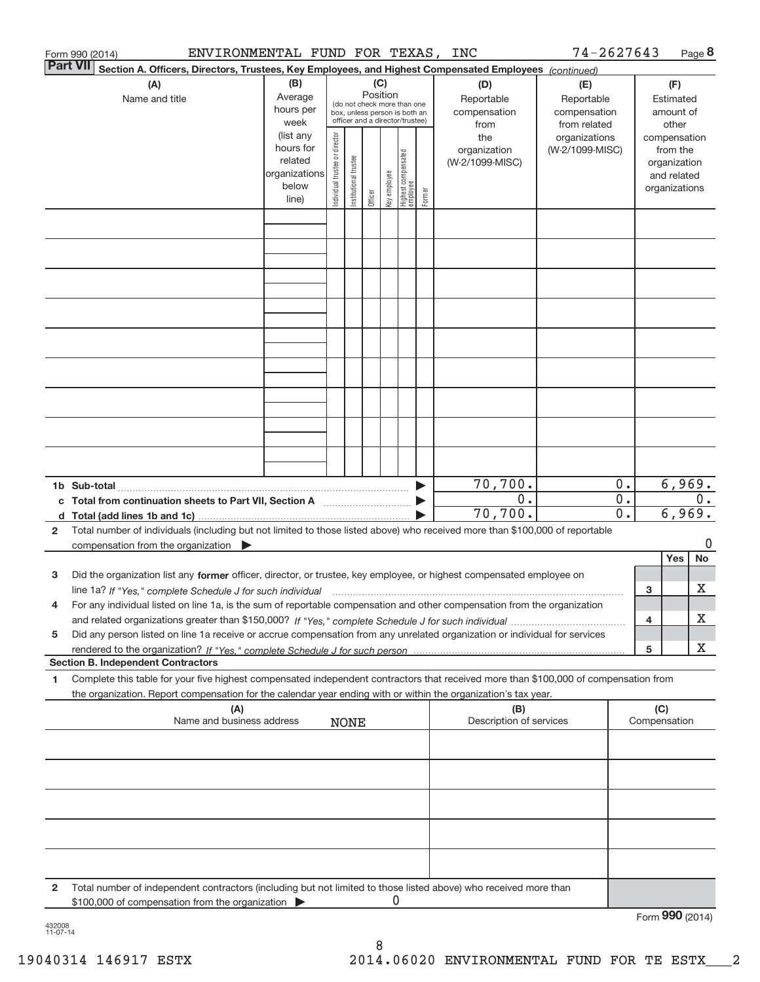|   | ENVIRONMENTAL FUND FOR TEXAS,<br>Form 990 (2014)                                                                                     |                   |                               |                       |          |              |                                                                  |        | INC                            | 74-2627643                       |          |                     |                          | Page 8          |
|---|--------------------------------------------------------------------------------------------------------------------------------------|-------------------|-------------------------------|-----------------------|----------|--------------|------------------------------------------------------------------|--------|--------------------------------|----------------------------------|----------|---------------------|--------------------------|-----------------|
|   | <b>Part VII</b><br>Section A. Officers, Directors, Trustees, Key Employees, and Highest Compensated Employees (continued)            |                   |                               |                       |          |              |                                                                  |        |                                |                                  |          |                     |                          |                 |
|   | (A)                                                                                                                                  | (B)               |                               |                       | (C)      |              |                                                                  |        | (D)                            | (E)                              |          |                     | (F)                      |                 |
|   | Name and title                                                                                                                       | Average           |                               |                       | Position |              | (do not check more than one                                      |        | Reportable                     | Reportable                       |          |                     | Estimated                |                 |
|   |                                                                                                                                      | hours per<br>week |                               |                       |          |              | box, unless person is both an<br>officer and a director/trustee) |        | compensation                   | compensation                     |          |                     | amount of                |                 |
|   |                                                                                                                                      | (list any         |                               |                       |          |              |                                                                  |        | from<br>the                    | from related                     |          |                     | other                    |                 |
|   |                                                                                                                                      | hours for         |                               |                       |          |              |                                                                  |        | organization                   | organizations<br>(W-2/1099-MISC) |          |                     | compensation<br>from the |                 |
|   |                                                                                                                                      | related           |                               |                       |          |              |                                                                  |        | (W-2/1099-MISC)                |                                  |          |                     | organization             |                 |
|   |                                                                                                                                      | organizations     |                               |                       |          |              |                                                                  |        |                                |                                  |          |                     | and related              |                 |
|   |                                                                                                                                      | below             | ndividual trustee or director | Institutional trustee |          | Key employee | Highest compensated<br>  employee                                | Former |                                |                                  |          |                     | organizations            |                 |
|   |                                                                                                                                      | line)             |                               |                       | Officer  |              |                                                                  |        |                                |                                  |          |                     |                          |                 |
|   |                                                                                                                                      |                   |                               |                       |          |              |                                                                  |        |                                |                                  |          |                     |                          |                 |
|   |                                                                                                                                      |                   |                               |                       |          |              |                                                                  |        |                                |                                  |          |                     |                          |                 |
|   |                                                                                                                                      |                   |                               |                       |          |              |                                                                  |        |                                |                                  |          |                     |                          |                 |
|   |                                                                                                                                      |                   |                               |                       |          |              |                                                                  |        |                                |                                  |          |                     |                          |                 |
|   |                                                                                                                                      |                   |                               |                       |          |              |                                                                  |        |                                |                                  |          |                     |                          |                 |
|   |                                                                                                                                      |                   |                               |                       |          |              |                                                                  |        |                                |                                  |          |                     |                          |                 |
|   |                                                                                                                                      |                   |                               |                       |          |              |                                                                  |        |                                |                                  |          |                     |                          |                 |
|   |                                                                                                                                      |                   |                               |                       |          |              |                                                                  |        |                                |                                  |          |                     |                          |                 |
|   |                                                                                                                                      |                   |                               |                       |          |              |                                                                  |        |                                |                                  |          |                     |                          |                 |
|   |                                                                                                                                      |                   |                               |                       |          |              |                                                                  |        |                                |                                  |          |                     |                          |                 |
|   |                                                                                                                                      |                   |                               |                       |          |              |                                                                  |        |                                |                                  |          |                     |                          |                 |
|   |                                                                                                                                      |                   |                               |                       |          |              |                                                                  |        |                                |                                  |          |                     |                          |                 |
|   |                                                                                                                                      |                   |                               |                       |          |              |                                                                  |        |                                |                                  |          |                     |                          |                 |
|   |                                                                                                                                      |                   |                               |                       |          |              |                                                                  |        |                                |                                  |          |                     |                          |                 |
|   |                                                                                                                                      |                   |                               |                       |          |              |                                                                  |        |                                |                                  |          |                     |                          |                 |
|   |                                                                                                                                      |                   |                               |                       |          |              |                                                                  |        |                                |                                  |          |                     |                          |                 |
|   |                                                                                                                                      |                   |                               |                       |          |              |                                                                  |        |                                |                                  |          |                     |                          |                 |
|   |                                                                                                                                      |                   |                               |                       |          |              |                                                                  |        | 70,700.                        |                                  | 0.       |                     | 6,969.                   |                 |
|   | c Total from continuation sheets to Part VII, Section A [111] [12] [13] Doction A                                                    |                   |                               |                       |          |              |                                                                  |        | $\overline{0}$ .<br>70,700.    |                                  | 0.<br>0. |                     | 6,969.                   | 0.              |
|   |                                                                                                                                      |                   |                               |                       |          |              |                                                                  |        |                                |                                  |          |                     |                          |                 |
| 2 | Total number of individuals (including but not limited to those listed above) who received more than \$100,000 of reportable         |                   |                               |                       |          |              |                                                                  |        |                                |                                  |          |                     |                          | 0               |
|   | compensation from the organization                                                                                                   |                   |                               |                       |          |              |                                                                  |        |                                |                                  |          |                     | Yes                      | <b>No</b>       |
| 3 | Did the organization list any former officer, director, or trustee, key employee, or highest compensated employee on                 |                   |                               |                       |          |              |                                                                  |        |                                |                                  |          |                     |                          |                 |
|   |                                                                                                                                      |                   |                               |                       |          |              |                                                                  |        |                                |                                  |          | 3                   |                          | х               |
|   | For any individual listed on line 1a, is the sum of reportable compensation and other compensation from the organization             |                   |                               |                       |          |              |                                                                  |        |                                |                                  |          |                     |                          |                 |
|   |                                                                                                                                      |                   |                               |                       |          |              |                                                                  |        |                                |                                  |          | 4                   |                          | х               |
| 5 | Did any person listed on line 1a receive or accrue compensation from any unrelated organization or individual for services           |                   |                               |                       |          |              |                                                                  |        |                                |                                  |          |                     |                          |                 |
|   |                                                                                                                                      |                   |                               |                       |          |              |                                                                  |        |                                |                                  |          | 5                   |                          | х               |
|   | <b>Section B. Independent Contractors</b>                                                                                            |                   |                               |                       |          |              |                                                                  |        |                                |                                  |          |                     |                          |                 |
| 1 | Complete this table for your five highest compensated independent contractors that received more than \$100,000 of compensation from |                   |                               |                       |          |              |                                                                  |        |                                |                                  |          |                     |                          |                 |
|   | the organization. Report compensation for the calendar year ending with or within the organization's tax year.                       |                   |                               |                       |          |              |                                                                  |        |                                |                                  |          |                     |                          |                 |
|   | (A)<br>Name and business address                                                                                                     |                   |                               |                       |          |              |                                                                  |        | (B)<br>Description of services |                                  |          | (C)<br>Compensation |                          |                 |
|   |                                                                                                                                      |                   |                               | <b>NONE</b>           |          |              |                                                                  |        |                                |                                  |          |                     |                          |                 |
|   |                                                                                                                                      |                   |                               |                       |          |              |                                                                  |        |                                |                                  |          |                     |                          |                 |
|   |                                                                                                                                      |                   |                               |                       |          |              |                                                                  |        |                                |                                  |          |                     |                          |                 |
|   |                                                                                                                                      |                   |                               |                       |          |              |                                                                  |        |                                |                                  |          |                     |                          |                 |
|   |                                                                                                                                      |                   |                               |                       |          |              |                                                                  |        |                                |                                  |          |                     |                          |                 |
|   |                                                                                                                                      |                   |                               |                       |          |              |                                                                  |        |                                |                                  |          |                     |                          |                 |
|   |                                                                                                                                      |                   |                               |                       |          |              |                                                                  |        |                                |                                  |          |                     |                          |                 |
|   |                                                                                                                                      |                   |                               |                       |          |              |                                                                  |        |                                |                                  |          |                     |                          |                 |
|   |                                                                                                                                      |                   |                               |                       |          |              |                                                                  |        |                                |                                  |          |                     |                          |                 |
|   |                                                                                                                                      |                   |                               |                       |          |              |                                                                  |        |                                |                                  |          |                     |                          |                 |
| 2 | Total number of independent contractors (including but not limited to those listed above) who received more than                     |                   |                               |                       |          |              |                                                                  |        |                                |                                  |          |                     |                          |                 |
|   | \$100,000 of compensation from the organization                                                                                      |                   |                               |                       |          | 0            |                                                                  |        |                                |                                  |          |                     |                          |                 |
|   |                                                                                                                                      |                   |                               |                       |          |              |                                                                  |        |                                |                                  |          |                     |                          | Form 990 (2014) |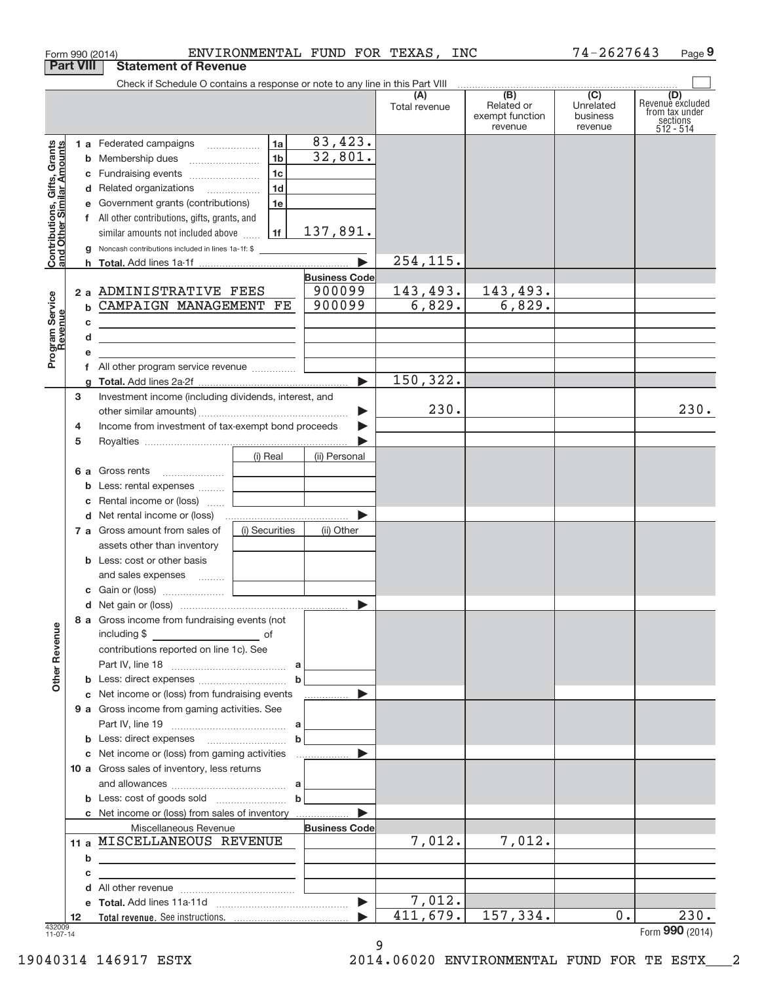|                                                           | Form 990 (2014)  |                                                                                                                                                                                                                                                                                 |                                                                       |                                                        | ENVIRONMENTAL FUND FOR TEXAS, INC |                                                                                                 | 74-2627643                       | Page 9                                                             |
|-----------------------------------------------------------|------------------|---------------------------------------------------------------------------------------------------------------------------------------------------------------------------------------------------------------------------------------------------------------------------------|-----------------------------------------------------------------------|--------------------------------------------------------|-----------------------------------|-------------------------------------------------------------------------------------------------|----------------------------------|--------------------------------------------------------------------|
|                                                           | <b>Part VIII</b> | <b>Statement of Revenue</b>                                                                                                                                                                                                                                                     |                                                                       |                                                        |                                   |                                                                                                 |                                  |                                                                    |
|                                                           |                  | Check if Schedule O contains a response or note to any line in this Part VIII                                                                                                                                                                                                   |                                                                       |                                                        | Total revenue                     | $\overline{(\mathsf{B})}$ $\overline{(\mathsf{C})}$<br>Related or<br>exempt function<br>revenue | Unrelated<br>business<br>revenue | (D)<br>Revenue excluded<br>from tax under<br>sections<br>512 - 514 |
| Contributions, Gifts, Grants<br>and Other Similar Amounts |                  | 1 a Federated campaigns<br>d Related organizations<br>e Government grants (contributions)<br>f All other contributions, gifts, grants, and<br>similar amounts not included above<br>Noncash contributions included in lines 1a-1f: \$                                           | 1a<br>1 <sub>b</sub><br>1 <sub>c</sub><br>1 <sub>d</sub><br>1e<br> 1f | 83,423.<br>32,801.<br>137,891.<br><b>Business Code</b> | 254,115.                          |                                                                                                 |                                  |                                                                    |
| Program Service<br>Revenue                                | b<br>c<br>d      | 2 a ADMINISTRATIVE FEES<br>CAMPAIGN MANAGEMENT FE<br><u>experience</u> and the control of the control of the control of the control of the control of<br><u> 1989 - Johann Barn, mars ann an t-Amhain ann an t-Amhain an t-Amhain an t-Amhain an t-Amhain an t-Amhain an t-</u> |                                                                       | 900099<br>900099                                       | 143,493.<br>6,829.                | 143,493.<br>6,829.                                                                              |                                  |                                                                    |
|                                                           |                  |                                                                                                                                                                                                                                                                                 |                                                                       |                                                        | 150, 322.                         |                                                                                                 |                                  |                                                                    |
|                                                           | з<br>4<br>5      | Investment income (including dividends, interest, and<br>Income from investment of tax-exempt bond proceeds                                                                                                                                                                     |                                                                       | ▶                                                      | 230.                              |                                                                                                 |                                  | 230.                                                               |
|                                                           |                  | <b>6 a</b> Gross rents<br>$\ldots \ldots \ldots \ldots \ldots$<br><b>b</b> Less: rental expenses<br>c Rental income or (loss)                                                                                                                                                   | (i) Real                                                              | (ii) Personal                                          |                                   |                                                                                                 |                                  |                                                                    |
|                                                           |                  | 7 a Gross amount from sales of<br>assets other than inventory<br><b>b</b> Less: cost or other basis<br>and sales expenses                                                                                                                                                       | (i) Securities                                                        | (ii) Other                                             |                                   |                                                                                                 |                                  |                                                                    |
|                                                           |                  |                                                                                                                                                                                                                                                                                 |                                                                       |                                                        |                                   |                                                                                                 |                                  |                                                                    |
|                                                           |                  | 8 a Gross income from fundraising events (not<br>including \$                                                                                                                                                                                                                   |                                                                       |                                                        |                                   |                                                                                                 |                                  |                                                                    |
| <b>Other Revenue</b>                                      |                  | contributions reported on line 1c). See                                                                                                                                                                                                                                         | $\mathbf b$                                                           |                                                        |                                   |                                                                                                 |                                  |                                                                    |
|                                                           |                  | c Net income or (loss) from fundraising events<br>9 a Gross income from gaming activities. See                                                                                                                                                                                  | $\mathbf b$                                                           | .                                                      |                                   |                                                                                                 |                                  |                                                                    |
|                                                           |                  | 10 a Gross sales of inventory, less returns                                                                                                                                                                                                                                     | $\mathbf b$                                                           |                                                        |                                   |                                                                                                 |                                  |                                                                    |
|                                                           | b                | Miscellaneous Revenue<br>11 a MISCELLANEOUS REVENUE<br><u> 1989 - Johann Barn, mars ann an t-Amhain ann an t-Amhain an t-Amhain an t-Amhain an t-Amhain an t-Amhain an t-</u>                                                                                                   |                                                                       | <b>Business Code</b>                                   | 7,012.                            | 7,012.                                                                                          |                                  |                                                                    |
|                                                           | с<br>d<br>12     |                                                                                                                                                                                                                                                                                 |                                                                       |                                                        | 7,012.<br>411,679.                | 157,334.                                                                                        | 0.                               | 230.                                                               |
| 432009<br>$11-07-14$                                      |                  |                                                                                                                                                                                                                                                                                 |                                                                       |                                                        |                                   |                                                                                                 |                                  | Form 990 (2014)                                                    |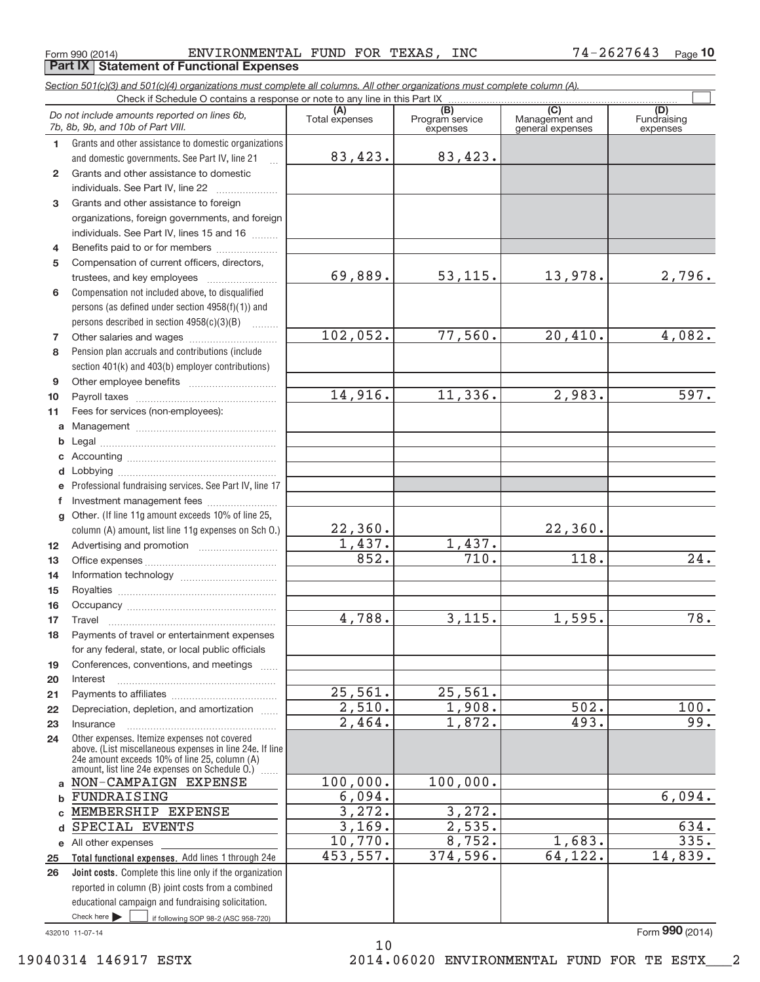**Part IX Statement of Functional Expenses**

*Section 501(c)(3) and 501(c)(4) organizations must complete all columns. All other organizations must complete column (A).*

Form 990 (2014) Page ENVIRONMENTAL FUND FOR TEXAS, INC 74‐2627643 74-2627643 Page 10

|                 | Do not include amounts reported on lines 6b,<br>7b, 8b, 9b, and 10b of Part VIII.                                                                                                                             | (A)<br>Total expenses | (B)<br>Program service<br>expenses | $\overline{C}$<br>Management and<br>general expenses | (D)<br>Fundraising<br>expenses |
|-----------------|---------------------------------------------------------------------------------------------------------------------------------------------------------------------------------------------------------------|-----------------------|------------------------------------|------------------------------------------------------|--------------------------------|
| 1.              | Grants and other assistance to domestic organizations                                                                                                                                                         |                       |                                    |                                                      |                                |
|                 | and domestic governments. See Part IV, line 21                                                                                                                                                                | 83,423.               | 83,423.                            |                                                      |                                |
| $\mathbf{2}$    | Grants and other assistance to domestic                                                                                                                                                                       |                       |                                    |                                                      |                                |
|                 | individuals. See Part IV, line 22                                                                                                                                                                             |                       |                                    |                                                      |                                |
| 3               | Grants and other assistance to foreign                                                                                                                                                                        |                       |                                    |                                                      |                                |
|                 | organizations, foreign governments, and foreign                                                                                                                                                               |                       |                                    |                                                      |                                |
|                 | individuals. See Part IV, lines 15 and 16                                                                                                                                                                     |                       |                                    |                                                      |                                |
| 4               | Benefits paid to or for members                                                                                                                                                                               |                       |                                    |                                                      |                                |
| 5               | Compensation of current officers, directors,                                                                                                                                                                  |                       |                                    |                                                      |                                |
|                 |                                                                                                                                                                                                               | 69,889.               | 53, 115.                           | 13,978.                                              | 2,796.                         |
| 6               | Compensation not included above, to disqualified                                                                                                                                                              |                       |                                    |                                                      |                                |
|                 | persons (as defined under section 4958(f)(1)) and                                                                                                                                                             |                       |                                    |                                                      |                                |
|                 | persons described in section 4958(c)(3)(B)                                                                                                                                                                    | 102,052.              | 77,560.                            | 20,410.                                              | 4,082.                         |
| 7               |                                                                                                                                                                                                               |                       |                                    |                                                      |                                |
| 8               | Pension plan accruals and contributions (include                                                                                                                                                              |                       |                                    |                                                      |                                |
|                 | section 401(k) and 403(b) employer contributions)                                                                                                                                                             |                       |                                    |                                                      |                                |
| 9               |                                                                                                                                                                                                               | 14,916.               | 11,336.                            | 2,983.                                               | 597.                           |
| 10              |                                                                                                                                                                                                               |                       |                                    |                                                      |                                |
| 11              | Fees for services (non-employees):                                                                                                                                                                            |                       |                                    |                                                      |                                |
| a               |                                                                                                                                                                                                               |                       |                                    |                                                      |                                |
| b               |                                                                                                                                                                                                               |                       |                                    |                                                      |                                |
| c<br>d          |                                                                                                                                                                                                               |                       |                                    |                                                      |                                |
|                 | Professional fundraising services. See Part IV, line 17                                                                                                                                                       |                       |                                    |                                                      |                                |
| е<br>f          | Investment management fees                                                                                                                                                                                    |                       |                                    |                                                      |                                |
| $\mathbf{q}$    | Other. (If line 11g amount exceeds 10% of line 25,                                                                                                                                                            |                       |                                    |                                                      |                                |
|                 | column (A) amount, list line 11g expenses on Sch O.)                                                                                                                                                          | 22,360.               |                                    | 22,360.                                              |                                |
| 12 <sup>°</sup> |                                                                                                                                                                                                               | 1,437.                | 1,437.                             |                                                      |                                |
| 13              |                                                                                                                                                                                                               | 852.                  | 710.                               | 118.                                                 | 24.                            |
| 14              |                                                                                                                                                                                                               |                       |                                    |                                                      |                                |
| 15              |                                                                                                                                                                                                               |                       |                                    |                                                      |                                |
| 16              |                                                                                                                                                                                                               |                       |                                    |                                                      |                                |
| 17              | Travel                                                                                                                                                                                                        | 4,788.                | 3,115.                             | 1,595.                                               | 78.                            |
| 18              | Payments of travel or entertainment expenses                                                                                                                                                                  |                       |                                    |                                                      |                                |
|                 | for any federal, state, or local public officials                                                                                                                                                             |                       |                                    |                                                      |                                |
| 19              | Conferences, conventions, and meetings                                                                                                                                                                        |                       |                                    |                                                      |                                |
| 20              | Interest                                                                                                                                                                                                      |                       |                                    |                                                      |                                |
| 21              |                                                                                                                                                                                                               | 25,561.               | 25,561.                            |                                                      |                                |
| 22              | Depreciation, depletion, and amortization                                                                                                                                                                     | 2,510.                | 1,908.                             | 502.                                                 | 100.                           |
| 23              | Insurance                                                                                                                                                                                                     | $\overline{2,464}$ .  | 1,872.                             | 493.                                                 | 99.                            |
| 24              | Other expenses. Itemize expenses not covered<br>above. (List miscellaneous expenses in line 24e. If line<br>24e amount exceeds 10% of line 25, column (A)<br>amount, list line 24e expenses on Schedule O.) [ |                       |                                    |                                                      |                                |
| a               | NON-CAMPAIGN EXPENSE                                                                                                                                                                                          | 100,000.              | 100,000.                           |                                                      |                                |
| b               | FUNDRAISING                                                                                                                                                                                                   | 6,094.                |                                    |                                                      | 6,094.                         |
| C.              | MEMBERSHIP EXPENSE                                                                                                                                                                                            | 3,272.                | 3,272.                             |                                                      |                                |
| d               | SPECIAL EVENTS                                                                                                                                                                                                | 3,169.                | 2,535.                             |                                                      | 634.                           |
|                 | e All other expenses                                                                                                                                                                                          | 10,770.               | 8,752.                             | 1,683.                                               | 335.                           |
| 25              | Total functional expenses. Add lines 1 through 24e                                                                                                                                                            | 453,557.              | 374,596.                           | 64, 122.                                             | 14,839.                        |
| 26              | <b>Joint costs.</b> Complete this line only if the organization                                                                                                                                               |                       |                                    |                                                      |                                |
|                 | reported in column (B) joint costs from a combined                                                                                                                                                            |                       |                                    |                                                      |                                |
|                 | educational campaign and fundraising solicitation.                                                                                                                                                            |                       |                                    |                                                      |                                |
|                 | Check here $\blacktriangleright$<br>if following SOP 98-2 (ASC 958-720)                                                                                                                                       |                       |                                    |                                                      |                                |
|                 | 432010 11-07-14                                                                                                                                                                                               |                       |                                    |                                                      | Form 990 (2014)                |

10

432010 11‐07‐14

19040314 146917 ESTX 2014.06020 ENVIRONMENTAL FUND FOR TE ESTX\_\_\_2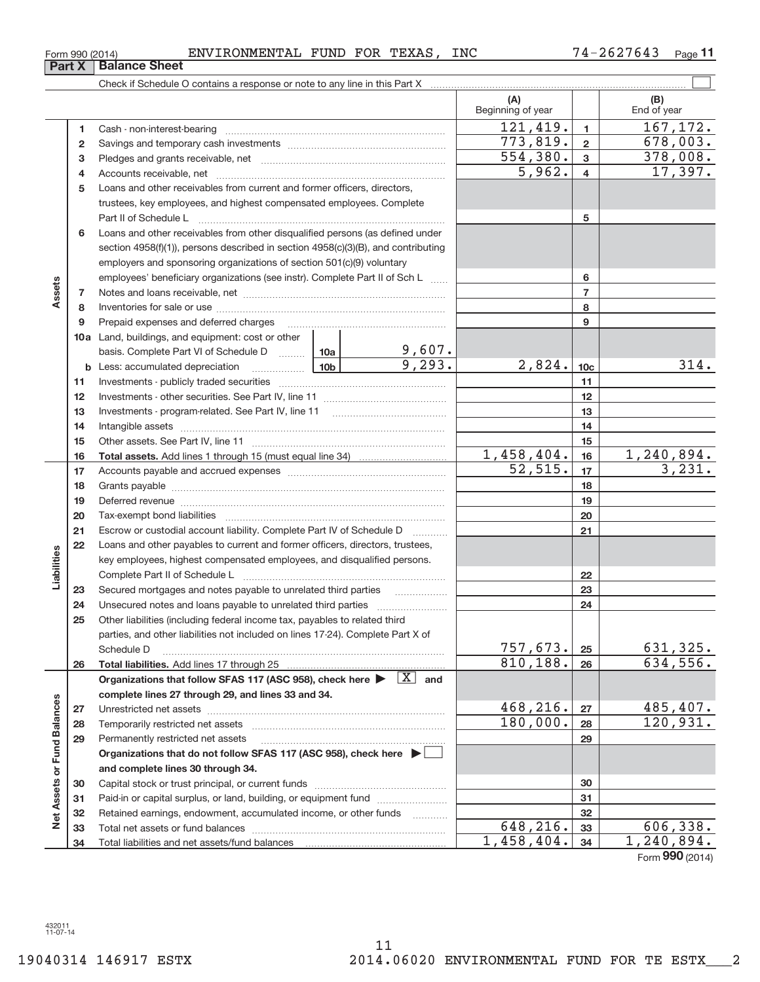**Part X** | Balance Sheet

 $\overline{a}$ 

 $\overline{\phantom{a}}$ 

| Form 990 (2014) | ENVIRONMENTAL FUND FOR TEXAS, |  |  |  | INC | $-2627643$<br>$74-$ | Page |
|-----------------|-------------------------------|--|--|--|-----|---------------------|------|
|-----------------|-------------------------------|--|--|--|-----|---------------------|------|

|                             |    |                                                                                                    |  |          | (A)<br>Beginning of year   |                 | (B)<br>End of year          |
|-----------------------------|----|----------------------------------------------------------------------------------------------------|--|----------|----------------------------|-----------------|-----------------------------|
|                             | 1  | Cash - non-interest-bearing                                                                        |  |          | 121,419.                   | $\mathbf{1}$    | 167, 172.                   |
|                             | 2  |                                                                                                    |  |          | 773,819.                   | $\mathbf{2}$    | 678,003.                    |
|                             | з  |                                                                                                    |  | 554,380. | 3                          | 378,008.        |                             |
|                             | 4  |                                                                                                    |  | 5,962.   | $\overline{\mathbf{4}}$    | 17,397.         |                             |
|                             | 5  | Loans and other receivables from current and former officers, directors,                           |  |          |                            |                 |                             |
|                             |    | trustees, key employees, and highest compensated employees. Complete                               |  |          |                            |                 |                             |
|                             |    | Part II of Schedule L                                                                              |  |          |                            | 5               |                             |
|                             | 6  | Loans and other receivables from other disqualified persons (as defined under                      |  |          |                            |                 |                             |
|                             |    | section $4958(f)(1)$ , persons described in section $4958(c)(3)(B)$ , and contributing             |  |          |                            |                 |                             |
|                             |    | employers and sponsoring organizations of section 501(c)(9) voluntary                              |  |          |                            |                 |                             |
|                             |    | employees' beneficiary organizations (see instr). Complete Part II of Sch L                        |  |          |                            | 6               |                             |
| Assets                      | 7  |                                                                                                    |  |          |                            | $\overline{7}$  |                             |
|                             | 8  |                                                                                                    |  |          |                            | 8               |                             |
|                             | 9  | Prepaid expenses and deferred charges                                                              |  |          |                            | 9               |                             |
|                             |    | 10a Land, buildings, and equipment: cost or other                                                  |  |          |                            |                 |                             |
|                             |    |                                                                                                    |  |          |                            |                 |                             |
|                             | b  | <u>  10b</u><br>Less: accumulated depreciation                                                     |  |          | 2,824.                     | 10 <sub>c</sub> | 314.                        |
|                             | 11 |                                                                                                    |  |          |                            | 11              |                             |
|                             | 12 |                                                                                                    |  |          |                            | 12              |                             |
|                             | 13 |                                                                                                    |  |          |                            | 13              |                             |
|                             | 14 |                                                                                                    |  |          |                            | 14              |                             |
|                             | 15 |                                                                                                    |  |          |                            | 15              |                             |
|                             | 16 |                                                                                                    |  |          | $\frac{1,458,404}{52,515}$ | 16              | $\frac{1,240,894.}{3,231.}$ |
|                             | 17 |                                                                                                    |  |          |                            | 17              |                             |
|                             | 18 |                                                                                                    |  |          |                            | 18              |                             |
|                             | 19 |                                                                                                    |  |          |                            | 19              |                             |
|                             | 20 |                                                                                                    |  |          |                            | 20              |                             |
|                             | 21 | Escrow or custodial account liability. Complete Part IV of Schedule D                              |  | .        |                            | 21              |                             |
|                             | 22 | Loans and other payables to current and former officers, directors, trustees,                      |  |          |                            |                 |                             |
|                             |    | key employees, highest compensated employees, and disqualified persons.                            |  |          |                            |                 |                             |
| Liabilities                 |    | Complete Part II of Schedule L                                                                     |  |          |                            | 22              |                             |
|                             | 23 | Secured mortgages and notes payable to unrelated third parties                                     |  |          |                            | 23              |                             |
|                             | 24 |                                                                                                    |  |          |                            | 24              |                             |
|                             | 25 | Other liabilities (including federal income tax, payables to related third                         |  |          |                            |                 |                             |
|                             |    | parties, and other liabilities not included on lines 17-24). Complete Part X of                    |  |          |                            |                 |                             |
|                             |    | Schedule D                                                                                         |  |          | 757,673.                   | 25              | 631,325.                    |
|                             | 26 |                                                                                                    |  |          | 810,188.                   | 26              | 634,556.                    |
|                             |    | Organizations that follow SFAS 117 (ASC 958), check here $\blacktriangleright \quad \boxed{X}$ and |  |          |                            |                 |                             |
|                             |    | complete lines 27 through 29, and lines 33 and 34.                                                 |  |          |                            |                 |                             |
|                             | 27 |                                                                                                    |  |          | 468,216.                   | 27              | <u>485,407.</u>             |
|                             | 28 | Temporarily restricted net assets                                                                  |  |          | 180,000.                   | 28              | 120,931.                    |
|                             | 29 | Permanently restricted net assets                                                                  |  |          |                            | 29              |                             |
|                             |    | Organizations that do not follow SFAS 117 (ASC 958), check here $\blacktriangleright$              |  |          |                            |                 |                             |
|                             |    | and complete lines 30 through 34.                                                                  |  |          |                            |                 |                             |
|                             | 30 |                                                                                                    |  |          |                            | 30              |                             |
|                             | 31 | Paid-in or capital surplus, or land, building, or equipment fund                                   |  |          |                            | 31              |                             |
| Net Assets or Fund Balances | 32 | Retained earnings, endowment, accumulated income, or other funds                                   |  | .        | 648,216.                   | 32              | 606,338.                    |
|                             | 33 | Total net assets or fund balances                                                                  |  |          | 1,458,404.                 | 33              | 1,240,894.                  |
|                             | 34 |                                                                                                    |  |          |                            | 34              |                             |

Form (2014) **990**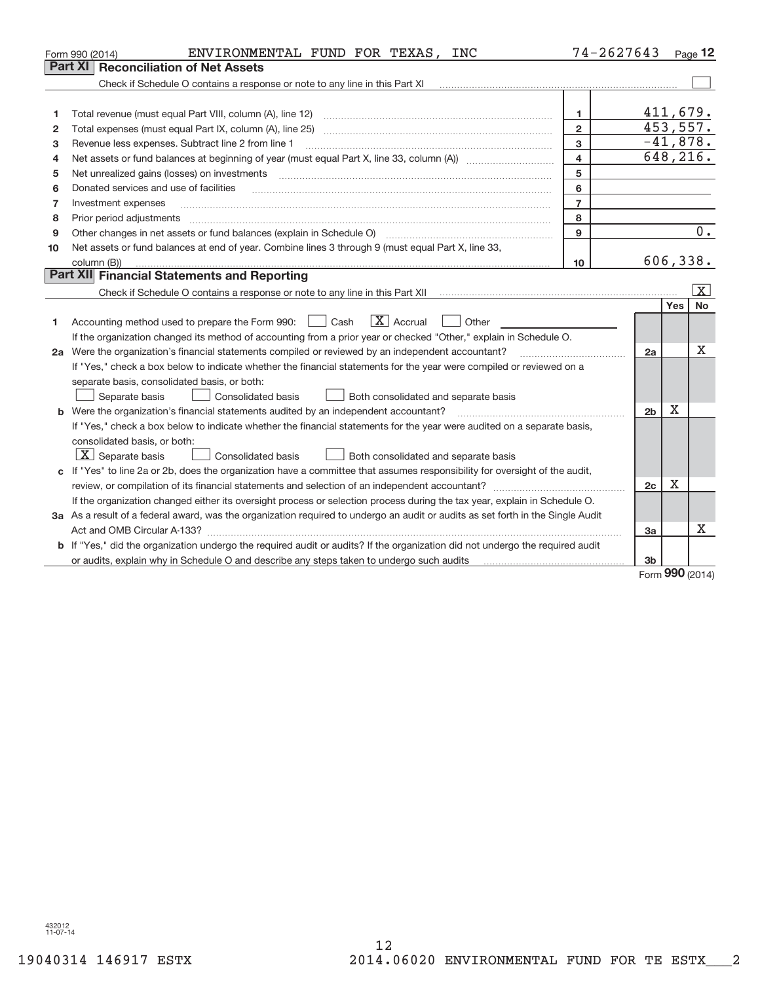|    | ENVIRONMENTAL FUND FOR TEXAS, INC<br>Form 990 (2014)                                                                                                                             | 74-2627643              |                |             | Page 12         |
|----|----------------------------------------------------------------------------------------------------------------------------------------------------------------------------------|-------------------------|----------------|-------------|-----------------|
|    | Part XI<br><b>Reconciliation of Net Assets</b>                                                                                                                                   |                         |                |             |                 |
|    | Check if Schedule O contains a response or note to any line in this Part XI [11] [12] [12] [13] [13] Check if Schedule O contains a response or note to any line in this Part XI |                         |                |             |                 |
|    |                                                                                                                                                                                  |                         |                |             |                 |
| 1  |                                                                                                                                                                                  | $\mathbf{1}$            |                | 411,679.    |                 |
| 2  |                                                                                                                                                                                  | $\mathbf{2}$            |                | 453,557.    |                 |
| 3  | Revenue less expenses. Subtract line 2 from line 1                                                                                                                               | 3                       |                | $-41,878.$  |                 |
| 4  |                                                                                                                                                                                  | $\overline{\mathbf{4}}$ |                | 648, 216.   |                 |
| 5  | Net unrealized gains (losses) on investments                                                                                                                                     | 5                       |                |             |                 |
| 6  | Donated services and use of facilities                                                                                                                                           | 6                       |                |             |                 |
| 7  | Investment expenses                                                                                                                                                              | $\overline{7}$          |                |             |                 |
| 8  | Prior period adjustments                                                                                                                                                         | 8                       |                |             |                 |
| 9  | Other changes in net assets or fund balances (explain in Schedule O) [11] [2001] [2001] [2001] [2001] [2001] [                                                                   | $\mathbf{9}$            |                |             | 0.              |
| 10 | Net assets or fund balances at end of year. Combine lines 3 through 9 (must equal Part X, line 33,                                                                               |                         |                |             |                 |
|    | column (B))                                                                                                                                                                      | 10                      |                | 606,338.    |                 |
|    | Part XII Financial Statements and Reporting                                                                                                                                      |                         |                |             |                 |
|    |                                                                                                                                                                                  |                         |                |             | $\vert X \vert$ |
|    |                                                                                                                                                                                  |                         |                | Yes         | <b>No</b>       |
| 1  | $\mathbf{X}$ Accrual<br>Accounting method used to prepare the Form 990: <u>June</u> Cash<br>  Other                                                                              |                         |                |             |                 |
|    | If the organization changed its method of accounting from a prior year or checked "Other," explain in Schedule O.                                                                |                         |                |             |                 |
|    | 2a Were the organization's financial statements compiled or reviewed by an independent accountant?                                                                               |                         | 2a             |             | Χ               |
|    | If "Yes," check a box below to indicate whether the financial statements for the year were compiled or reviewed on a                                                             |                         |                |             |                 |
|    | separate basis, consolidated basis, or both:                                                                                                                                     |                         |                |             |                 |
|    | Separate basis<br>Consolidated basis<br>Both consolidated and separate basis                                                                                                     |                         |                |             |                 |
|    | <b>b</b> Were the organization's financial statements audited by an independent accountant?                                                                                      |                         | 2 <sub>b</sub> | $\mathbf X$ |                 |
|    | If "Yes," check a box below to indicate whether the financial statements for the year were audited on a separate basis,                                                          |                         |                |             |                 |
|    | consolidated basis, or both:                                                                                                                                                     |                         |                |             |                 |
|    | $ \mathbf{X} $ Separate basis<br><b>Consolidated basis</b><br>Both consolidated and separate basis                                                                               |                         |                |             |                 |
|    | c If "Yes" to line 2a or 2b, does the organization have a committee that assumes responsibility for oversight of the audit,                                                      |                         |                |             |                 |
|    |                                                                                                                                                                                  |                         | 2c             | Х           |                 |
|    | If the organization changed either its oversight process or selection process during the tax year, explain in Schedule O.                                                        |                         |                |             |                 |
|    | 3a As a result of a federal award, was the organization required to undergo an audit or audits as set forth in the Single Audit                                                  |                         |                |             |                 |
|    |                                                                                                                                                                                  |                         | За             |             | Χ               |
|    | b If "Yes," did the organization undergo the required audit or audits? If the organization did not undergo the required audit                                                    |                         |                |             |                 |
|    |                                                                                                                                                                                  |                         | 3 <sub>b</sub> | $\sim$      |                 |

Form (2014) **990**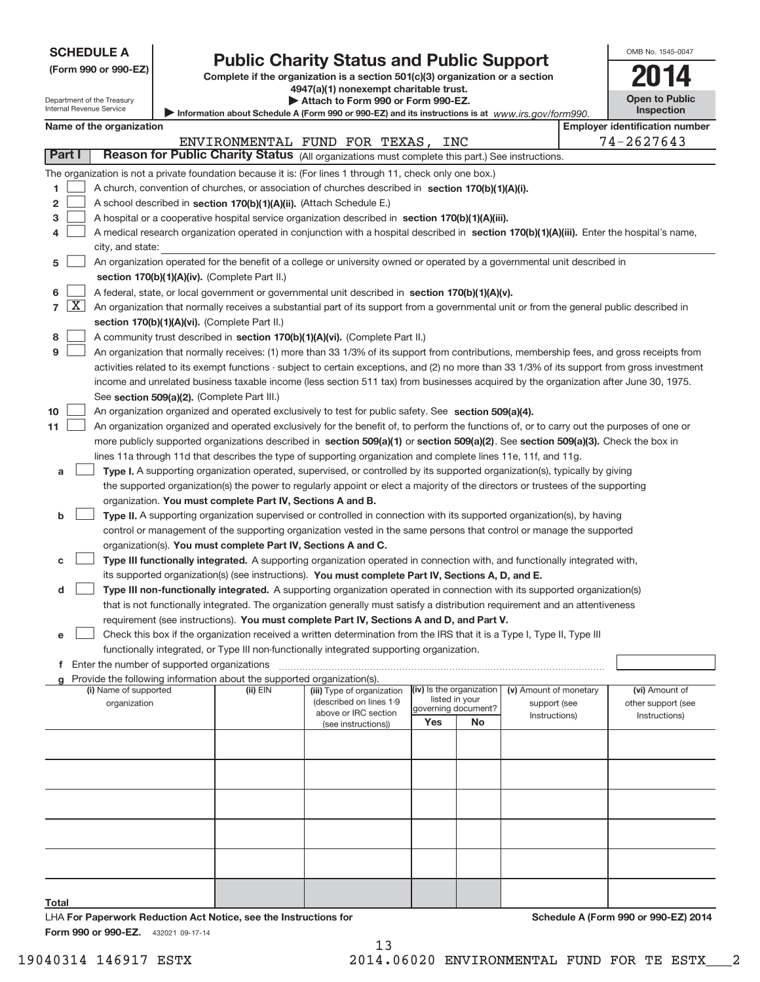Department of the Treasury Internal Revenue Service

|  |  |  | (Form 990 or 990-EZ) |  |
|--|--|--|----------------------|--|
|--|--|--|----------------------|--|

## **Public Charity Status and Public Support**

Complete if the organization is a section 501(c)(3) organization or a section **4947(a)(1) nonexempt charitable trust.**

**| Attach to Form 990 or Form 990‐EZ.** 

Information about Schedule A (Form 990 or 990-EZ) and its instructions is at *www.irs.gov/form990.* 

| OMB No. 1545-0047                   |
|-------------------------------------|
| 77                                  |
| <b>Open to Public</b><br>Inspection |
|                                     |

| Name of the organization                                                                                                                                      |                        | <b>Employer identification number</b> |  |  |  |  |  |  |
|---------------------------------------------------------------------------------------------------------------------------------------------------------------|------------------------|---------------------------------------|--|--|--|--|--|--|
| ENVIRONMENTAL FUND FOR TEXAS,<br>INC                                                                                                                          |                        | 74-2627643                            |  |  |  |  |  |  |
| Part I<br>Reason for Public Charity Status (All organizations must complete this part.) See instructions.                                                     |                        |                                       |  |  |  |  |  |  |
| The organization is not a private foundation because it is: (For lines 1 through 11, check only one box.)                                                     |                        |                                       |  |  |  |  |  |  |
| A church, convention of churches, or association of churches described in section 170(b)(1)(A)(i).<br>1                                                       |                        |                                       |  |  |  |  |  |  |
| 2<br>A school described in section 170(b)(1)(A)(ii). (Attach Schedule E.)                                                                                     |                        |                                       |  |  |  |  |  |  |
| A hospital or a cooperative hospital service organization described in section 170(b)(1)(A)(iii).<br>3                                                        |                        |                                       |  |  |  |  |  |  |
| A medical research organization operated in conjunction with a hospital described in section 170(b)(1)(A)(iii). Enter the hospital's name,<br>4               |                        |                                       |  |  |  |  |  |  |
| city, and state:                                                                                                                                              |                        |                                       |  |  |  |  |  |  |
| An organization operated for the benefit of a college or university owned or operated by a governmental unit described in<br>5                                |                        |                                       |  |  |  |  |  |  |
| section 170(b)(1)(A)(iv). (Complete Part II.)                                                                                                                 |                        |                                       |  |  |  |  |  |  |
| A federal, state, or local government or governmental unit described in section 170(b)(1)(A)(v).<br>6                                                         |                        |                                       |  |  |  |  |  |  |
| $X$ An organization that normally receives a substantial part of its support from a governmental unit or from the general public described in<br>$\mathbf{7}$ |                        |                                       |  |  |  |  |  |  |
| section 170(b)(1)(A)(vi). (Complete Part II.)                                                                                                                 |                        |                                       |  |  |  |  |  |  |
| A community trust described in section 170(b)(1)(A)(vi). (Complete Part II.)<br>8                                                                             |                        |                                       |  |  |  |  |  |  |
| 9<br>An organization that normally receives: (1) more than 33 1/3% of its support from contributions, membership fees, and gross receipts from                |                        |                                       |  |  |  |  |  |  |
| activities related to its exempt functions - subject to certain exceptions, and (2) no more than 33 1/3% of its support from gross investment                 |                        |                                       |  |  |  |  |  |  |
| income and unrelated business taxable income (less section 511 tax) from businesses acquired by the organization after June 30, 1975.                         |                        |                                       |  |  |  |  |  |  |
| See section 509(a)(2). (Complete Part III.)                                                                                                                   |                        |                                       |  |  |  |  |  |  |
| 10<br>An organization organized and operated exclusively to test for public safety. See section 509(a)(4).                                                    |                        |                                       |  |  |  |  |  |  |
| 11<br>An organization organized and operated exclusively for the benefit of, to perform the functions of, or to carry out the purposes of one or              |                        |                                       |  |  |  |  |  |  |
| more publicly supported organizations described in section 509(a)(1) or section 509(a)(2). See section 509(a)(3). Check the box in                            |                        |                                       |  |  |  |  |  |  |
| lines 11a through 11d that describes the type of supporting organization and complete lines 11e, 11f, and 11g.                                                |                        |                                       |  |  |  |  |  |  |
| Type I. A supporting organization operated, supervised, or controlled by its supported organization(s), typically by giving<br>а                              |                        |                                       |  |  |  |  |  |  |
| the supported organization(s) the power to regularly appoint or elect a majority of the directors or trustees of the supporting                               |                        |                                       |  |  |  |  |  |  |
| organization. You must complete Part IV, Sections A and B.                                                                                                    |                        |                                       |  |  |  |  |  |  |
| Type II. A supporting organization supervised or controlled in connection with its supported organization(s), by having<br>b                                  |                        |                                       |  |  |  |  |  |  |
| control or management of the supporting organization vested in the same persons that control or manage the supported                                          |                        |                                       |  |  |  |  |  |  |
| organization(s). You must complete Part IV, Sections A and C.                                                                                                 |                        |                                       |  |  |  |  |  |  |
| Type III functionally integrated. A supporting organization operated in connection with, and functionally integrated with,<br>с                               |                        |                                       |  |  |  |  |  |  |
| its supported organization(s) (see instructions). You must complete Part IV, Sections A, D, and E.                                                            |                        |                                       |  |  |  |  |  |  |
| Type III non-functionally integrated. A supporting organization operated in connection with its supported organization(s)<br>d                                |                        |                                       |  |  |  |  |  |  |
| that is not functionally integrated. The organization generally must satisfy a distribution requirement and an attentiveness                                  |                        |                                       |  |  |  |  |  |  |
| requirement (see instructions). You must complete Part IV, Sections A and D, and Part V.                                                                      |                        |                                       |  |  |  |  |  |  |
| Check this box if the organization received a written determination from the IRS that it is a Type I, Type II, Type III<br>е                                  |                        |                                       |  |  |  |  |  |  |
| functionally integrated, or Type III non-functionally integrated supporting organization.                                                                     |                        |                                       |  |  |  |  |  |  |
|                                                                                                                                                               |                        |                                       |  |  |  |  |  |  |
| Provide the following information about the supported organization(s).                                                                                        |                        |                                       |  |  |  |  |  |  |
| (iv) Is the organization<br>(i) Name of supported<br>$(ii)$ $EIN$<br>(iii) Type of organization                                                               | (v) Amount of monetary | (vi) Amount of                        |  |  |  |  |  |  |
| listed in your<br>(described on lines 1-9<br>organization<br>governing document?                                                                              | support (see           | other support (see                    |  |  |  |  |  |  |
| above or IRC section<br>Yes<br>No<br>(see instructions))                                                                                                      | Instructions)          | Instructions)                         |  |  |  |  |  |  |
|                                                                                                                                                               |                        |                                       |  |  |  |  |  |  |
|                                                                                                                                                               |                        |                                       |  |  |  |  |  |  |
|                                                                                                                                                               |                        |                                       |  |  |  |  |  |  |
|                                                                                                                                                               |                        |                                       |  |  |  |  |  |  |
|                                                                                                                                                               |                        |                                       |  |  |  |  |  |  |
|                                                                                                                                                               |                        |                                       |  |  |  |  |  |  |
|                                                                                                                                                               |                        |                                       |  |  |  |  |  |  |
|                                                                                                                                                               |                        |                                       |  |  |  |  |  |  |
|                                                                                                                                                               |                        |                                       |  |  |  |  |  |  |
|                                                                                                                                                               |                        |                                       |  |  |  |  |  |  |
| Total                                                                                                                                                         |                        |                                       |  |  |  |  |  |  |

432021 09‐17‐14 **Form 990 or 990‐EZ.** LHA For Paperwork Reduction Act Notice, see the Instructions for **Schedule A (Form 990 or 990‐EZ) 2014**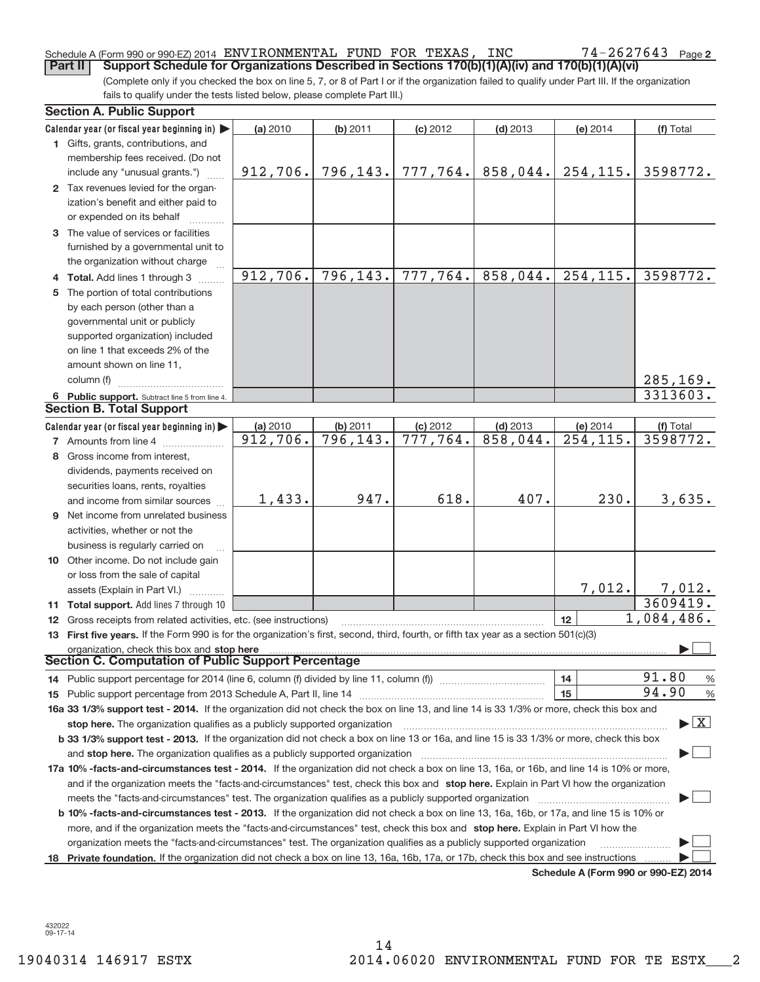## Schedule A (Form 990 or 990‐EZ) 2014 Page ENVIRONMENTAL FUND FOR TEXAS, INC 74‐2627643

(Complete only if you checked the box on line 5, 7, or 8 of Part I or if the organization failed to qualify under Part III. If the organization fails to qualify under the tests listed below, please complete Part III.) **Part II** Support Schedule for Organizations Described in Sections 170(b)(1)(A)(iv) and 170(b)(1)(A)(vi)

| <b>Section A. Public Support</b> |                                                                                                                                                |          |           |            |            |          |                                    |  |  |
|----------------------------------|------------------------------------------------------------------------------------------------------------------------------------------------|----------|-----------|------------|------------|----------|------------------------------------|--|--|
|                                  | Calendar year (or fiscal year beginning in)                                                                                                    | (a) 2010 | (b) 2011  | $(c)$ 2012 | $(d)$ 2013 | (e) 2014 | (f) Total                          |  |  |
|                                  | 1 Gifts, grants, contributions, and                                                                                                            |          |           |            |            |          |                                    |  |  |
|                                  | membership fees received. (Do not                                                                                                              |          |           |            |            |          |                                    |  |  |
|                                  | include any "unusual grants.")                                                                                                                 | 912,706. | 796, 143. | 777,764.   | 858,044.   | 254,115. | 3598772.                           |  |  |
|                                  | 2 Tax revenues levied for the organ-                                                                                                           |          |           |            |            |          |                                    |  |  |
|                                  | ization's benefit and either paid to                                                                                                           |          |           |            |            |          |                                    |  |  |
|                                  | or expended on its behalf                                                                                                                      |          |           |            |            |          |                                    |  |  |
|                                  | 3 The value of services or facilities                                                                                                          |          |           |            |            |          |                                    |  |  |
|                                  | furnished by a governmental unit to                                                                                                            |          |           |            |            |          |                                    |  |  |
|                                  | the organization without charge                                                                                                                |          |           |            |            |          |                                    |  |  |
|                                  | 4 Total. Add lines 1 through 3                                                                                                                 | 912,706. | 796, 143. | 777,764.   | 858,044.   | 254,115. | 3598772.                           |  |  |
| 5                                | The portion of total contributions                                                                                                             |          |           |            |            |          |                                    |  |  |
|                                  | by each person (other than a                                                                                                                   |          |           |            |            |          |                                    |  |  |
|                                  | governmental unit or publicly                                                                                                                  |          |           |            |            |          |                                    |  |  |
|                                  | supported organization) included                                                                                                               |          |           |            |            |          |                                    |  |  |
|                                  | on line 1 that exceeds 2% of the                                                                                                               |          |           |            |            |          |                                    |  |  |
|                                  | amount shown on line 11,                                                                                                                       |          |           |            |            |          |                                    |  |  |
|                                  | column (f)                                                                                                                                     |          |           |            |            |          | 285, 169.                          |  |  |
|                                  | 6 Public support. Subtract line 5 from line 4.                                                                                                 |          |           |            |            |          | 3313603.                           |  |  |
|                                  | <b>Section B. Total Support</b>                                                                                                                |          |           |            |            |          |                                    |  |  |
|                                  | Calendar year (or fiscal year beginning in)                                                                                                    | (a) 2010 | (b) 2011  | $(c)$ 2012 | $(d)$ 2013 | (e) 2014 | (f) Total                          |  |  |
|                                  | <b>7</b> Amounts from line 4                                                                                                                   | 912,706. | 796, 143. | 777,764.   | 858,044.   | 254,115. | 3598772.                           |  |  |
| 8                                | Gross income from interest.                                                                                                                    |          |           |            |            |          |                                    |  |  |
|                                  | dividends, payments received on                                                                                                                |          |           |            |            |          |                                    |  |  |
|                                  | securities loans, rents, royalties                                                                                                             |          |           |            |            |          |                                    |  |  |
|                                  | and income from similar sources                                                                                                                | 1,433.   | 947.      | 618.       | 407.       | 230.     | 3,635.                             |  |  |
|                                  | <b>9</b> Net income from unrelated business                                                                                                    |          |           |            |            |          |                                    |  |  |
|                                  | activities, whether or not the                                                                                                                 |          |           |            |            |          |                                    |  |  |
|                                  | business is regularly carried on                                                                                                               |          |           |            |            |          |                                    |  |  |
|                                  | 10 Other income. Do not include gain                                                                                                           |          |           |            |            |          |                                    |  |  |
|                                  | or loss from the sale of capital                                                                                                               |          |           |            |            |          |                                    |  |  |
|                                  | assets (Explain in Part VI.)                                                                                                                   |          |           |            |            | 7,012.]  | $\frac{7,012.}{3609419.}$          |  |  |
|                                  | 11 Total support. Add lines 7 through 10                                                                                                       |          |           |            |            |          |                                    |  |  |
|                                  | 12 Gross receipts from related activities, etc. (see instructions)                                                                             |          |           |            |            | 12       | 1,084,486.                         |  |  |
|                                  | 13 First five years. If the Form 990 is for the organization's first, second, third, fourth, or fifth tax year as a section 501(c)(3)          |          |           |            |            |          |                                    |  |  |
|                                  | organization, check this box and stop here<br><b>Section C. Computation of Public Support Percentage</b>                                       |          |           |            |            |          |                                    |  |  |
|                                  | 14 Public support percentage for 2014 (line 6, column (f) divided by line 11, column (f) <i>manumanomeron</i> enter-                           |          |           |            |            | 14       | 91.80<br>$\frac{0}{6}$             |  |  |
|                                  |                                                                                                                                                |          |           |            |            | 15       | 94.90<br>%                         |  |  |
|                                  | 16a 33 1/3% support test - 2014. If the organization did not check the box on line 13, and line 14 is 33 1/3% or more, check this box and      |          |           |            |            |          |                                    |  |  |
|                                  | stop here. The organization qualifies as a publicly supported organization                                                                     |          |           |            |            |          | $\blacktriangleright$ $\mathbf{X}$ |  |  |
|                                  | b 33 1/3% support test - 2013. If the organization did not check a box on line 13 or 16a, and line 15 is 33 1/3% or more, check this box       |          |           |            |            |          |                                    |  |  |
|                                  | and stop here. The organization qualifies as a publicly supported organization                                                                 |          |           |            |            |          |                                    |  |  |
|                                  | 17a 10% -facts-and-circumstances test - 2014. If the organization did not check a box on line 13, 16a, or 16b, and line 14 is 10% or more,     |          |           |            |            |          |                                    |  |  |
|                                  | and if the organization meets the "facts-and-circumstances" test, check this box and stop here. Explain in Part VI how the organization        |          |           |            |            |          |                                    |  |  |
|                                  | meets the "facts-and-circumstances" test. The organization qualifies as a publicly supported organization                                      |          |           |            |            |          |                                    |  |  |
|                                  | <b>b 10% -facts-and-circumstances test - 2013.</b> If the organization did not check a box on line 13, 16a, 16b, or 17a, and line 15 is 10% or |          |           |            |            |          |                                    |  |  |
|                                  | more, and if the organization meets the "facts-and-circumstances" test, check this box and stop here. Explain in Part VI how the               |          |           |            |            |          |                                    |  |  |
|                                  | organization meets the "facts-and-circumstances" test. The organization qualifies as a publicly supported organization                         |          |           |            |            |          |                                    |  |  |
| 18.                              | Private foundation. If the organization did not check a box on line 13, 16a, 16b, 17a, or 17b, check this box and see instructions             |          |           |            |            |          |                                    |  |  |
|                                  | Schedule A (Form 990 or 990-EZ) 2014                                                                                                           |          |           |            |            |          |                                    |  |  |

432022 09‐17‐14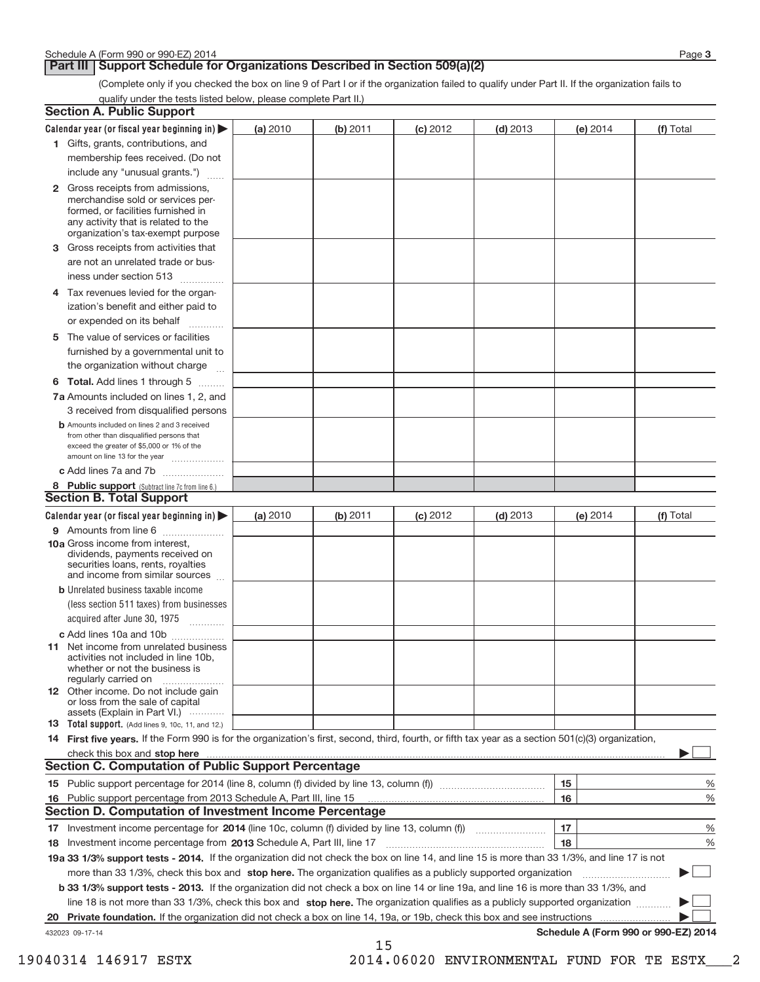## **Part III | Support Schedule for Organizations Described in Section 509(a)(2)**

(Complete only if you checked the box on line 9 of Part I or if the organization failed to qualify under Part II. If the organization fails to qualify under the tests listed below, please complete Part II.)

| <b>Section A. Public Support</b> |                                                                                                                                                                                          |          |          |            |            |          |                                      |
|----------------------------------|------------------------------------------------------------------------------------------------------------------------------------------------------------------------------------------|----------|----------|------------|------------|----------|--------------------------------------|
|                                  | Calendar year (or fiscal year beginning in)                                                                                                                                              | (a) 2010 | (b) 2011 | $(c)$ 2012 | $(d)$ 2013 | (e) 2014 | (f) Total                            |
|                                  | 1 Gifts, grants, contributions, and                                                                                                                                                      |          |          |            |            |          |                                      |
|                                  | membership fees received. (Do not                                                                                                                                                        |          |          |            |            |          |                                      |
|                                  | include any "unusual grants.")                                                                                                                                                           |          |          |            |            |          |                                      |
|                                  | 2 Gross receipts from admissions,<br>merchandise sold or services per-<br>formed, or facilities furnished in<br>any activity that is related to the<br>organization's tax-exempt purpose |          |          |            |            |          |                                      |
|                                  | 3 Gross receipts from activities that                                                                                                                                                    |          |          |            |            |          |                                      |
| iness under section 513          | are not an unrelated trade or bus-                                                                                                                                                       |          |          |            |            |          |                                      |
|                                  | 4 Tax revenues levied for the organ-                                                                                                                                                     |          |          |            |            |          |                                      |
| or expended on its behalf        | ization's benefit and either paid to                                                                                                                                                     |          |          |            |            |          |                                      |
|                                  | 5 The value of services or facilities                                                                                                                                                    |          |          |            |            |          |                                      |
|                                  | furnished by a governmental unit to                                                                                                                                                      |          |          |            |            |          |                                      |
|                                  | the organization without charge                                                                                                                                                          |          |          |            |            |          |                                      |
|                                  | <b>6 Total.</b> Add lines 1 through 5                                                                                                                                                    |          |          |            |            |          |                                      |
|                                  | 7a Amounts included on lines 1, 2, and<br>3 received from disqualified persons                                                                                                           |          |          |            |            |          |                                      |
|                                  | <b>b</b> Amounts included on lines 2 and 3 received<br>from other than disqualified persons that<br>exceed the greater of \$5,000 or 1% of the<br>amount on line 13 for the year         |          |          |            |            |          |                                      |
|                                  | c Add lines 7a and 7b                                                                                                                                                                    |          |          |            |            |          |                                      |
| <b>Section B. Total Support</b>  | 8 Public support (Subtract line 7c from line 6.)                                                                                                                                         |          |          |            |            |          |                                      |
|                                  | Calendar year (or fiscal year beginning in) $\blacktriangleright$                                                                                                                        | (a) 2010 | (b) 2011 | (c) 2012   | $(d)$ 2013 | (e) 2014 | (f) Total                            |
|                                  | 9 Amounts from line 6                                                                                                                                                                    |          |          |            |            |          |                                      |
| 10a Gross income from interest,  | dividends, payments received on<br>securities loans, rents, royalties<br>and income from similar sources                                                                                 |          |          |            |            |          |                                      |
|                                  | <b>b</b> Unrelated business taxable income<br>(less section 511 taxes) from businesses                                                                                                   |          |          |            |            |          |                                      |
|                                  | acquired after June 30, 1975<br>$\ldots \ldots \ldots$                                                                                                                                   |          |          |            |            |          |                                      |
|                                  | c Add lines 10a and 10b                                                                                                                                                                  |          |          |            |            |          |                                      |
| regularly carried on             | <b>11</b> Net income from unrelated business<br>activities not included in line 10b,<br>whether or not the business is                                                                   |          |          |            |            |          |                                      |
|                                  | 12 Other income. Do not include gain<br>or loss from the sale of capital<br>assets (Explain in Part VI.)                                                                                 |          |          |            |            |          |                                      |
|                                  | <b>13</b> Total support. (Add lines 9, 10c, 11, and 12.)                                                                                                                                 |          |          |            |            |          |                                      |
|                                  | 14 First five years. If the Form 990 is for the organization's first, second, third, fourth, or fifth tax year as a section 501(c)(3) organization,                                      |          |          |            |            |          |                                      |
|                                  |                                                                                                                                                                                          |          |          |            |            |          |                                      |
|                                  | <b>Section C. Computation of Public Support Percentage</b>                                                                                                                               |          |          |            |            |          |                                      |
|                                  |                                                                                                                                                                                          |          |          |            |            | 15       | %                                    |
|                                  | 16 Public support percentage from 2013 Schedule A, Part III, line 15                                                                                                                     |          |          |            |            | 16       | %                                    |
|                                  | <b>Section D. Computation of Investment Income Percentage</b>                                                                                                                            |          |          |            |            |          |                                      |
|                                  | 17 Investment income percentage for 2014 (line 10c, column (f) divided by line 13, column (f) <i></i>                                                                                    |          |          |            |            | 17<br>18 | %<br>%                               |
|                                  | 19a 33 1/3% support tests - 2014. If the organization did not check the box on line 14, and line 15 is more than 33 1/3%, and line 17 is not                                             |          |          |            |            |          |                                      |
|                                  | more than 33 1/3%, check this box and stop here. The organization qualifies as a publicly supported organization                                                                         |          |          |            |            |          |                                      |
|                                  | b 33 1/3% support tests - 2013. If the organization did not check a box on line 14 or line 19a, and line 16 is more than 33 1/3%, and                                                    |          |          |            |            |          |                                      |
|                                  | line 18 is not more than 33 1/3%, check this box and stop here. The organization qualifies as a publicly supported organization                                                          |          |          |            |            |          |                                      |
|                                  | 20 Private foundation. If the organization did not check a box on line 14, 19a, or 19b, check this box and see instructions                                                              |          |          |            |            |          |                                      |
| 432023 09-17-14                  |                                                                                                                                                                                          |          |          |            |            |          | Schedule A (Form 990 or 990-EZ) 2014 |
|                                  |                                                                                                                                                                                          |          | 15       |            |            |          |                                      |

19040314 146917 ESTX 2014.06020 ENVIRONMENTAL FUND FOR TE ESTX\_\_\_2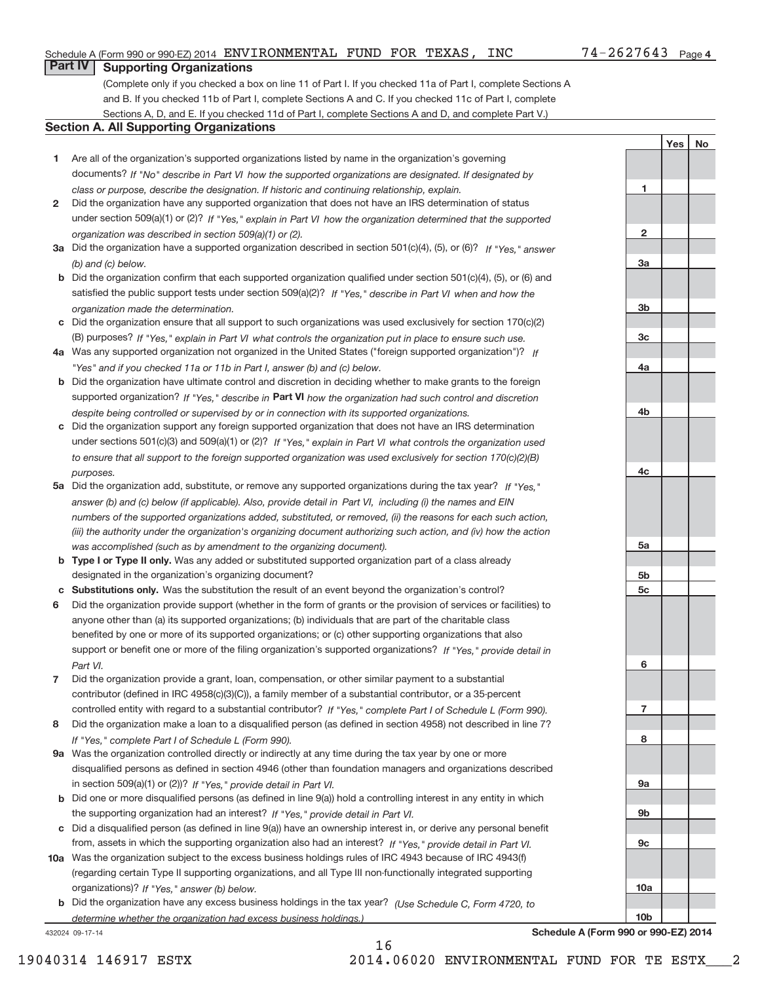**2**

**3a**

Yes | No

## **Part IV Supporting Organizations**

(Complete only if you checked a box on line 11 of Part I. If you checked 11a of Part I, complete Sections A and B. If you checked 11b of Part I, complete Sections A and C. If you checked 11c of Part I, complete Sections A, D, and E. If you checked 11d of Part I, complete Sections A and D, and complete Part V.)

## **Section A. All Supporting Organizations**

- **1** Are all of the organization's supported organizations listed by name in the organization's governing documents? If "No" describe in Part VI how the supported organizations are designated. If designated by *class or purpose, describe the designation. If historic and continuing relationship, explain.*
- **2** Did the organization have any supported organization that does not have an IRS determination of status under section 509(a)(1) or (2)? If "Yes," explain in Part VI how the organization determined that the supported *organization was described in section 509(a)(1) or (2).*
- **3a** Did the organization have a supported organization described in section 501(c)(4), (5), or (6)? If "Yes," answer *(b) and (c) below.*
- **b** Did the organization confirm that each supported organization qualified under section 501(c)(4), (5), or (6) and satisfied the public support tests under section 509(a)(2)? If "Yes," describe in Part VI when and how the *organization made the determination.*
- **c** Did the organization ensure that all support to such organizations was used exclusively for section 170(c)(2) (B) purposes? If "Yes," explain in Part VI what controls the organization put in place to ensure such use.
- **4 a** *If* Was any supported organization not organized in the United States ("foreign supported organization")? *"Yes" and if you checked 11a or 11b in Part I, answer (b) and (c) below.*
- **b** Did the organization have ultimate control and discretion in deciding whether to make grants to the foreign supported organization? If "Yes," describe in Part VI how the organization had such control and discretion *despite being controlled or supervised by or in connection with its supported organizations.*
- **c** Did the organization support any foreign supported organization that does not have an IRS determination under sections 501(c)(3) and 509(a)(1) or (2)? If "Yes," explain in Part VI what controls the organization used *to ensure that all support to the foreign supported organization was used exclusively for section 170(c)(2)(B) purposes.*
- **5a** Did the organization add, substitute, or remove any supported organizations during the tax year? If "Yes," answer (b) and (c) below (if applicable). Also, provide detail in Part VI, including (i) the names and EIN *numbers of the supported organizations added, substituted, or removed, (ii) the reasons for each such action, (iii) the authority under the organization's organizing document authorizing such action, and (iv) how the action was accomplished (such as by amendment to the organizing document).*
- **b** Type I or Type II only. Was any added or substituted supported organization part of a class already designated in the organization's organizing document?
- **c Substitutions only.**  Was the substitution the result of an event beyond the organization's control?
- **6** Did the organization provide support (whether in the form of grants or the provision of services or facilities) to *If "Yes," provide detail in* support or benefit one or more of the filing organization's supported organizations? anyone other than (a) its supported organizations; (b) individuals that are part of the charitable class benefited by one or more of its supported organizations; or (c) other supporting organizations that also *Part VI.*
- **7** Did the organization provide a grant, loan, compensation, or other similar payment to a substantial controlled entity with regard to a substantial contributor? If "Yes," complete Part I of Schedule L (Form 990). contributor (defined in IRC 4958(c)(3)(C)), a family member of a substantial contributor, or a 35-percent
- **8** Did the organization make a loan to a disqualified person (as defined in section 4958) not described in line 7? *If "Yes," complete Part I of Schedule L (Form 990).*
- **9 a** Was the organization controlled directly or indirectly at any time during the tax year by one or more in section 509(a)(1) or (2))? If "Yes," provide detail in Part VI. disqualified persons as defined in section 4946 (other than foundation managers and organizations described
- **b** the supporting organization had an interest? If "Yes," provide detail in Part VI. Did one or more disqualified persons (as defined in line 9(a)) hold a controlling interest in any entity in which
- **c** Did a disqualified person (as defined in line 9(a)) have an ownership interest in, or derive any personal benefit from, assets in which the supporting organization also had an interest? If "Yes," provide detail in Part VI.
- **10 a** Was the organization subject to the excess business holdings rules of IRC 4943 because of IRC 4943(f)  *If "Yes," answer (b) below.* organizations)? (regarding certain Type II supporting organizations, and all Type III non‐functionally integrated supporting
- **b** Did the organization have any excess business holdings in the tax year? (Use Schedule C, Form 4720, to *determine whether the organization had excess business holdings.)*

432024 09‐17‐14



**Schedule A (Form 990 or 990‐EZ) 2014**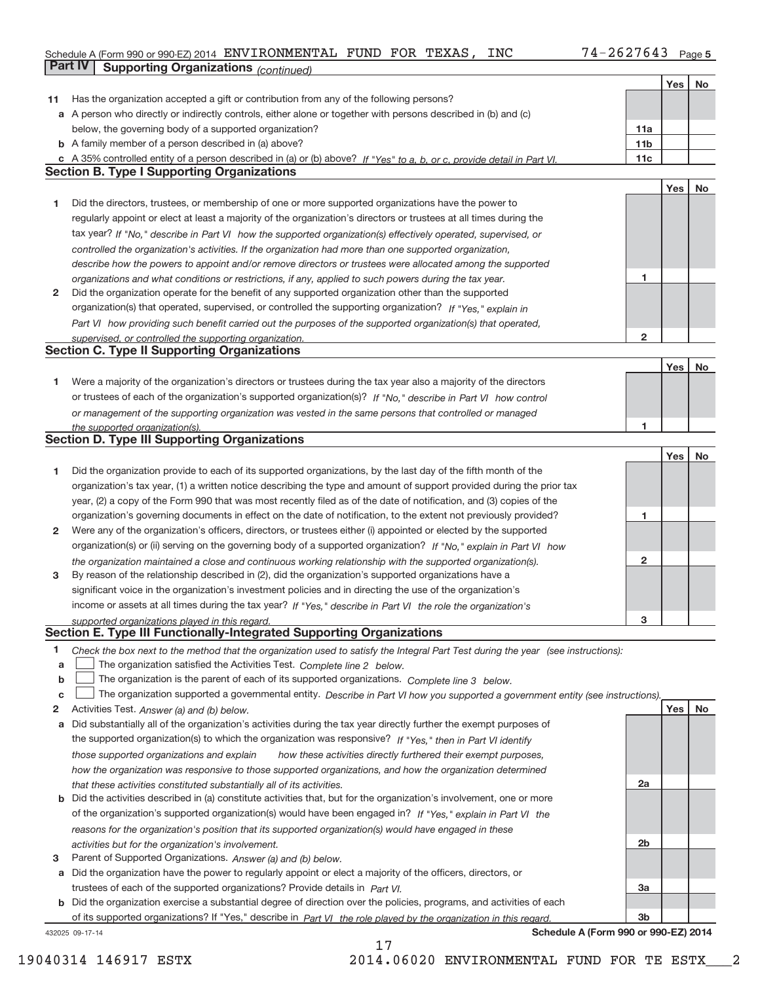## Schedule A (Form 990 or 990-EZ) 2014 ENVIRONMENTAL FUND FOR TEXAS, INC 74-2627643 Page 5 **Part IV** Supporting Organizations (*continued*)

|    |                                                                                                                                   |                 | Yes | No |
|----|-----------------------------------------------------------------------------------------------------------------------------------|-----------------|-----|----|
| 11 | Has the organization accepted a gift or contribution from any of the following persons?                                           |                 |     |    |
|    | a A person who directly or indirectly controls, either alone or together with persons described in (b) and (c)                    |                 |     |    |
|    | below, the governing body of a supported organization?                                                                            | 11a             |     |    |
|    | <b>b</b> A family member of a person described in (a) above?                                                                      | 11 <sub>b</sub> |     |    |
|    | c A 35% controlled entity of a person described in (a) or (b) above? If "Yes" to a, b, or c, provide detail in Part VI.           | 11c             |     |    |
|    | <b>Section B. Type I Supporting Organizations</b>                                                                                 |                 |     |    |
|    |                                                                                                                                   |                 | Yes | No |
| 1  | Did the directors, trustees, or membership of one or more supported organizations have the power to                               |                 |     |    |
|    | regularly appoint or elect at least a majority of the organization's directors or trustees at all times during the                |                 |     |    |
|    | tax year? If "No," describe in Part VI how the supported organization(s) effectively operated, supervised, or                     |                 |     |    |
|    | controlled the organization's activities. If the organization had more than one supported organization,                           |                 |     |    |
|    | describe how the powers to appoint and/or remove directors or trustees were allocated among the supported                         |                 |     |    |
|    | organizations and what conditions or restrictions, if any, applied to such powers during the tax year.                            | 1               |     |    |
| 2  | Did the organization operate for the benefit of any supported organization other than the supported                               |                 |     |    |
|    | organization(s) that operated, supervised, or controlled the supporting organization? If "Yes," explain in                        |                 |     |    |
|    | Part VI how providing such benefit carried out the purposes of the supported organization(s) that operated,                       |                 |     |    |
|    | supervised, or controlled the supporting organization.                                                                            | $\mathbf{2}$    |     |    |
|    | <b>Section C. Type II Supporting Organizations</b>                                                                                |                 |     |    |
|    |                                                                                                                                   |                 | Yes | No |
| 1  | Were a majority of the organization's directors or trustees during the tax year also a majority of the directors                  |                 |     |    |
|    | or trustees of each of the organization's supported organization(s)? If "No," describe in Part VI how control                     |                 |     |    |
|    |                                                                                                                                   |                 |     |    |
|    | or management of the supporting organization was vested in the same persons that controlled or managed                            | 1               |     |    |
|    | the supported organization(s).<br><b>Section D. Type III Supporting Organizations</b>                                             |                 |     |    |
|    |                                                                                                                                   |                 | Yes | No |
|    |                                                                                                                                   |                 |     |    |
| 1  | Did the organization provide to each of its supported organizations, by the last day of the fifth month of the                    |                 |     |    |
|    | organization's tax year, (1) a written notice describing the type and amount of support provided during the prior tax             |                 |     |    |
|    | year, (2) a copy of the Form 990 that was most recently filed as of the date of notification, and (3) copies of the               |                 |     |    |
|    | organization's governing documents in effect on the date of notification, to the extent not previously provided?                  | 1               |     |    |
| 2  | Were any of the organization's officers, directors, or trustees either (i) appointed or elected by the supported                  |                 |     |    |
|    | organization(s) or (ii) serving on the governing body of a supported organization? If "No," explain in Part VI how                |                 |     |    |
|    | the organization maintained a close and continuous working relationship with the supported organization(s).                       | $\mathbf{2}$    |     |    |
| з  | By reason of the relationship described in (2), did the organization's supported organizations have a                             |                 |     |    |
|    | significant voice in the organization's investment policies and in directing the use of the organization's                        |                 |     |    |
|    | income or assets at all times during the tax year? If "Yes," describe in Part VI the role the organization's                      |                 |     |    |
|    | supported organizations played in this regard.<br>Section E. Type III Functionally-Integrated Supporting Organizations            | 3               |     |    |
|    |                                                                                                                                   |                 |     |    |
| 1  | Check the box next to the method that the organization used to satisfy the Integral Part Test during the year (see instructions): |                 |     |    |
| a  | The organization satisfied the Activities Test. Complete line 2 below.                                                            |                 |     |    |
| b  | The organization is the parent of each of its supported organizations. Complete line 3 below.                                     |                 |     |    |
| c  | The organization supported a governmental entity. Describe in Part VI how you supported a government entity (see instructions).   |                 |     |    |
| 2  | Activities Test. Answer (a) and (b) below.                                                                                        |                 | Yes | No |
| a  | Did substantially all of the organization's activities during the tax year directly further the exempt purposes of                |                 |     |    |
|    | the supported organization(s) to which the organization was responsive? If "Yes," then in Part VI identify                        |                 |     |    |
|    | those supported organizations and explain<br>how these activities directly furthered their exempt purposes,                       |                 |     |    |
|    | how the organization was responsive to those supported organizations, and how the organization determined                         |                 |     |    |
|    | that these activities constituted substantially all of its activities.                                                            | 2a              |     |    |
| b  | Did the activities described in (a) constitute activities that, but for the organization's involvement, one or more               |                 |     |    |
|    | of the organization's supported organization(s) would have been engaged in? If "Yes," explain in Part VI the                      |                 |     |    |
|    | reasons for the organization's position that its supported organization(s) would have engaged in these                            |                 |     |    |
|    | activities but for the organization's involvement.                                                                                | 2b              |     |    |
| з  | Parent of Supported Organizations. Answer (a) and (b) below.                                                                      |                 |     |    |
| а  | Did the organization have the power to regularly appoint or elect a majority of the officers, directors, or                       |                 |     |    |
|    | trustees of each of the supported organizations? Provide details in Part VI.                                                      | Зa              |     |    |
| b  | Did the organization exercise a substantial degree of direction over the policies, programs, and activities of each               |                 |     |    |
|    | of its supported organizations? If "Yes," describe in Part VI the role played by the organization in this regard                  | 3b              |     |    |
|    | Schedule A (Form 990 or 990-EZ) 2014<br>432025 09-17-14                                                                           |                 |     |    |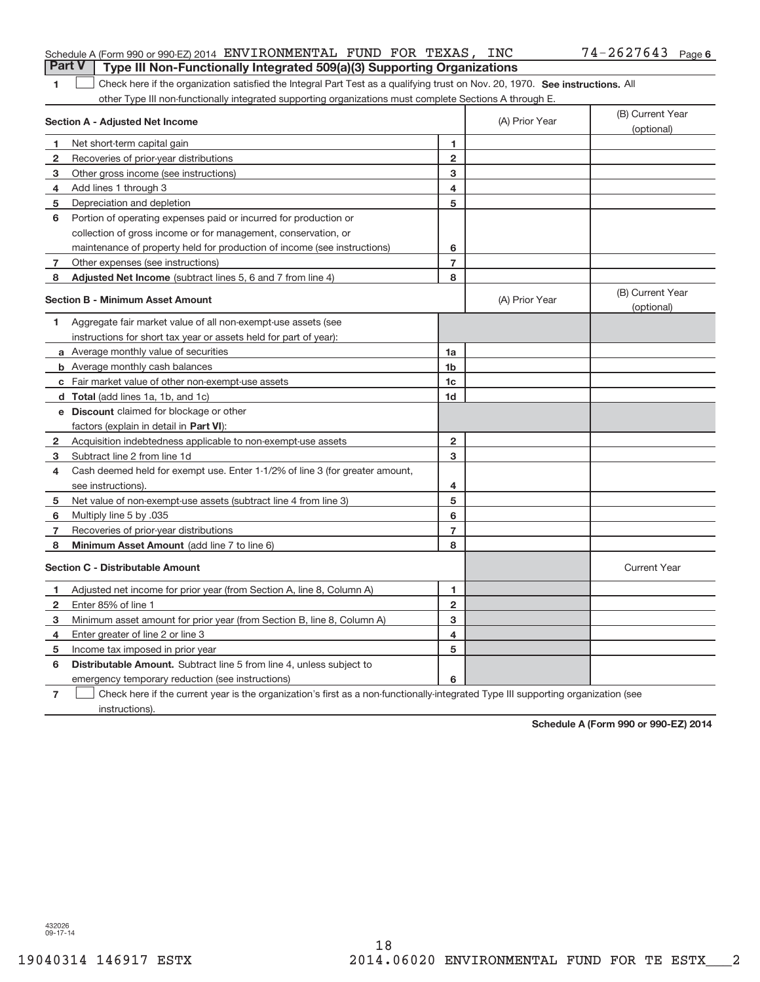|                | Schedule A (Form 990 or 990-EZ) 2014 ENVIRONMENTAL FUND FOR TEXAS,<br><b>Part V</b>                                           |                | <b>INC</b>     | $74 - 2627643$ Page 6          |  |  |  |  |  |
|----------------|-------------------------------------------------------------------------------------------------------------------------------|----------------|----------------|--------------------------------|--|--|--|--|--|
|                | Type III Non-Functionally Integrated 509(a)(3) Supporting Organizations                                                       |                |                |                                |  |  |  |  |  |
| 1              | Check here if the organization satisfied the Integral Part Test as a qualifying trust on Nov. 20, 1970. See instructions. All |                |                |                                |  |  |  |  |  |
|                | other Type III non-functionally integrated supporting organizations must complete Sections A through E.                       |                |                |                                |  |  |  |  |  |
|                | Section A - Adjusted Net Income                                                                                               |                | (A) Prior Year | (B) Current Year               |  |  |  |  |  |
|                |                                                                                                                               |                |                | (optional)                     |  |  |  |  |  |
| 1              | Net short-term capital gain                                                                                                   | 1              |                |                                |  |  |  |  |  |
| 2              | Recoveries of prior-year distributions                                                                                        | $\overline{2}$ |                |                                |  |  |  |  |  |
| 3              | Other gross income (see instructions)                                                                                         | 3              |                |                                |  |  |  |  |  |
| 4              | Add lines 1 through 3                                                                                                         | 4              |                |                                |  |  |  |  |  |
| 5              | Depreciation and depletion                                                                                                    | 5              |                |                                |  |  |  |  |  |
| 6              | Portion of operating expenses paid or incurred for production or                                                              |                |                |                                |  |  |  |  |  |
|                | collection of gross income or for management, conservation, or                                                                |                |                |                                |  |  |  |  |  |
|                | maintenance of property held for production of income (see instructions)                                                      | 6              |                |                                |  |  |  |  |  |
| 7              | Other expenses (see instructions)                                                                                             | $\overline{7}$ |                |                                |  |  |  |  |  |
| 8              | Adjusted Net Income (subtract lines 5, 6 and 7 from line 4)                                                                   | 8              |                |                                |  |  |  |  |  |
|                | <b>Section B - Minimum Asset Amount</b>                                                                                       |                | (A) Prior Year | (B) Current Year<br>(optional) |  |  |  |  |  |
| 1              | Aggregate fair market value of all non-exempt-use assets (see                                                                 |                |                |                                |  |  |  |  |  |
|                | instructions for short tax year or assets held for part of year):                                                             |                |                |                                |  |  |  |  |  |
|                | a Average monthly value of securities                                                                                         | 1a             |                |                                |  |  |  |  |  |
|                | <b>b</b> Average monthly cash balances                                                                                        | 1 <sub>b</sub> |                |                                |  |  |  |  |  |
|                | c Fair market value of other non-exempt-use assets                                                                            | 1 <sub>c</sub> |                |                                |  |  |  |  |  |
|                | d Total (add lines 1a, 1b, and 1c)                                                                                            | 1 <sub>d</sub> |                |                                |  |  |  |  |  |
|                | <b>e</b> Discount claimed for blockage or other                                                                               |                |                |                                |  |  |  |  |  |
|                | factors (explain in detail in Part VI):                                                                                       |                |                |                                |  |  |  |  |  |
| $\overline{2}$ | Acquisition indebtedness applicable to non-exempt-use assets                                                                  | $\mathbf{2}$   |                |                                |  |  |  |  |  |
| 3              | Subtract line 2 from line 1d                                                                                                  | 3              |                |                                |  |  |  |  |  |
| 4              | Cash deemed held for exempt use. Enter 1-1/2% of line 3 (for greater amount,                                                  |                |                |                                |  |  |  |  |  |
|                | see instructions).                                                                                                            | 4              |                |                                |  |  |  |  |  |
| 5              | Net value of non-exempt-use assets (subtract line 4 from line 3)                                                              | 5              |                |                                |  |  |  |  |  |
| 6              | Multiply line 5 by .035                                                                                                       | 6              |                |                                |  |  |  |  |  |
| 7              | Recoveries of prior-year distributions                                                                                        | $\overline{7}$ |                |                                |  |  |  |  |  |
| 8              | Minimum Asset Amount (add line 7 to line 6)                                                                                   | 8              |                |                                |  |  |  |  |  |
|                | <b>Section C - Distributable Amount</b>                                                                                       |                |                | <b>Current Year</b>            |  |  |  |  |  |
| 1              | Adjusted net income for prior year (from Section A, line 8, Column A)                                                         | 1              |                |                                |  |  |  |  |  |
| $\mathbf{2}$   | Enter 85% of line 1                                                                                                           | $\overline{2}$ |                |                                |  |  |  |  |  |
| 3              | Minimum asset amount for prior year (from Section B, line 8, Column A)                                                        | 3              |                |                                |  |  |  |  |  |
| 4              | Enter greater of line 2 or line 3                                                                                             | 4              |                |                                |  |  |  |  |  |
| 5              | Income tax imposed in prior year                                                                                              | 5              |                |                                |  |  |  |  |  |
| 6              | <b>Distributable Amount.</b> Subtract line 5 from line 4, unless subject to                                                   |                |                |                                |  |  |  |  |  |
|                | emergency temporary reduction (see instructions)                                                                              | 6              |                |                                |  |  |  |  |  |

**7** ∠ Check here if the current year is the organization's first as a non-functionally-integrated Type III supporting organization (see instructions).

**Schedule A (Form 990 or 990‐EZ) 2014**

432026 09‐17‐14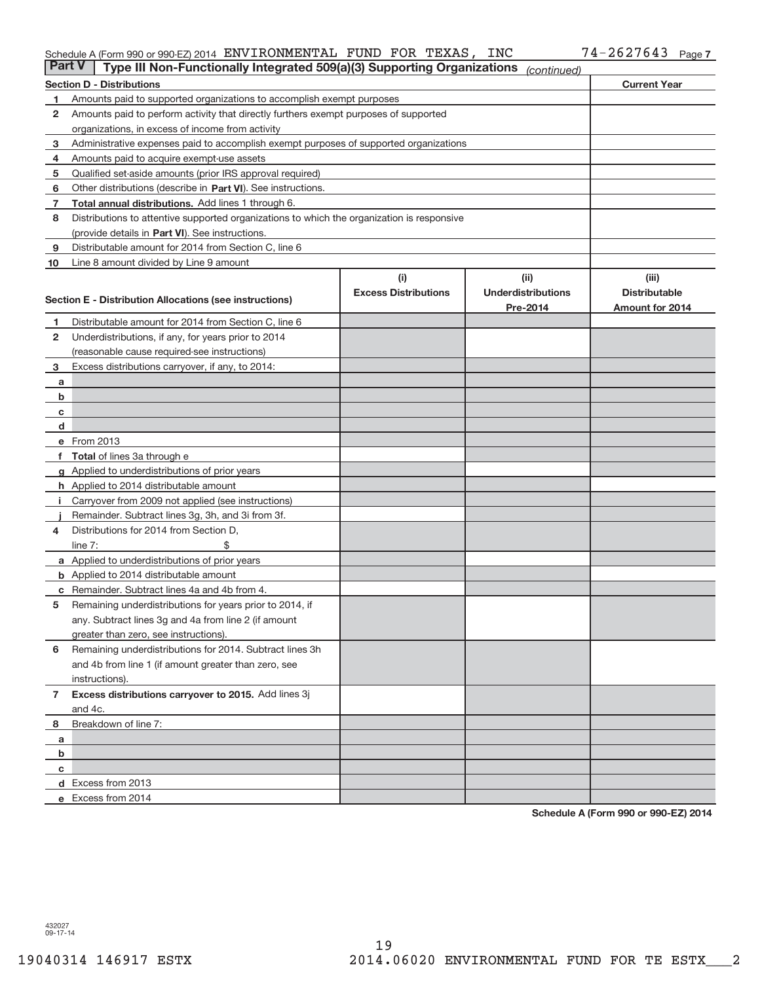### Schedule A (Form 990 or 990‐EZ) 2014 Page ENVIRONMENTAL FUND FOR TEXAS, INC 74‐2627643

| <b>Part V</b> | Type III Non-Functionally Integrated 509(a)(3) Supporting Organizations                    |                             | (continued)               |                        |  |  |  |  |  |
|---------------|--------------------------------------------------------------------------------------------|-----------------------------|---------------------------|------------------------|--|--|--|--|--|
|               | <b>Section D - Distributions</b>                                                           |                             |                           | <b>Current Year</b>    |  |  |  |  |  |
| 1.            | Amounts paid to supported organizations to accomplish exempt purposes                      |                             |                           |                        |  |  |  |  |  |
| 2             | Amounts paid to perform activity that directly furthers exempt purposes of supported       |                             |                           |                        |  |  |  |  |  |
|               | organizations, in excess of income from activity                                           |                             |                           |                        |  |  |  |  |  |
| 3             | Administrative expenses paid to accomplish exempt purposes of supported organizations      |                             |                           |                        |  |  |  |  |  |
| 4             | Amounts paid to acquire exempt-use assets                                                  |                             |                           |                        |  |  |  |  |  |
| 5             | Qualified set-aside amounts (prior IRS approval required)                                  |                             |                           |                        |  |  |  |  |  |
| 6             | Other distributions (describe in Part VI). See instructions.                               |                             |                           |                        |  |  |  |  |  |
| 7             | Total annual distributions. Add lines 1 through 6.                                         |                             |                           |                        |  |  |  |  |  |
| 8             | Distributions to attentive supported organizations to which the organization is responsive |                             |                           |                        |  |  |  |  |  |
|               | (provide details in Part VI). See instructions.                                            |                             |                           |                        |  |  |  |  |  |
| 9             | Distributable amount for 2014 from Section C, line 6                                       |                             |                           |                        |  |  |  |  |  |
| 10            | Line 8 amount divided by Line 9 amount                                                     |                             |                           |                        |  |  |  |  |  |
|               |                                                                                            | (i)                         | (ii)                      | (iii)                  |  |  |  |  |  |
|               |                                                                                            | <b>Excess Distributions</b> | <b>Underdistributions</b> | <b>Distributable</b>   |  |  |  |  |  |
|               | <b>Section E - Distribution Allocations (see instructions)</b>                             |                             | Pre-2014                  | <b>Amount for 2014</b> |  |  |  |  |  |
| 1             | Distributable amount for 2014 from Section C, line 6                                       |                             |                           |                        |  |  |  |  |  |
| $\mathbf{2}$  | Underdistributions, if any, for years prior to 2014                                        |                             |                           |                        |  |  |  |  |  |
|               | (reasonable cause required-see instructions)                                               |                             |                           |                        |  |  |  |  |  |
| 3             | Excess distributions carryover, if any, to 2014:                                           |                             |                           |                        |  |  |  |  |  |
| a             |                                                                                            |                             |                           |                        |  |  |  |  |  |
| b             |                                                                                            |                             |                           |                        |  |  |  |  |  |
| c             |                                                                                            |                             |                           |                        |  |  |  |  |  |
| d             |                                                                                            |                             |                           |                        |  |  |  |  |  |
|               | e From 2013                                                                                |                             |                           |                        |  |  |  |  |  |
|               | f Total of lines 3a through e                                                              |                             |                           |                        |  |  |  |  |  |
|               | g Applied to underdistributions of prior years                                             |                             |                           |                        |  |  |  |  |  |
|               | <b>h</b> Applied to 2014 distributable amount                                              |                             |                           |                        |  |  |  |  |  |
| j.            | Carryover from 2009 not applied (see instructions)                                         |                             |                           |                        |  |  |  |  |  |
|               | Remainder. Subtract lines 3g, 3h, and 3i from 3f.                                          |                             |                           |                        |  |  |  |  |  |
| 4             | Distributions for 2014 from Section D,                                                     |                             |                           |                        |  |  |  |  |  |
|               | line $7:$                                                                                  |                             |                           |                        |  |  |  |  |  |
|               | a Applied to underdistributions of prior years                                             |                             |                           |                        |  |  |  |  |  |
|               | <b>b</b> Applied to 2014 distributable amount                                              |                             |                           |                        |  |  |  |  |  |
|               | c Remainder. Subtract lines 4a and 4b from 4.                                              |                             |                           |                        |  |  |  |  |  |
| 5             | Remaining underdistributions for years prior to 2014, if                                   |                             |                           |                        |  |  |  |  |  |
|               | any. Subtract lines 3g and 4a from line 2 (if amount                                       |                             |                           |                        |  |  |  |  |  |
|               | greater than zero, see instructions)                                                       |                             |                           |                        |  |  |  |  |  |
| 6             | Remaining underdistributions for 2014. Subtract lines 3h                                   |                             |                           |                        |  |  |  |  |  |
|               | and 4b from line 1 (if amount greater than zero, see                                       |                             |                           |                        |  |  |  |  |  |
|               | instructions).                                                                             |                             |                           |                        |  |  |  |  |  |
| $\mathbf{7}$  | Excess distributions carryover to 2015. Add lines 3j                                       |                             |                           |                        |  |  |  |  |  |
|               | and 4c.                                                                                    |                             |                           |                        |  |  |  |  |  |
| 8             | Breakdown of line 7:                                                                       |                             |                           |                        |  |  |  |  |  |
| a             |                                                                                            |                             |                           |                        |  |  |  |  |  |
| b             |                                                                                            |                             |                           |                        |  |  |  |  |  |
| С             |                                                                                            |                             |                           |                        |  |  |  |  |  |
|               | d Excess from 2013                                                                         |                             |                           |                        |  |  |  |  |  |
|               | e Excess from 2014                                                                         |                             |                           |                        |  |  |  |  |  |

**Schedule A (Form 990 or 990‐EZ) 2014**

432027 09‐17‐14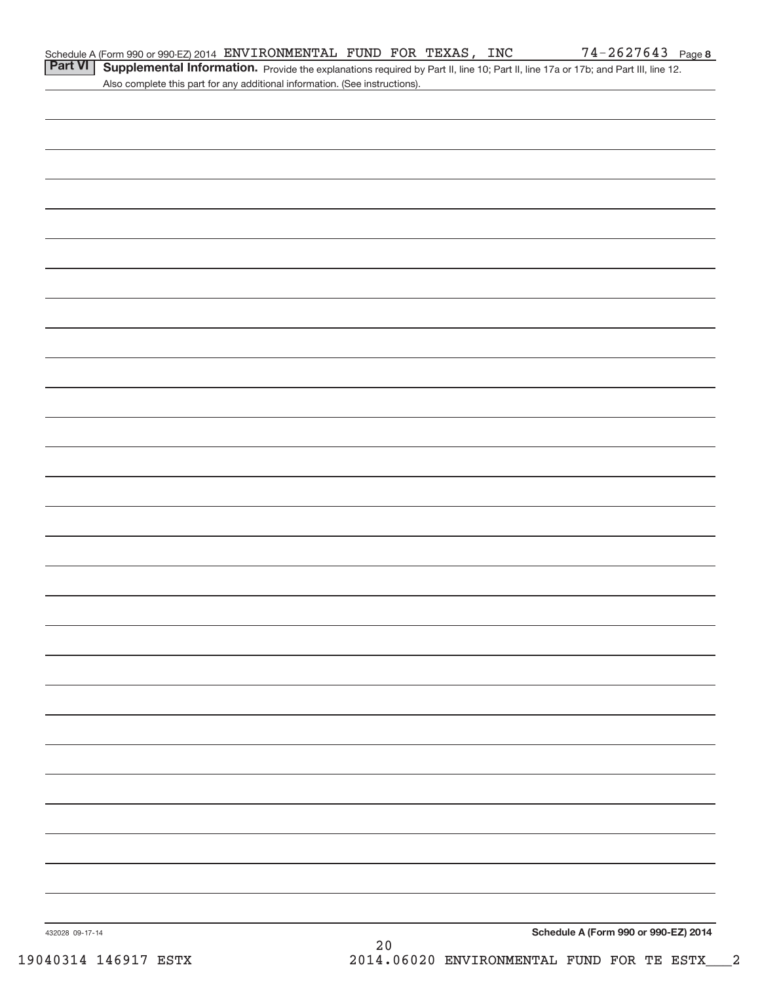| I Supplemental Information. Provide the explanations required by Part II, line 10; Part II, line 17a or 17b; and Part III, line 12. |  |
|-------------------------------------------------------------------------------------------------------------------------------------|--|
| Also complete this part for any additional information. (See instructions).                                                         |  |

| 432028 09-17-14 | $2\,0$ | Schedule A (Form 990 or 990-EZ) 2014 |
|-----------------|--------|--------------------------------------|
|                 |        |                                      |
|                 |        |                                      |
|                 |        |                                      |
|                 |        |                                      |
|                 |        |                                      |
|                 |        |                                      |
|                 |        |                                      |
|                 |        |                                      |
|                 |        |                                      |
|                 |        |                                      |
|                 |        |                                      |
|                 |        |                                      |
|                 |        |                                      |
|                 |        |                                      |
|                 |        |                                      |
|                 |        |                                      |
|                 |        |                                      |
|                 |        |                                      |
|                 |        |                                      |
|                 |        |                                      |
|                 |        |                                      |
|                 |        |                                      |
|                 |        |                                      |
|                 |        |                                      |
|                 |        |                                      |
|                 |        |                                      |
|                 |        |                                      |
|                 |        |                                      |
|                 |        |                                      |
|                 |        |                                      |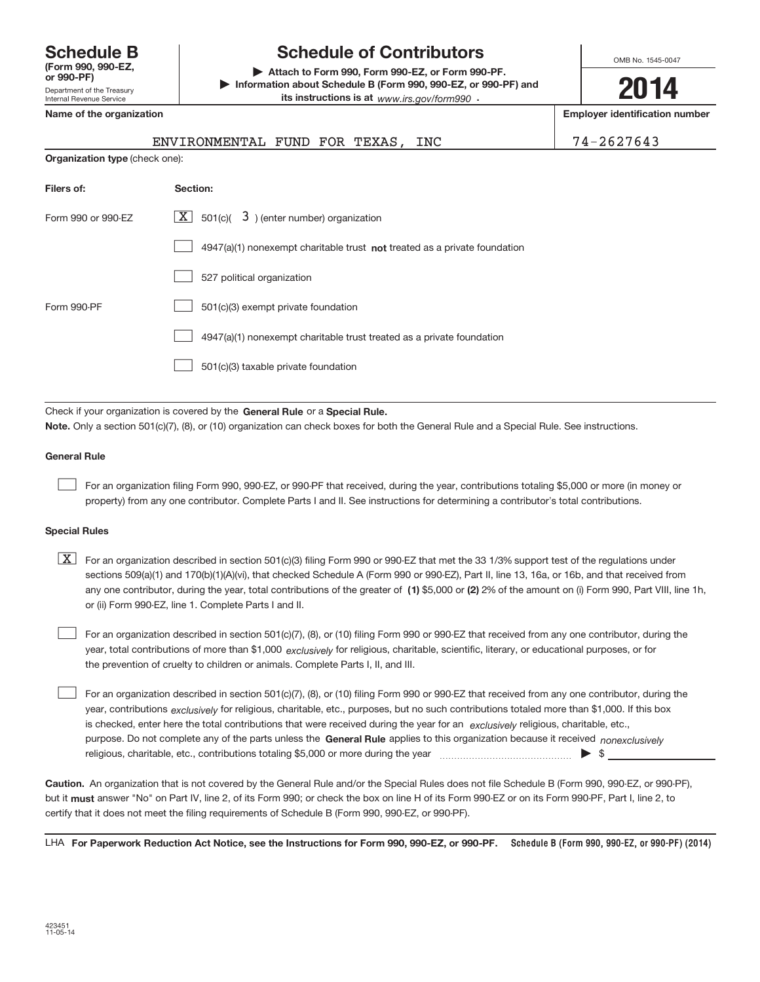| <b>Schedule B</b><br>(Form 990, 990-EZ.<br>or 990-PF) |
|-------------------------------------------------------|
| Department of the Treasury                            |
| <b>Internal Revenue Service</b>                       |

## **Schedule of Contributors**

**or 990‐PF) | Attach to Form 990, Form 990‐EZ, or Form 990‐PF. | Information about Schedule B (Form 990, 990‐EZ, or 990‐PF) and** its instructions is at www.irs.gov/form990.

**Name of the organization Employer identification number**

| Λ |  |  | 2627612 |  |  |
|---|--|--|---------|--|--|

OMB No. 1545‐0047

**2014**

|                                       | ENVIRONMENTAL FUND FOR TEXAS, |  |  |
|---------------------------------------|-------------------------------|--|--|
| <b>Organization type (check one):</b> |                               |  |  |

74–2627643

| Filers of:         | Section:                                                                           |
|--------------------|------------------------------------------------------------------------------------|
| Form 990 or 990-EZ | $\boxed{\text{X}}$ 501(c)( 3) (enter number) organization                          |
|                    | $4947(a)(1)$ nonexempt charitable trust <b>not</b> treated as a private foundation |
|                    | 527 political organization                                                         |
| Form 990-PF        | 501(c)(3) exempt private foundation                                                |
|                    | 4947(a)(1) nonexempt charitable trust treated as a private foundation              |
|                    | 501(c)(3) taxable private foundation                                               |

Check if your organization is covered by the General Rule or a Special Rule. **Note.**  Only a section 501(c)(7), (8), or (10) organization can check boxes for both the General Rule and a Special Rule. See instructions.

## **General Rule**

 $\begin{array}{c} \hline \end{array}$ 

 $\begin{array}{c} \hline \end{array}$ 

For an organization filing Form 990, 990‐EZ, or 990‐PF that received, during the year, contributions totaling \$5,000 or more (in money or property) from any one contributor. Complete Parts I and II. See instructions for determining a contributor's total contributions.

## **Special Rules**

any one contributor, during the year, total contributions of the greater of (1) \$5,000 or (2) 2% of the amount on (i) Form 990, Part VIII, line 1h,  $\boxed{\text{X}}$  For an organization described in section 501(c)(3) filing Form 990 or 990-EZ that met the 33 1/3% support test of the regulations under sections 509(a)(1) and 170(b)(1)(A)(vi), that checked Schedule A (Form 990 or 990‐EZ), Part II, line 13, 16a, or 16b, and that received from or (ii) Form 990‐EZ, line 1. Complete Parts I and II.

year, total contributions of more than \$1,000 *exclusively* for religious, charitable, scientific, literary, or educational purposes, or for For an organization described in section 501(c)(7), (8), or (10) filing Form 990 or 990‐EZ that received from any one contributor, during the the prevention of cruelty to children or animals. Complete Parts I, II, and III.  $\begin{array}{c} \hline \end{array}$ 

purpose. Do not complete any of the parts unless the General Rule applies to this organization because it received *nonexclusively* year, contributions <sub>exclusively</sub> for religious, charitable, etc., purposes, but no such contributions totaled more than \$1,000. If this box is checked, enter here the total contributions that were received during the year for an *exclusively* religious, charitable, etc., For an organization described in section 501(c)(7), (8), or (10) filing Form 990 or 990‐EZ that received from any one contributor, during the religious, charitable, etc., contributions totaling \$5,000 or more during the year  $\ldots$  $\ldots$  $\ldots$  $\ldots$  $\ldots$  $\ldots$ 

**Caution.** An organization that is not covered by the General Rule and/or the Special Rules does not file Schedule B (Form 990, 990‐EZ, or 990‐PF),  **must** but it answer "No" on Part IV, line 2, of its Form 990; or check the box on line H of its Form 990‐EZ or on its Form 990‐PF, Part I, line 2, to certify that it does not meet the filing requirements of Schedule B (Form 990, 990‐EZ, or 990‐PF).

LHA For Paperwork Reduction Act Notice, see the Instructions for Form 990, 990‐EZ, or 990‐PF. Schedule B (Form 990, 990‐EZ, or 990‐PF) (2014)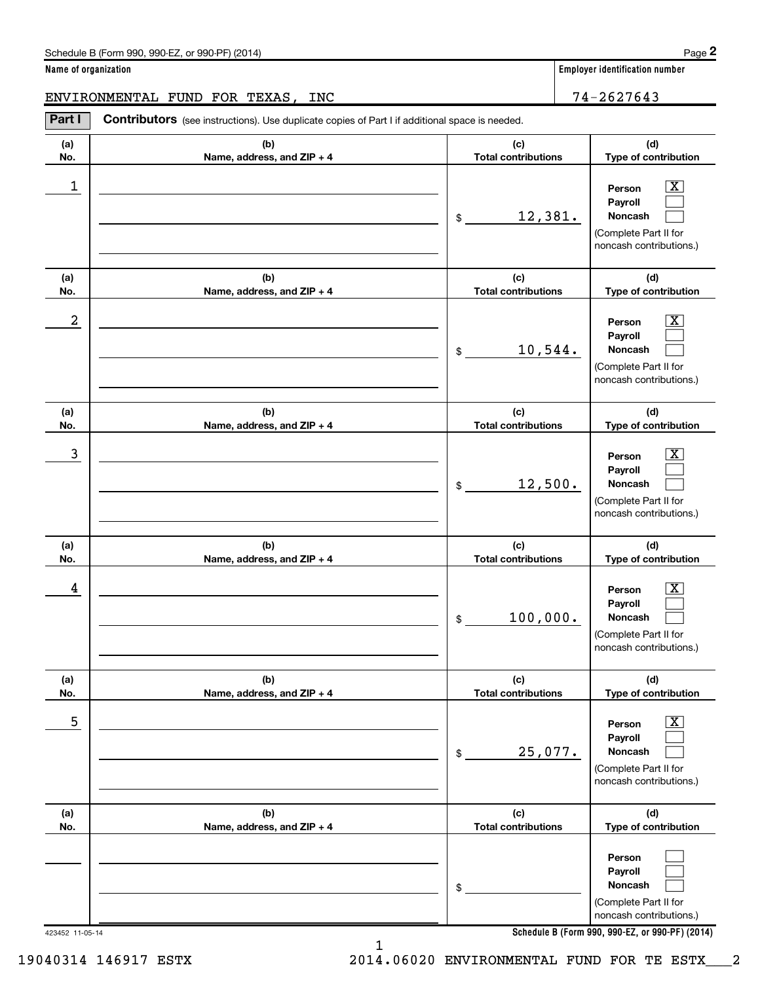## Schedule B (Form 990, 990-EZ, or 990-PF) (2014)

## Name of organization number and the extension of the Employer identification number

ENVIRONMENTAL FUND FOR TEXAS, INC 74-2627643

| <b>Part I</b> | Contributors (see instructions). Use duplicate copies of Part I if additional space is needed. |                                   |                                                                                                                                     |  |  |  |  |
|---------------|------------------------------------------------------------------------------------------------|-----------------------------------|-------------------------------------------------------------------------------------------------------------------------------------|--|--|--|--|
| (a)           | (b)                                                                                            | (c)                               | (d)                                                                                                                                 |  |  |  |  |
| No.           | Name, address, and ZIP + 4                                                                     | <b>Total contributions</b>        | Type of contribution                                                                                                                |  |  |  |  |
| 1             |                                                                                                | 12,381.<br>\$                     | $\overline{\mathbf{X}}$<br>Person<br>Payroll<br>Noncash<br>(Complete Part II for<br>noncash contributions.)                         |  |  |  |  |
| (a)           | (b)                                                                                            | (c)                               | (d)                                                                                                                                 |  |  |  |  |
| No.           | Name, address, and ZIP + 4                                                                     | <b>Total contributions</b>        | Type of contribution                                                                                                                |  |  |  |  |
| 2             |                                                                                                | 10,544.<br>\$                     | $\overline{\mathbf{X}}$<br>Person<br>Payroll<br>Noncash<br>(Complete Part II for<br>noncash contributions.)                         |  |  |  |  |
| (a)<br>No.    | (b)<br>Name, address, and ZIP + 4                                                              | (c)<br><b>Total contributions</b> | (d)<br>Type of contribution                                                                                                         |  |  |  |  |
| 3             |                                                                                                | 12,500.<br>\$                     | $\overline{\mathbf{X}}$<br>Person<br>Payroll<br>Noncash<br>(Complete Part II for<br>noncash contributions.)                         |  |  |  |  |
| (a)<br>No.    | (b)<br>Name, address, and ZIP + 4                                                              | (c)<br><b>Total contributions</b> | (d)<br>Type of contribution                                                                                                         |  |  |  |  |
| 4             |                                                                                                | 100,000.<br>\$                    | $\overline{\mathbf{X}}$<br>Person<br>Payroll<br>Noncash<br>(Complete Part II for<br>noncash contributions.)                         |  |  |  |  |
| (a)<br>No.    | (b)<br>Name, address, and ZIP + 4                                                              | (c)<br><b>Total contributions</b> | (d)<br>Type of contribution                                                                                                         |  |  |  |  |
| 5             |                                                                                                | 25,077.<br>\$                     | $\overline{\mathbf{x}}$<br>Person<br>Payroll<br>Noncash<br>(Complete Part II for<br>noncash contributions.)                         |  |  |  |  |
| (a)<br>No.    | (b)<br>Name, address, and ZIP + 4                                                              | (c)<br><b>Total contributions</b> | (d)<br>Type of contribution                                                                                                         |  |  |  |  |
|               |                                                                                                | \$                                | Person<br>Payroll<br>Noncash<br>(Complete Part II for<br>noncash contributions.)<br>Schodule R (Form 000, 000-F7, or 000-PE) (2014) |  |  |  |  |

Schedule B (Form 990, 990-EZ, or 990-PF) (2014)

1

19040314 146917 ESTX 2014.06020 ENVIRONMENTAL FUND FOR TE ESTX\_\_\_2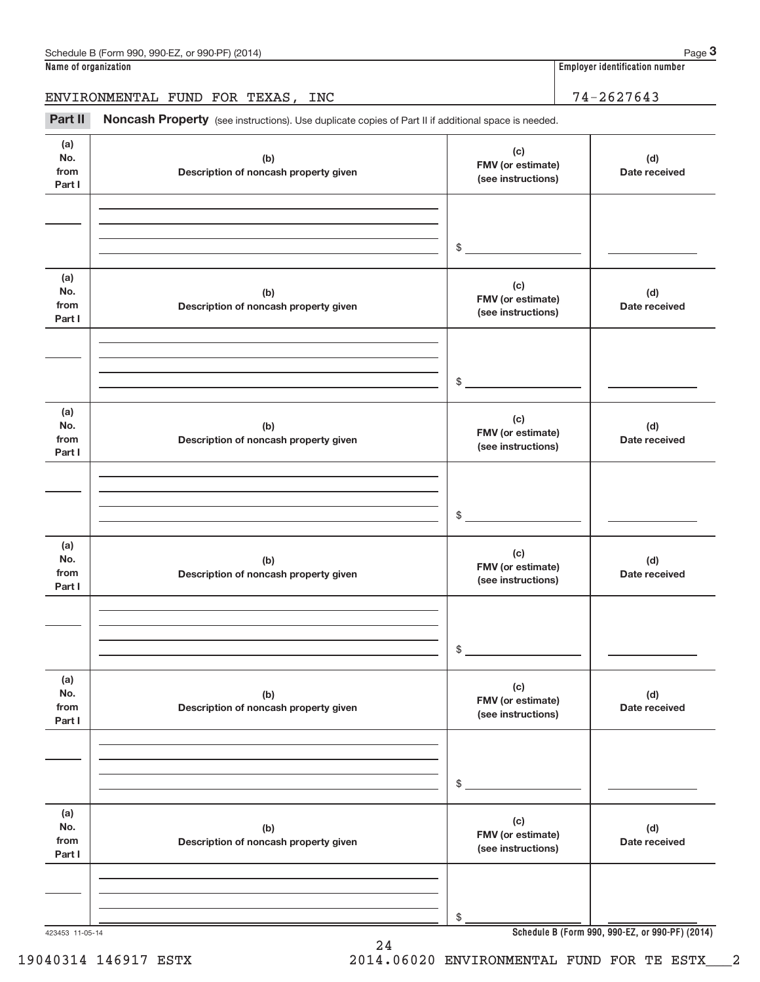**Name of organization Employer identification number**

ENVIRONMENTAL FUND FOR TEXAS, INC 74-2627643

Part II Noncash Property (see instructions). Use duplicate copies of Part II if additional space is needed.

| (a)<br>No.<br>from<br>Part I | (b)<br>Description of noncash property given | (c)<br>FMV (or estimate)<br>(see instructions) | (d)<br>Date received                            |
|------------------------------|----------------------------------------------|------------------------------------------------|-------------------------------------------------|
|                              |                                              |                                                |                                                 |
|                              |                                              | $\frac{1}{2}$                                  |                                                 |
|                              |                                              |                                                |                                                 |
| (a)<br>No.                   | (b)                                          | (c)                                            | (d)                                             |
| from                         | Description of noncash property given        | FMV (or estimate)                              | Date received                                   |
| Part I                       |                                              | (see instructions)                             |                                                 |
|                              |                                              |                                                |                                                 |
|                              |                                              |                                                |                                                 |
|                              |                                              |                                                |                                                 |
|                              |                                              | $\frac{1}{2}$                                  |                                                 |
| (a)                          |                                              |                                                |                                                 |
| No.                          | (b)                                          | (c)                                            | (d)                                             |
| from                         | Description of noncash property given        | FMV (or estimate)<br>(see instructions)        | Date received                                   |
| Part I                       |                                              |                                                |                                                 |
|                              |                                              |                                                |                                                 |
|                              |                                              |                                                |                                                 |
|                              |                                              |                                                |                                                 |
|                              |                                              | $\frac{1}{2}$                                  |                                                 |
| (a)                          |                                              |                                                |                                                 |
| No.                          | (b)                                          | (c)<br>FMV (or estimate)                       | (d)                                             |
| from                         | Description of noncash property given        | (see instructions)                             | Date received                                   |
| Part I                       |                                              |                                                |                                                 |
|                              |                                              |                                                |                                                 |
|                              |                                              |                                                |                                                 |
|                              |                                              | $\frac{1}{2}$                                  |                                                 |
|                              |                                              |                                                |                                                 |
| (a)                          |                                              | (c)                                            |                                                 |
| No.                          | (b)                                          | FMV (or estimate)                              | (d)                                             |
| from<br>Part I               | Description of noncash property given        | (see instructions)                             | Date received                                   |
|                              |                                              |                                                |                                                 |
|                              |                                              |                                                |                                                 |
|                              |                                              |                                                |                                                 |
|                              |                                              | \$                                             |                                                 |
|                              |                                              |                                                |                                                 |
| (a)                          |                                              | (c)                                            |                                                 |
| No.                          | (b)                                          | FMV (or estimate)                              | (d)                                             |
| from<br>Part I               | Description of noncash property given        | (see instructions)                             | Date received                                   |
|                              |                                              |                                                |                                                 |
|                              |                                              |                                                |                                                 |
|                              |                                              |                                                |                                                 |
|                              |                                              | $\, \, \raisebox{12pt}{$\scriptstyle \circ$}$  |                                                 |
| 423453 11-05-14              |                                              |                                                | Schedule B (Form 990, 990-EZ, or 990-PF) (2014) |

## 19040314 146917 ESTX 2014.06020 ENVIRONMENTAL FUND FOR TE ESTX\_\_\_2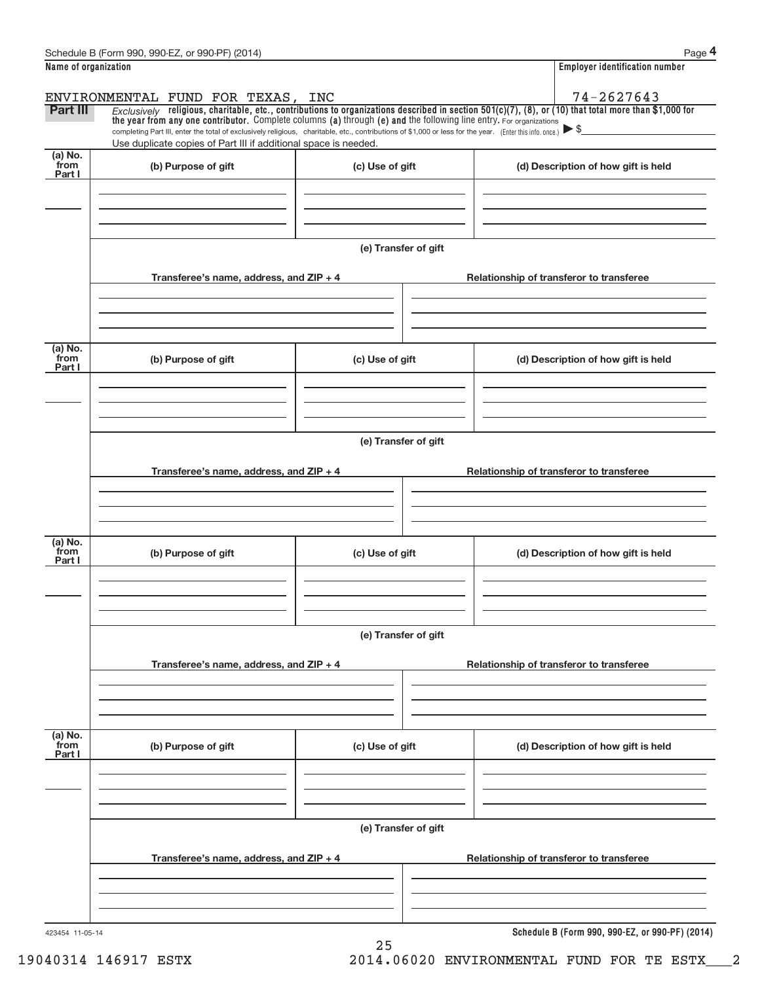| Name of organization      |                                                                                                                                                                                        |                      | <b>Employer identification number</b>                                                                                                                                                                                                                                                                             |
|---------------------------|----------------------------------------------------------------------------------------------------------------------------------------------------------------------------------------|----------------------|-------------------------------------------------------------------------------------------------------------------------------------------------------------------------------------------------------------------------------------------------------------------------------------------------------------------|
|                           | ENVIRONMENTAL FUND FOR TEXAS, INC                                                                                                                                                      |                      | $74 - 2627643$                                                                                                                                                                                                                                                                                                    |
| Part III                  | the year from any one contributor. Complete columns (a) through (e) and the following line entry. For organizations<br>Use duplicate copies of Part III if additional space is needed. |                      | Exclusively religious, charitable, etc., contributions to organizations described in section 501(c)(7), (8), or (10) that total more than \$1,000 for<br>completing Part III, enter the total of exclusively religious, charitable, etc., contributions of \$1,000 or less for the year. (Enter this info. once.) |
| (a) No.                   |                                                                                                                                                                                        |                      |                                                                                                                                                                                                                                                                                                                   |
| from<br>Part I            | (b) Purpose of gift<br>the control of the control of the control of the control of the control of                                                                                      | (c) Use of gift      | (d) Description of how gift is held                                                                                                                                                                                                                                                                               |
|                           |                                                                                                                                                                                        | (e) Transfer of gift |                                                                                                                                                                                                                                                                                                                   |
|                           | Transferee's name, address, and ZIP + 4                                                                                                                                                |                      | Relationship of transferor to transferee                                                                                                                                                                                                                                                                          |
| (a) No.<br>from<br>Part I | (b) Purpose of gift<br>the control of the control of the control of the control of the control of                                                                                      | (c) Use of gift      | (d) Description of how gift is held                                                                                                                                                                                                                                                                               |
|                           | Transferee's name, address, and $ZIP + 4$                                                                                                                                              | (e) Transfer of gift | Relationship of transferor to transferee                                                                                                                                                                                                                                                                          |
|                           | the control of the control of the control of the control of the control of the control of<br>the control of the control of the control of the control of the control of the control of |                      |                                                                                                                                                                                                                                                                                                                   |
| (a) No.<br>from<br>Part I | (b) Purpose of gift                                                                                                                                                                    | (c) Use of gift      | (d) Description of how gift is held                                                                                                                                                                                                                                                                               |
|                           |                                                                                                                                                                                        |                      |                                                                                                                                                                                                                                                                                                                   |
|                           |                                                                                                                                                                                        | (e) Transfer of gift |                                                                                                                                                                                                                                                                                                                   |
|                           | Transferee's name, address, and ZIP + 4                                                                                                                                                |                      | Relationship of transferor to transferee                                                                                                                                                                                                                                                                          |
| (a) No.<br>from<br>Part I | (b) Purpose of gift                                                                                                                                                                    | (c) Use of gift      | (d) Description of how gift is held                                                                                                                                                                                                                                                                               |
|                           |                                                                                                                                                                                        |                      |                                                                                                                                                                                                                                                                                                                   |
|                           | Transferee's name, address, and ZIP + 4                                                                                                                                                | (e) Transfer of gift | Relationship of transferor to transferee                                                                                                                                                                                                                                                                          |
|                           |                                                                                                                                                                                        |                      |                                                                                                                                                                                                                                                                                                                   |
|                           |                                                                                                                                                                                        |                      |                                                                                                                                                                                                                                                                                                                   |

**Schedule B (Form 990, 990‐EZ, or 990‐PF) (2014)**

19040314 146917 ESTX 2014.06020 ENVIRONMENTAL FUND FOR TE ESTX\_\_\_2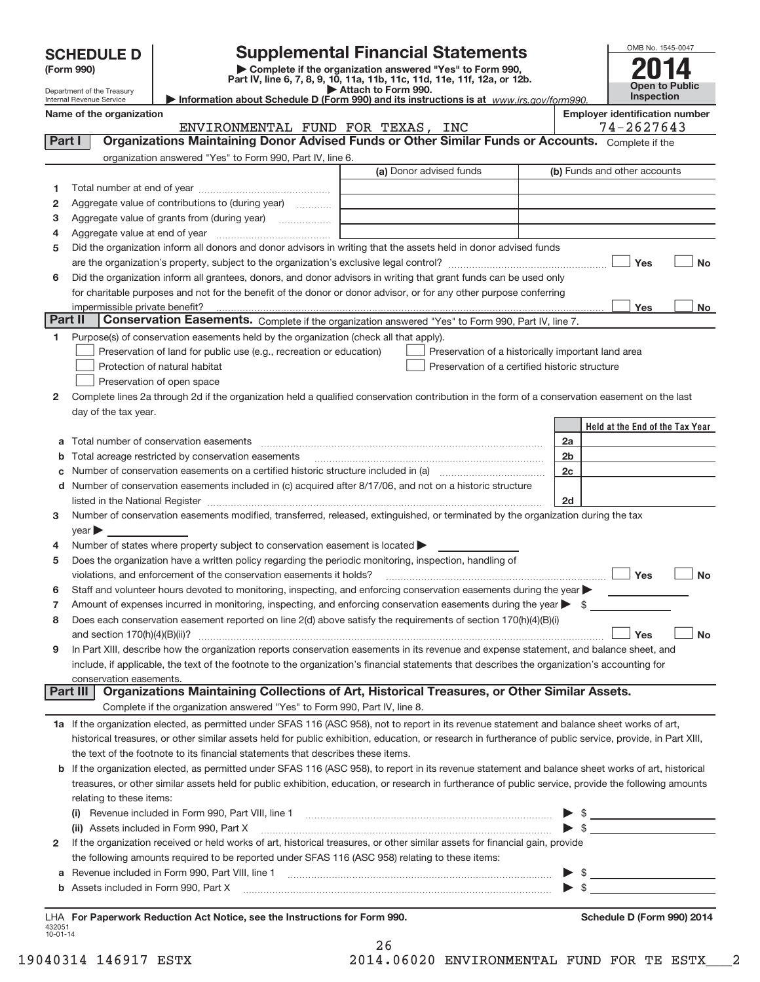| <b>SCHEDULE D</b> |
|-------------------|
|-------------------|

Department of the Treasury Internal Revenue Service

**(Form 990) | Complete if the organization answered "Yes" to Form 990, Part IV, line 6, 7, 8, 9, 10, 11a, 11b, 11c, 11d, 11e, 11f, 12a, or 12b. SCHEDULE D Supplemental Financial Statements**<br> **Form 990 Complete if the organization answered "Yes" to Form 990, <b>2014**<br>
Part IV, line 6, 7, 8, 9, 10, 11a, 11b, 11c, 11d, 11e, 11f, 12a, or 12b.



**| Attach to Form 990. | Information about Schedule D (Form 990) and its instructions is at**  *www.irs.gov/form990.*

|  | Name of the organization |
|--|--------------------------|
|--|--------------------------|

ENVIRONMENTAL FUND FOR TEXAS, INC

**Employer identification number**<br> $74 - 2627643$ 

| Part I         | <u>INVERTIONMINIALE I OND I ON I DAMO,</u><br>ᅩ┸◥◡<br>Organizations Maintaining Donor Advised Funds or Other Similar Funds or Accounts. Complete if the                                                                        |  | $1 - 20410 - 7$                                    |  |  |  |
|----------------|--------------------------------------------------------------------------------------------------------------------------------------------------------------------------------------------------------------------------------|--|----------------------------------------------------|--|--|--|
|                | organization answered "Yes" to Form 990, Part IV, line 6.                                                                                                                                                                      |  |                                                    |  |  |  |
|                | (a) Donor advised funds                                                                                                                                                                                                        |  | (b) Funds and other accounts                       |  |  |  |
| 1              |                                                                                                                                                                                                                                |  |                                                    |  |  |  |
| 2              | Aggregate value of contributions to (during year)                                                                                                                                                                              |  |                                                    |  |  |  |
| з              | Aggregate value of grants from (during year)                                                                                                                                                                                   |  |                                                    |  |  |  |
| 4              |                                                                                                                                                                                                                                |  |                                                    |  |  |  |
| 5              | Did the organization inform all donors and donor advisors in writing that the assets held in donor advised funds                                                                                                               |  |                                                    |  |  |  |
|                |                                                                                                                                                                                                                                |  | Yes<br><b>No</b>                                   |  |  |  |
| 6              | Did the organization inform all grantees, donors, and donor advisors in writing that grant funds can be used only                                                                                                              |  |                                                    |  |  |  |
|                | for charitable purposes and not for the benefit of the donor or donor advisor, or for any other purpose conferring                                                                                                             |  |                                                    |  |  |  |
|                | impermissible private benefit?                                                                                                                                                                                                 |  | Yes<br>No                                          |  |  |  |
| <b>Part II</b> | Conservation Easements. Complete if the organization answered "Yes" to Form 990, Part IV, line 7.                                                                                                                              |  |                                                    |  |  |  |
| 1              | Purpose(s) of conservation easements held by the organization (check all that apply).                                                                                                                                          |  |                                                    |  |  |  |
|                | Preservation of land for public use (e.g., recreation or education)                                                                                                                                                            |  | Preservation of a historically important land area |  |  |  |
|                | Protection of natural habitat                                                                                                                                                                                                  |  | Preservation of a certified historic structure     |  |  |  |
|                | Preservation of open space                                                                                                                                                                                                     |  |                                                    |  |  |  |
| 2              | Complete lines 2a through 2d if the organization held a qualified conservation contribution in the form of a conservation easement on the last                                                                                 |  |                                                    |  |  |  |
|                | day of the tax year.                                                                                                                                                                                                           |  |                                                    |  |  |  |
|                |                                                                                                                                                                                                                                |  | Held at the End of the Tax Year                    |  |  |  |
| a              | Total number of conservation easements                                                                                                                                                                                         |  | 2a                                                 |  |  |  |
| b              | Total acreage restricted by conservation easements                                                                                                                                                                             |  | 2 <sub>b</sub>                                     |  |  |  |
| c              |                                                                                                                                                                                                                                |  | 2c                                                 |  |  |  |
| d              | Number of conservation easements included in (c) acquired after 8/17/06, and not on a historic structure                                                                                                                       |  |                                                    |  |  |  |
|                | listed in the National Register [111] Marshall Register [11] Marshall Register [11] Marshall Register [11] Marshall Register [11] Marshall Register [11] Marshall Register [11] Marshall Register [11] Marshall Register [11]  |  | 2d                                                 |  |  |  |
| 3.             | Number of conservation easements modified, transferred, released, extinguished, or terminated by the organization during the tax                                                                                               |  |                                                    |  |  |  |
|                | year                                                                                                                                                                                                                           |  |                                                    |  |  |  |
| 4              | Number of states where property subject to conservation easement is located >                                                                                                                                                  |  |                                                    |  |  |  |
| 5              | Does the organization have a written policy regarding the periodic monitoring, inspection, handling of<br>Yes                                                                                                                  |  |                                                    |  |  |  |
|                | violations, and enforcement of the conservation easements it holds?<br>Staff and volunteer hours devoted to monitoring, inspecting, and enforcing conservation easements during the year $\blacktriangleright$                 |  | <b>No</b>                                          |  |  |  |
| 6<br>7         | Amount of expenses incurred in monitoring, inspecting, and enforcing conservation easements during the year $\blacktriangleright$ \$                                                                                           |  |                                                    |  |  |  |
| 8              | Does each conservation easement reported on line 2(d) above satisfy the requirements of section 170(h)(4)(B)(i)                                                                                                                |  |                                                    |  |  |  |
|                |                                                                                                                                                                                                                                |  | Yes<br><b>No</b>                                   |  |  |  |
| 9              | In Part XIII, describe how the organization reports conservation easements in its revenue and expense statement, and balance sheet, and                                                                                        |  |                                                    |  |  |  |
|                | include, if applicable, the text of the footnote to the organization's financial statements that describes the organization's accounting for                                                                                   |  |                                                    |  |  |  |
|                | conservation easements.                                                                                                                                                                                                        |  |                                                    |  |  |  |
|                | Part III<br>Organizations Maintaining Collections of Art, Historical Treasures, or Other Similar Assets.                                                                                                                       |  |                                                    |  |  |  |
|                | Complete if the organization answered "Yes" to Form 990, Part IV, line 8.                                                                                                                                                      |  |                                                    |  |  |  |
|                | 1a If the organization elected, as permitted under SFAS 116 (ASC 958), not to report in its revenue statement and balance sheet works of art,                                                                                  |  |                                                    |  |  |  |
|                | historical treasures, or other similar assets held for public exhibition, education, or research in furtherance of public service, provide, in Part XIII,                                                                      |  |                                                    |  |  |  |
|                | the text of the footnote to its financial statements that describes these items.                                                                                                                                               |  |                                                    |  |  |  |
|                | <b>b</b> If the organization elected, as permitted under SFAS 116 (ASC 958), to report in its revenue statement and balance sheet works of art, historical                                                                     |  |                                                    |  |  |  |
|                | treasures, or other similar assets held for public exhibition, education, or research in furtherance of public service, provide the following amounts                                                                          |  |                                                    |  |  |  |
|                | relating to these items:                                                                                                                                                                                                       |  |                                                    |  |  |  |
|                | (i) Revenue included in Form 990, Part VIII, line 1 [2000] [2010] [2010] Revenue included in Form 990, Part VIII, line 1                                                                                                       |  | $\triangleright$ \$                                |  |  |  |
|                | (ii) Assets included in Form 990, Part X [11] Marting the control of the state included in Form 990, Part X [11] Marting the control of the state of the state of the state of the state of the state of the state of the stat |  |                                                    |  |  |  |
| $\mathbf{2}$   | If the organization received or held works of art, historical treasures, or other similar assets for financial gain, provide                                                                                                   |  |                                                    |  |  |  |
|                | the following amounts required to be reported under SFAS 116 (ASC 958) relating to these items:                                                                                                                                |  |                                                    |  |  |  |
| a              |                                                                                                                                                                                                                                |  | $\triangleright$ \$                                |  |  |  |
|                | b Assets included in Form 990, Part X <b>manual construction of the Constantine Constantine Construction</b>                                                                                                                   |  | $5 - 1$                                            |  |  |  |
|                |                                                                                                                                                                                                                                |  |                                                    |  |  |  |
|                | LHA For Paperwork Reduction Act Notice, see the Instructions for Form 990.                                                                                                                                                     |  | Schedule D (Form 990) 2014                         |  |  |  |

432051 10‐01‐14

| 26             |                      |  |
|----------------|----------------------|--|
| $\overline{A}$ | ידגים חרח <i>ב</i> ח |  |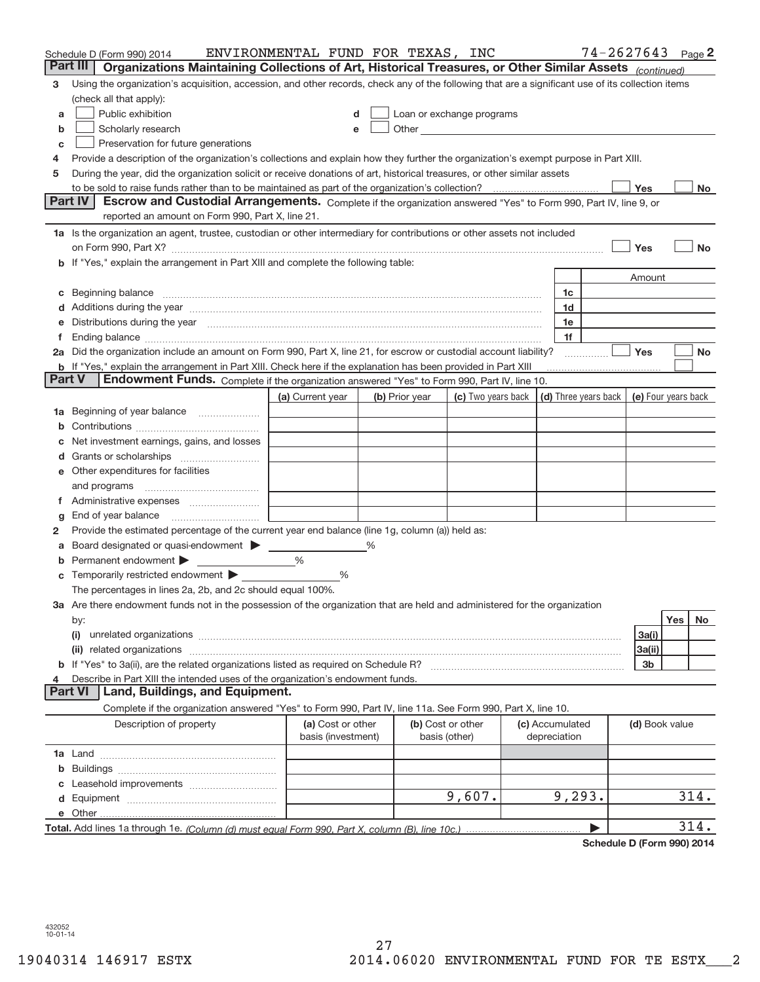|               | Schedule D (Form 990) 2014<br>Part III                                                                                                                                                                                         | ENVIRONMENTAL FUND FOR TEXAS, INC |   |                |                                                                                                                                                                                                                               |                      | 74-2627643 |                     |     | Page 2    |
|---------------|--------------------------------------------------------------------------------------------------------------------------------------------------------------------------------------------------------------------------------|-----------------------------------|---|----------------|-------------------------------------------------------------------------------------------------------------------------------------------------------------------------------------------------------------------------------|----------------------|------------|---------------------|-----|-----------|
|               | Organizations Maintaining Collections of Art, Historical Treasures, or Other Similar Assets (continued)                                                                                                                        |                                   |   |                |                                                                                                                                                                                                                               |                      |            |                     |     |           |
| 3             | Using the organization's acquisition, accession, and other records, check any of the following that are a significant use of its collection items<br>(check all that apply):                                                   |                                   |   |                |                                                                                                                                                                                                                               |                      |            |                     |     |           |
| а             | Public exhibition                                                                                                                                                                                                              |                                   |   |                | Loan or exchange programs                                                                                                                                                                                                     |                      |            |                     |     |           |
| b             | Scholarly research                                                                                                                                                                                                             |                                   |   |                | Other and the contract of the contract of the contract of the contract of the contract of the contract of the contract of the contract of the contract of the contract of the contract of the contract of the contract of the |                      |            |                     |     |           |
| с             | Preservation for future generations                                                                                                                                                                                            |                                   |   |                |                                                                                                                                                                                                                               |                      |            |                     |     |           |
| 4             | Provide a description of the organization's collections and explain how they further the organization's exempt purpose in Part XIII.                                                                                           |                                   |   |                |                                                                                                                                                                                                                               |                      |            |                     |     |           |
| 5             | During the year, did the organization solicit or receive donations of art, historical treasures, or other similar assets                                                                                                       |                                   |   |                |                                                                                                                                                                                                                               |                      |            |                     |     |           |
|               | to be sold to raise funds rather than to be maintained as part of the organization's collection?                                                                                                                               |                                   |   |                |                                                                                                                                                                                                                               | . <u>.</u>           |            | Yes                 |     | No        |
|               | <b>Part IV</b><br>Escrow and Custodial Arrangements. Complete if the organization answered "Yes" to Form 990, Part IV, line 9, or                                                                                              |                                   |   |                |                                                                                                                                                                                                                               |                      |            |                     |     |           |
|               | reported an amount on Form 990, Part X, line 21.                                                                                                                                                                               |                                   |   |                |                                                                                                                                                                                                                               |                      |            |                     |     |           |
|               | 1a Is the organization an agent, trustee, custodian or other intermediary for contributions or other assets not included                                                                                                       |                                   |   |                |                                                                                                                                                                                                                               |                      |            |                     |     |           |
|               | on Form 990, Part X? [11] matter contracts and contracts and contracts are contracted and contracts are contracted and contract and contract of the contract of the contract of the contract of the contract of the contract o |                                   |   |                |                                                                                                                                                                                                                               |                      |            | Yes                 |     | <b>No</b> |
|               | b If "Yes," explain the arrangement in Part XIII and complete the following table:                                                                                                                                             |                                   |   |                |                                                                                                                                                                                                                               |                      |            |                     |     |           |
|               |                                                                                                                                                                                                                                |                                   |   |                |                                                                                                                                                                                                                               |                      |            | Amount              |     |           |
| С             | Beginning balance <b>contract to the contract of the contract of the contract of the contract of the contract of t</b>                                                                                                         |                                   |   |                |                                                                                                                                                                                                                               | 1c                   |            |                     |     |           |
|               | Additions during the year manufactured and an account of the state of the state of the state of the state of the state of the state of the state of the state of the state of the state of the state of the state of the state |                                   |   |                |                                                                                                                                                                                                                               | 1d                   |            |                     |     |           |
|               | e Distributions during the year manufactured and continuum and continuum and continuum and continuum and continuum and continuum and continuum and continuum and continuum and continuum and continuum and continuum and conti |                                   |   |                |                                                                                                                                                                                                                               | 1e                   |            |                     |     |           |
| f.            |                                                                                                                                                                                                                                |                                   |   |                |                                                                                                                                                                                                                               | 1f                   |            |                     |     |           |
|               | 2a Did the organization include an amount on Form 990, Part X, line 21, for escrow or custodial account liability?                                                                                                             |                                   |   |                |                                                                                                                                                                                                                               |                      |            | Yes                 |     | <b>No</b> |
|               | <b>b</b> If "Yes," explain the arrangement in Part XIII. Check here if the explanation has been provided in Part XIII                                                                                                          |                                   |   |                |                                                                                                                                                                                                                               |                      |            |                     |     |           |
| <b>Part V</b> | Endowment Funds. Complete if the organization answered "Yes" to Form 990, Part IV, line 10.                                                                                                                                    |                                   |   |                |                                                                                                                                                                                                                               |                      |            |                     |     |           |
|               |                                                                                                                                                                                                                                | (a) Current year                  |   | (b) Prior year | (c) Two years back                                                                                                                                                                                                            | (d) Three years back |            | (e) Four years back |     |           |
| 1a            | Beginning of year balance                                                                                                                                                                                                      |                                   |   |                |                                                                                                                                                                                                                               |                      |            |                     |     |           |
| b             |                                                                                                                                                                                                                                |                                   |   |                |                                                                                                                                                                                                                               |                      |            |                     |     |           |
|               | Net investment earnings, gains, and losses                                                                                                                                                                                     |                                   |   |                |                                                                                                                                                                                                                               |                      |            |                     |     |           |
|               |                                                                                                                                                                                                                                |                                   |   |                |                                                                                                                                                                                                                               |                      |            |                     |     |           |
|               | e Other expenditures for facilities                                                                                                                                                                                            |                                   |   |                |                                                                                                                                                                                                                               |                      |            |                     |     |           |
|               | and programs                                                                                                                                                                                                                   |                                   |   |                |                                                                                                                                                                                                                               |                      |            |                     |     |           |
|               |                                                                                                                                                                                                                                |                                   |   |                |                                                                                                                                                                                                                               |                      |            |                     |     |           |
| g             |                                                                                                                                                                                                                                |                                   |   |                |                                                                                                                                                                                                                               |                      |            |                     |     |           |
| 2             | Provide the estimated percentage of the current year end balance (line 1g, column (a)) held as:                                                                                                                                |                                   |   |                |                                                                                                                                                                                                                               |                      |            |                     |     |           |
| а             |                                                                                                                                                                                                                                |                                   | % |                |                                                                                                                                                                                                                               |                      |            |                     |     |           |
| b             | Permanent endowment                                                                                                                                                                                                            | %                                 |   |                |                                                                                                                                                                                                                               |                      |            |                     |     |           |
|               | <b>c</b> Temporarily restricted endowment $\blacktriangleright$                                                                                                                                                                | %                                 |   |                |                                                                                                                                                                                                                               |                      |            |                     |     |           |
|               | The percentages in lines 2a, 2b, and 2c should equal 100%.                                                                                                                                                                     |                                   |   |                |                                                                                                                                                                                                                               |                      |            |                     |     |           |
|               | 3a Are there endowment funds not in the possession of the organization that are held and administered for the organization                                                                                                     |                                   |   |                |                                                                                                                                                                                                                               |                      |            |                     |     |           |
|               | by:                                                                                                                                                                                                                            |                                   |   |                |                                                                                                                                                                                                                               |                      |            |                     | Yes | No        |
|               | (i)                                                                                                                                                                                                                            |                                   |   |                |                                                                                                                                                                                                                               |                      |            | 3a(i)               |     |           |
|               |                                                                                                                                                                                                                                |                                   |   |                |                                                                                                                                                                                                                               |                      |            | 3a(ii)<br>3b        |     |           |
| 4             | Describe in Part XIII the intended uses of the organization's endowment funds.                                                                                                                                                 |                                   |   |                |                                                                                                                                                                                                                               |                      |            |                     |     |           |
|               | Land, Buildings, and Equipment.<br><b>Part VI</b>                                                                                                                                                                              |                                   |   |                |                                                                                                                                                                                                                               |                      |            |                     |     |           |
|               | Complete if the organization answered "Yes" to Form 990, Part IV, line 11a. See Form 990, Part X, line 10.                                                                                                                     |                                   |   |                |                                                                                                                                                                                                                               |                      |            |                     |     |           |
|               | Description of property                                                                                                                                                                                                        | (a) Cost or other                 |   |                | (b) Cost or other                                                                                                                                                                                                             | (c) Accumulated      |            | (d) Book value      |     |           |
|               |                                                                                                                                                                                                                                | basis (investment)                |   |                | basis (other)                                                                                                                                                                                                                 | depreciation         |            |                     |     |           |
|               |                                                                                                                                                                                                                                |                                   |   |                |                                                                                                                                                                                                                               |                      |            |                     |     |           |
| b             |                                                                                                                                                                                                                                |                                   |   |                |                                                                                                                                                                                                                               |                      |            |                     |     |           |
| c             |                                                                                                                                                                                                                                |                                   |   |                |                                                                                                                                                                                                                               |                      |            |                     |     |           |
| d             |                                                                                                                                                                                                                                |                                   |   |                | 9,607.                                                                                                                                                                                                                        | 9, 293.              |            |                     |     | 314.      |
|               | e Other                                                                                                                                                                                                                        |                                   |   |                |                                                                                                                                                                                                                               |                      |            |                     |     |           |
|               |                                                                                                                                                                                                                                |                                   |   |                |                                                                                                                                                                                                                               |                      |            |                     |     | 314.      |
|               |                                                                                                                                                                                                                                |                                   |   |                |                                                                                                                                                                                                                               |                      |            |                     |     |           |

**Schedule D (Form 990) 2014**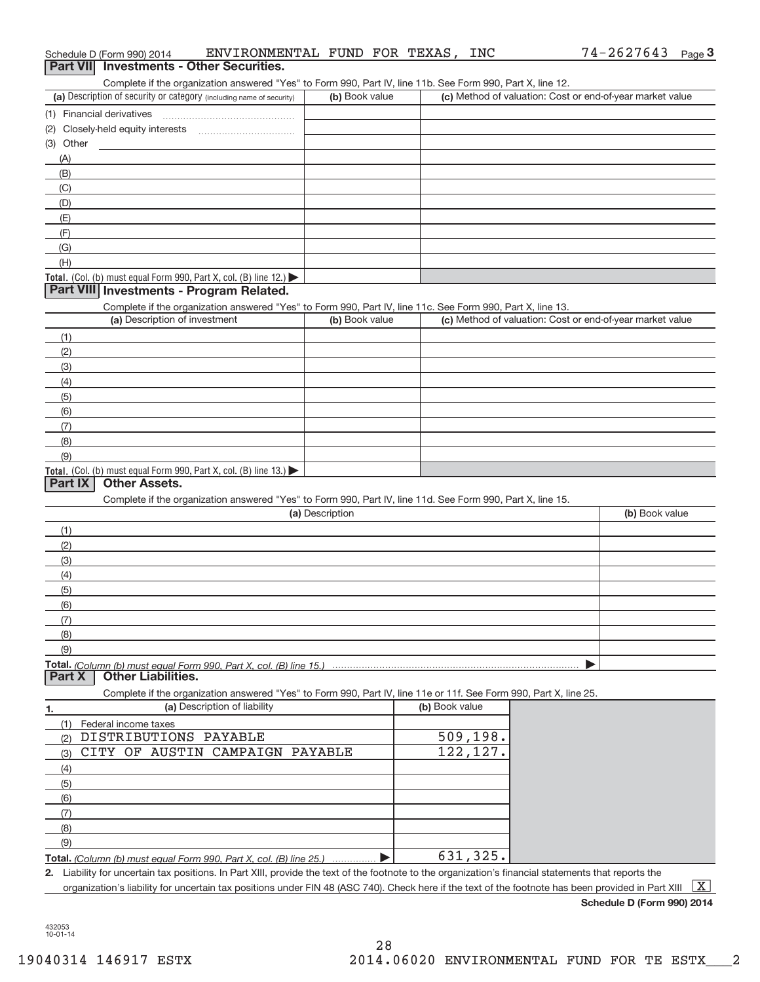| (1) Financial derivatives                                                                                                                            |                |                |                                                           |
|------------------------------------------------------------------------------------------------------------------------------------------------------|----------------|----------------|-----------------------------------------------------------|
|                                                                                                                                                      |                |                |                                                           |
| (3) Other                                                                                                                                            |                |                |                                                           |
| (A)                                                                                                                                                  |                |                |                                                           |
| (B)                                                                                                                                                  |                |                |                                                           |
| (C)                                                                                                                                                  |                |                |                                                           |
| (D)                                                                                                                                                  |                |                |                                                           |
| (E)                                                                                                                                                  |                |                |                                                           |
| (F)                                                                                                                                                  |                |                |                                                           |
| (G)                                                                                                                                                  |                |                |                                                           |
| (H)                                                                                                                                                  |                |                |                                                           |
| Total. (Col. (b) must equal Form 990, Part X, col. (B) line 12.)                                                                                     |                |                |                                                           |
| Part VIII Investments - Program Related.                                                                                                             |                |                |                                                           |
| Complete if the organization answered "Yes" to Form 990, Part IV, line 11c. See Form 990, Part X, line 13.                                           |                |                |                                                           |
| (a) Description of investment                                                                                                                        | (b) Book value |                | (c) Method of valuation: Cost or end-of-year market value |
| (1)                                                                                                                                                  |                |                |                                                           |
| (2)                                                                                                                                                  |                |                |                                                           |
| (3)                                                                                                                                                  |                |                |                                                           |
| (4)                                                                                                                                                  |                |                |                                                           |
| (5)                                                                                                                                                  |                |                |                                                           |
| (6)                                                                                                                                                  |                |                |                                                           |
| (7)                                                                                                                                                  |                |                |                                                           |
| (8)                                                                                                                                                  |                |                |                                                           |
| (9)                                                                                                                                                  |                |                |                                                           |
| <b>Total.</b> (Col. (b) must equal Form 990, Part X, col. (B) line $13.$                                                                             |                |                |                                                           |
| <b>Other Assets.</b><br>Part IX                                                                                                                      |                |                |                                                           |
| Complete if the organization answered "Yes" to Form 990, Part IV, line 11d. See Form 990, Part X, line 15.                                           |                |                |                                                           |
| (a) Description                                                                                                                                      |                |                | (b) Book value                                            |
| (1)                                                                                                                                                  |                |                |                                                           |
| (2)                                                                                                                                                  |                |                |                                                           |
| (3)                                                                                                                                                  |                |                |                                                           |
| (4)                                                                                                                                                  |                |                |                                                           |
| (5)                                                                                                                                                  |                |                |                                                           |
| (6)                                                                                                                                                  |                |                |                                                           |
| (7)                                                                                                                                                  |                |                |                                                           |
| (8)                                                                                                                                                  |                |                |                                                           |
| (9)                                                                                                                                                  |                |                |                                                           |
| Total. (Column (b) must equal Form 990. Part X. col. (B) line 15.) ……………………………………………………………………                                                        |                |                |                                                           |
| <b>Part X</b><br><b>Other Liabilities.</b>                                                                                                           |                |                |                                                           |
| Complete if the organization answered "Yes" to Form 990, Part IV, line 11e or 11f. See Form 990, Part X, line 25.                                    |                |                |                                                           |
| (a) Description of liability<br>1.                                                                                                                   |                | (b) Book value |                                                           |
| Federal income taxes<br>(1)                                                                                                                          |                |                |                                                           |
| DISTRIBUTIONS PAYABLE<br>(2)                                                                                                                         |                | 509, 198.      |                                                           |
| CITY OF AUSTIN CAMPAIGN PAYABLE<br>(3)                                                                                                               |                | 122, 127.      |                                                           |
| (4)                                                                                                                                                  |                |                |                                                           |
| (5)                                                                                                                                                  |                |                |                                                           |
| (6)                                                                                                                                                  |                |                |                                                           |
| (7)                                                                                                                                                  |                |                |                                                           |
| (8)                                                                                                                                                  |                |                |                                                           |
| (9)                                                                                                                                                  |                |                |                                                           |
| Total. (Column (b) must equal Form 990, Part X, col. (B) line 25.)                                                                                   |                | 631,325.       |                                                           |
| 2. Liability for uncertain tax positions. In Part XIII, provide the text of the footnote to the organization's financial statements that reports the |                |                |                                                           |
| organization's liability for uncertain tax positions under FIN 48 (ASC 740). Check here if the text of the footnote has been provided in Part XIII   |                |                | $\overline{\mathbf{X}}$                                   |

## **Schedule D (Form 990) 2014**

## Schedule D (Form 990) 2014 ENVIRONMENTAL FUND FOR TEXAS , INC 74-2627643 page

## **Part VII** Investments - Other Securities.

Complete if the organization answered "Yes" to Form 990, Part IV, line 11b. See Form 990, Part X, line 12.

(a) Description of security or category (including name of security) (b) Book value (c) Method of valuation: Cost or end-of-year market value

**3** 74‐2627643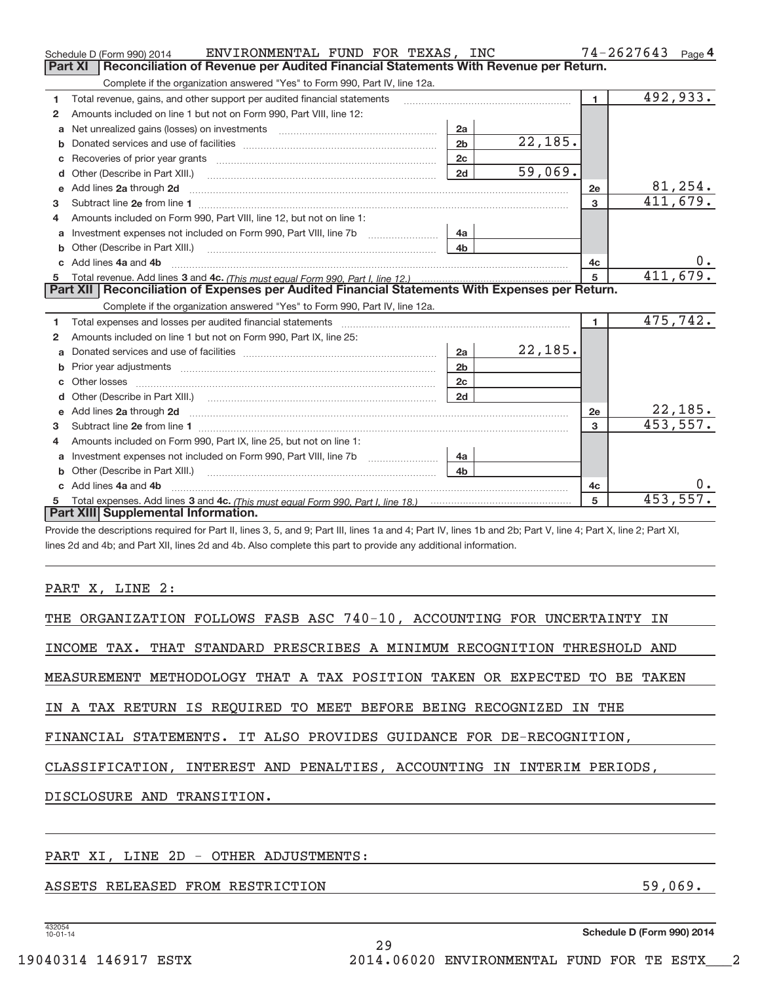|    | ENVIRONMENTAL FUND FOR TEXAS, INC<br>Schedule D (Form 990) 2014                                                                                                                                                                     |                |         |                | 74-2627643 | Page 4    |
|----|-------------------------------------------------------------------------------------------------------------------------------------------------------------------------------------------------------------------------------------|----------------|---------|----------------|------------|-----------|
|    | Reconciliation of Revenue per Audited Financial Statements With Revenue per Return.<br><b>Part XI</b>                                                                                                                               |                |         |                |            |           |
|    | Complete if the organization answered "Yes" to Form 990, Part IV, line 12a.                                                                                                                                                         |                |         |                |            | 492,933.  |
| 1  | Total revenue, gains, and other support per audited financial statements                                                                                                                                                            |                |         | $\blacksquare$ |            |           |
| 2  | Amounts included on line 1 but not on Form 990, Part VIII, line 12:                                                                                                                                                                 |                |         |                |            |           |
| a  | Net unrealized gains (losses) on investments [11] matter contracts and the unrealized gains (losses) on investments                                                                                                                 | 2a             |         |                |            |           |
| b  |                                                                                                                                                                                                                                     | 2 <sub>b</sub> | 22,185. |                |            |           |
| c  |                                                                                                                                                                                                                                     | 2 <sub>c</sub> |         |                |            |           |
| d  |                                                                                                                                                                                                                                     | 2d             | 59,069. |                |            |           |
| е  | Add lines 2a through 2d <b>contract and all anomalisation</b> and all anomalisation of the state of the state of the state of the state of the state of the state of the state of the state of the state of the state of the state  |                |         | 2e             |            | 81, 254.  |
| 3  |                                                                                                                                                                                                                                     |                |         | 3              |            | 411,679.  |
| 4  | Amounts included on Form 990, Part VIII, line 12, but not on line 1:                                                                                                                                                                |                |         |                |            |           |
| a  |                                                                                                                                                                                                                                     | 4a             |         |                |            |           |
| b  | Other (Describe in Part XIII.) <b>Construction</b> and the construction of the construction of the construction of the construction of the construction of the construction of the construction of the construction of the construc | 4b             |         |                |            |           |
| c. | Add lines 4a and 4b                                                                                                                                                                                                                 |                |         | 4c             |            | $0 \cdot$ |
|    |                                                                                                                                                                                                                                     |                |         | 5              |            | 411,679.  |
|    | Part XII   Reconciliation of Expenses per Audited Financial Statements With Expenses per Return.                                                                                                                                    |                |         |                |            |           |
|    | Complete if the organization answered "Yes" to Form 990, Part IV, line 12a.                                                                                                                                                         |                |         |                |            |           |
| 1  | Total expenses and losses per audited financial statements                                                                                                                                                                          |                |         | $\blacksquare$ |            | 475,742.  |
| 2  | Amounts included on line 1 but not on Form 990, Part IX, line 25:                                                                                                                                                                   |                |         |                |            |           |
| a  |                                                                                                                                                                                                                                     | 2a             | 22,185. |                |            |           |
| b  |                                                                                                                                                                                                                                     | 2 <sub>b</sub> |         |                |            |           |
| c  |                                                                                                                                                                                                                                     | 2c             |         |                |            |           |
|    |                                                                                                                                                                                                                                     | 2d             |         |                |            |           |
| e  |                                                                                                                                                                                                                                     |                |         | <b>2e</b>      |            | 22,185.   |
| 3  |                                                                                                                                                                                                                                     |                |         | 3              |            | 453,557.  |
| 4  | Amounts included on Form 990, Part IX, line 25, but not on line 1:                                                                                                                                                                  |                |         |                |            |           |
| a  |                                                                                                                                                                                                                                     | 4a             |         |                |            |           |
| b  |                                                                                                                                                                                                                                     | 4 <sub>h</sub> |         |                |            |           |
|    | c Add lines 4a and 4b                                                                                                                                                                                                               |                |         | 4c             |            | 0.        |
|    |                                                                                                                                                                                                                                     |                |         | 5              |            | 453,557.  |
|    | Part XIII Supplemental Information.                                                                                                                                                                                                 |                |         |                |            |           |
|    | Provide the descriptions required for Part II, lines 3, 5, and 9; Part III, lines 1a and 4; Part IV, lines 1b and 2b; Part V, line 4; Part X, line 2; Part XI,                                                                      |                |         |                |            |           |

lines 2d and 4b; and Part XII, lines 2d and 4b. Also complete this part to provide any additional information.

PART X, LINE 2:

| THE ORGANIZATION FOLLOWS FASB ASC 740-10, ACCOUNTING FOR UNCERTAINTY IN   |
|---------------------------------------------------------------------------|
| INCOME TAX. THAT STANDARD PRESCRIBES A MINIMUM RECOGNITION THRESHOLD AND  |
| MEASUREMENT METHODOLOGY THAT A TAX POSITION TAKEN OR EXPECTED TO BE TAKEN |
| IN A TAX RETURN IS REQUIRED TO MEET BEFORE BEING RECOGNIZED IN THE        |
| FINANCIAL STATEMENTS. IT ALSO PROVIDES GUIDANCE FOR DE-RECOGNITION,       |
| CLASSIFICATION, INTEREST AND PENALTIES, ACCOUNTING IN INTERIM PERIODS,    |
| DISCLOSURE AND TRANSITION.                                                |
|                                                                           |
|                                                                           |

29

PART XI, LINE 2D - OTHER ADJUSTMENTS:

ASSETS RELEASED FROM RESTRICTION 59,069.

432054 10‐01‐14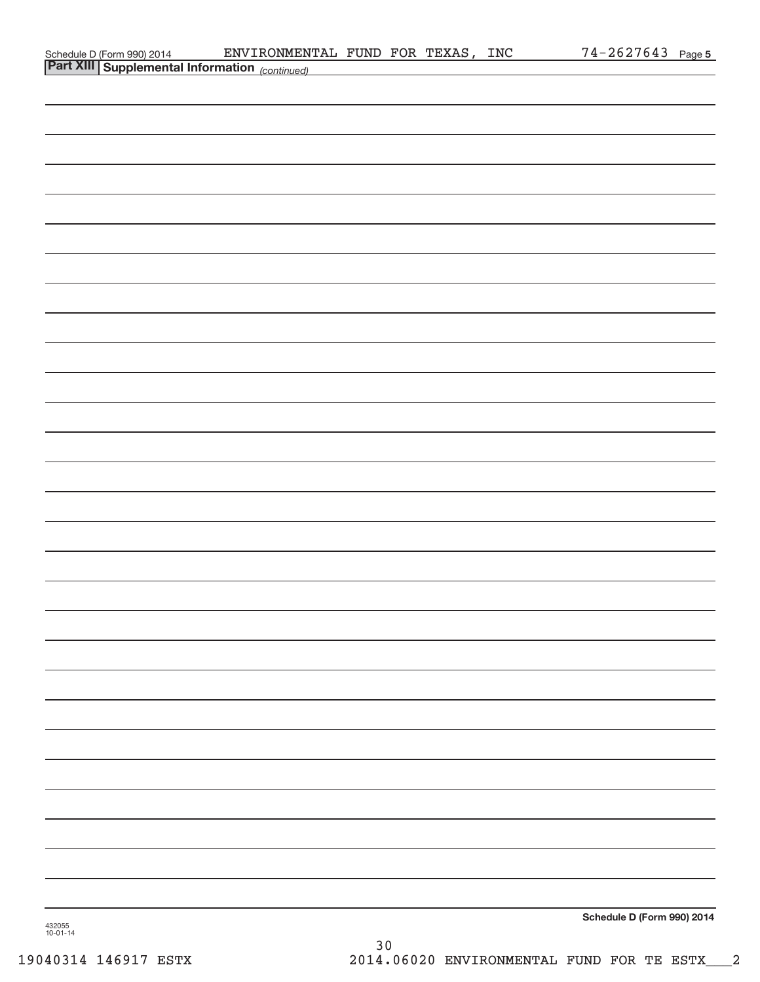|                    | ENVIRONMENTAL FUND FOR TEXAS, INC                                                                             |  |  | 74-2627643 Page 5          |  |
|--------------------|---------------------------------------------------------------------------------------------------------------|--|--|----------------------------|--|
|                    | Schedule D (Form 990) 2014 ENVIRONMEN'.<br><b>Part XIII   Supplemental Information</b> <sub>(continued)</sub> |  |  |                            |  |
|                    |                                                                                                               |  |  |                            |  |
|                    |                                                                                                               |  |  |                            |  |
|                    |                                                                                                               |  |  |                            |  |
|                    |                                                                                                               |  |  |                            |  |
|                    |                                                                                                               |  |  |                            |  |
|                    |                                                                                                               |  |  |                            |  |
|                    |                                                                                                               |  |  |                            |  |
|                    |                                                                                                               |  |  |                            |  |
|                    |                                                                                                               |  |  |                            |  |
|                    |                                                                                                               |  |  |                            |  |
|                    |                                                                                                               |  |  |                            |  |
|                    |                                                                                                               |  |  |                            |  |
|                    |                                                                                                               |  |  |                            |  |
|                    |                                                                                                               |  |  |                            |  |
|                    |                                                                                                               |  |  |                            |  |
|                    |                                                                                                               |  |  |                            |  |
|                    |                                                                                                               |  |  |                            |  |
|                    |                                                                                                               |  |  |                            |  |
|                    |                                                                                                               |  |  |                            |  |
|                    |                                                                                                               |  |  |                            |  |
|                    |                                                                                                               |  |  |                            |  |
|                    |                                                                                                               |  |  |                            |  |
|                    |                                                                                                               |  |  |                            |  |
|                    |                                                                                                               |  |  |                            |  |
|                    |                                                                                                               |  |  |                            |  |
|                    |                                                                                                               |  |  |                            |  |
|                    |                                                                                                               |  |  |                            |  |
|                    |                                                                                                               |  |  |                            |  |
|                    |                                                                                                               |  |  |                            |  |
|                    |                                                                                                               |  |  |                            |  |
|                    |                                                                                                               |  |  |                            |  |
|                    |                                                                                                               |  |  |                            |  |
|                    |                                                                                                               |  |  |                            |  |
|                    |                                                                                                               |  |  |                            |  |
|                    |                                                                                                               |  |  |                            |  |
|                    |                                                                                                               |  |  |                            |  |
|                    |                                                                                                               |  |  |                            |  |
|                    |                                                                                                               |  |  |                            |  |
| 432055<br>10-01-14 |                                                                                                               |  |  | Schedule D (Form 990) 2014 |  |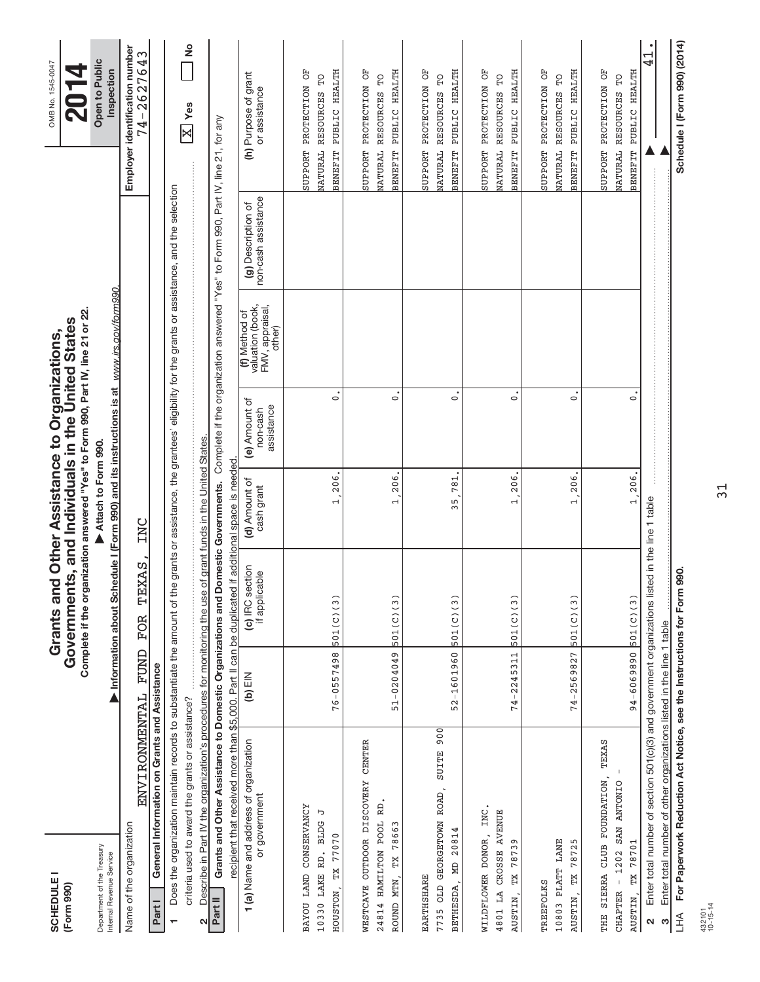| grants or assistance, the grantees' eligibility for the grants or assistance, and the selection<br>Information about Schedule I (Form 990) and its instructions is at www.irs.gov/form990<br>Complete if the organization answered "Yes" to Form 990, Part IV, line 21 or 22<br>Describe in Part IV the organization's procedures for monitoring the use of grant funds in the United States.<br>Attach to Form 990.<br>recipient that received more than \$5,000. Part II can be duplicated if additional space is needed<br>206<br>206<br>Grants and Other Assistance to Domestic Organizations and Domestic Governments.<br>(d) Amount of<br>cash grant<br>$\overline{1}$<br>$\overline{\phantom{0}}$<br>INC<br>TEXAS<br>(c) IRC section<br>if applicable<br>Does the organization maintain records to substantiate the amount of the<br>501(C)(3)<br>501(C)(3)<br><b>FOR</b><br>$51 - 0204049$<br>FUND<br>$76 - 0557498$ | $\dot{\circ}$<br>(e) Amount of<br>assistance<br>non-cash | (f) Method of<br>valuation (book,<br>FMV, appraisal,<br>other) | Complete if the organization answered "Yes" to Form 990, Part IV, line 21, for any<br>non-cash assistance<br>(g) Description of | <u>ខ</u><br>Employer identification number<br>74-2627643<br>Open to Public<br>Inspection<br>PUBLIC HEALTH<br>PROTECTION OF<br>PROTECTION OF<br>(h) Purpose of grant<br>RESOURCES TO<br>or assistance<br>$\boxed{\text{X}}$ Yes<br>SUPPORT<br>NATURAL<br><b>BENEFIT</b> |
|------------------------------------------------------------------------------------------------------------------------------------------------------------------------------------------------------------------------------------------------------------------------------------------------------------------------------------------------------------------------------------------------------------------------------------------------------------------------------------------------------------------------------------------------------------------------------------------------------------------------------------------------------------------------------------------------------------------------------------------------------------------------------------------------------------------------------------------------------------------------------------------------------------------------------|----------------------------------------------------------|----------------------------------------------------------------|---------------------------------------------------------------------------------------------------------------------------------|------------------------------------------------------------------------------------------------------------------------------------------------------------------------------------------------------------------------------------------------------------------------|
|                                                                                                                                                                                                                                                                                                                                                                                                                                                                                                                                                                                                                                                                                                                                                                                                                                                                                                                              |                                                          |                                                                |                                                                                                                                 |                                                                                                                                                                                                                                                                        |
|                                                                                                                                                                                                                                                                                                                                                                                                                                                                                                                                                                                                                                                                                                                                                                                                                                                                                                                              |                                                          |                                                                |                                                                                                                                 |                                                                                                                                                                                                                                                                        |
|                                                                                                                                                                                                                                                                                                                                                                                                                                                                                                                                                                                                                                                                                                                                                                                                                                                                                                                              |                                                          |                                                                |                                                                                                                                 |                                                                                                                                                                                                                                                                        |
|                                                                                                                                                                                                                                                                                                                                                                                                                                                                                                                                                                                                                                                                                                                                                                                                                                                                                                                              |                                                          |                                                                |                                                                                                                                 |                                                                                                                                                                                                                                                                        |
|                                                                                                                                                                                                                                                                                                                                                                                                                                                                                                                                                                                                                                                                                                                                                                                                                                                                                                                              |                                                          |                                                                |                                                                                                                                 |                                                                                                                                                                                                                                                                        |
|                                                                                                                                                                                                                                                                                                                                                                                                                                                                                                                                                                                                                                                                                                                                                                                                                                                                                                                              |                                                          |                                                                |                                                                                                                                 |                                                                                                                                                                                                                                                                        |
|                                                                                                                                                                                                                                                                                                                                                                                                                                                                                                                                                                                                                                                                                                                                                                                                                                                                                                                              |                                                          |                                                                |                                                                                                                                 |                                                                                                                                                                                                                                                                        |
|                                                                                                                                                                                                                                                                                                                                                                                                                                                                                                                                                                                                                                                                                                                                                                                                                                                                                                                              |                                                          |                                                                |                                                                                                                                 |                                                                                                                                                                                                                                                                        |
|                                                                                                                                                                                                                                                                                                                                                                                                                                                                                                                                                                                                                                                                                                                                                                                                                                                                                                                              |                                                          |                                                                |                                                                                                                                 |                                                                                                                                                                                                                                                                        |
|                                                                                                                                                                                                                                                                                                                                                                                                                                                                                                                                                                                                                                                                                                                                                                                                                                                                                                                              |                                                          |                                                                |                                                                                                                                 |                                                                                                                                                                                                                                                                        |
|                                                                                                                                                                                                                                                                                                                                                                                                                                                                                                                                                                                                                                                                                                                                                                                                                                                                                                                              |                                                          |                                                                |                                                                                                                                 |                                                                                                                                                                                                                                                                        |
|                                                                                                                                                                                                                                                                                                                                                                                                                                                                                                                                                                                                                                                                                                                                                                                                                                                                                                                              |                                                          |                                                                |                                                                                                                                 |                                                                                                                                                                                                                                                                        |
|                                                                                                                                                                                                                                                                                                                                                                                                                                                                                                                                                                                                                                                                                                                                                                                                                                                                                                                              |                                                          |                                                                |                                                                                                                                 |                                                                                                                                                                                                                                                                        |
|                                                                                                                                                                                                                                                                                                                                                                                                                                                                                                                                                                                                                                                                                                                                                                                                                                                                                                                              |                                                          |                                                                |                                                                                                                                 |                                                                                                                                                                                                                                                                        |
|                                                                                                                                                                                                                                                                                                                                                                                                                                                                                                                                                                                                                                                                                                                                                                                                                                                                                                                              |                                                          |                                                                |                                                                                                                                 | <b>SUPPORT</b>                                                                                                                                                                                                                                                         |
|                                                                                                                                                                                                                                                                                                                                                                                                                                                                                                                                                                                                                                                                                                                                                                                                                                                                                                                              |                                                          |                                                                |                                                                                                                                 | ÇЪ<br><b>RESOURCES</b><br>NATURAL                                                                                                                                                                                                                                      |
|                                                                                                                                                                                                                                                                                                                                                                                                                                                                                                                                                                                                                                                                                                                                                                                                                                                                                                                              | $\dot{\circ}$                                            |                                                                |                                                                                                                                 | PUBLIC HEALTH<br><b>BENEFIT</b>                                                                                                                                                                                                                                        |
|                                                                                                                                                                                                                                                                                                                                                                                                                                                                                                                                                                                                                                                                                                                                                                                                                                                                                                                              |                                                          |                                                                |                                                                                                                                 | PROTECTION OF<br><b>SUPPORT</b>                                                                                                                                                                                                                                        |
|                                                                                                                                                                                                                                                                                                                                                                                                                                                                                                                                                                                                                                                                                                                                                                                                                                                                                                                              |                                                          |                                                                |                                                                                                                                 | PО<br><b>RESOURCES</b><br><b>NATURAL</b>                                                                                                                                                                                                                               |
| 781<br>35<br>501(C)(3)<br>$52 - 1601960$                                                                                                                                                                                                                                                                                                                                                                                                                                                                                                                                                                                                                                                                                                                                                                                                                                                                                     | $\dot{\circ}$                                            |                                                                |                                                                                                                                 | PUBLIC HEALTH<br><b>BENEFIT</b>                                                                                                                                                                                                                                        |
|                                                                                                                                                                                                                                                                                                                                                                                                                                                                                                                                                                                                                                                                                                                                                                                                                                                                                                                              |                                                          |                                                                |                                                                                                                                 | PROTECTION OF<br><b>SUPPORT</b>                                                                                                                                                                                                                                        |
|                                                                                                                                                                                                                                                                                                                                                                                                                                                                                                                                                                                                                                                                                                                                                                                                                                                                                                                              |                                                          |                                                                |                                                                                                                                 | ÇЬ<br><b>RESOURCES</b><br>NATURAL                                                                                                                                                                                                                                      |
| 206<br>$\overline{\phantom{0}}$<br>501(C)(3)<br>$74 - 2245311$                                                                                                                                                                                                                                                                                                                                                                                                                                                                                                                                                                                                                                                                                                                                                                                                                                                               | $\dot{\circ}$                                            |                                                                |                                                                                                                                 | <b>HEALTH</b><br>PUBLIC<br><b>BENEFIT</b>                                                                                                                                                                                                                              |
|                                                                                                                                                                                                                                                                                                                                                                                                                                                                                                                                                                                                                                                                                                                                                                                                                                                                                                                              |                                                          |                                                                |                                                                                                                                 | PROTECTION OF<br>SUPPORT                                                                                                                                                                                                                                               |
|                                                                                                                                                                                                                                                                                                                                                                                                                                                                                                                                                                                                                                                                                                                                                                                                                                                                                                                              |                                                          |                                                                |                                                                                                                                 | PО<br><b>RESOURCES</b><br>NATURAL                                                                                                                                                                                                                                      |
| ,206<br>$\overline{a}$<br>501(C)(3)<br>74-2569827                                                                                                                                                                                                                                                                                                                                                                                                                                                                                                                                                                                                                                                                                                                                                                                                                                                                            | $\dot{\circ}$                                            |                                                                |                                                                                                                                 | PUBLIC HEALTH<br><b>BENEFIT</b>                                                                                                                                                                                                                                        |
|                                                                                                                                                                                                                                                                                                                                                                                                                                                                                                                                                                                                                                                                                                                                                                                                                                                                                                                              |                                                          |                                                                |                                                                                                                                 | PROTECTION OF<br>SUPPORT                                                                                                                                                                                                                                               |
|                                                                                                                                                                                                                                                                                                                                                                                                                                                                                                                                                                                                                                                                                                                                                                                                                                                                                                                              |                                                          |                                                                |                                                                                                                                 | С.<br><b>RESOURCES</b><br><b>NATURAL</b>                                                                                                                                                                                                                               |
| 1,206<br>$94 - 6069890$ $501(C)(3)$                                                                                                                                                                                                                                                                                                                                                                                                                                                                                                                                                                                                                                                                                                                                                                                                                                                                                          | $\circ$                                                  |                                                                |                                                                                                                                 | <b>HEALTH</b><br>PUBLIC<br><b>BENEFIT</b>                                                                                                                                                                                                                              |
|                                                                                                                                                                                                                                                                                                                                                                                                                                                                                                                                                                                                                                                                                                                                                                                                                                                                                                                              |                                                          |                                                                |                                                                                                                                 | 41.                                                                                                                                                                                                                                                                    |
|                                                                                                                                                                                                                                                                                                                                                                                                                                                                                                                                                                                                                                                                                                                                                                                                                                                                                                                              |                                                          |                                                                |                                                                                                                                 |                                                                                                                                                                                                                                                                        |
| Enter total number of other organizations listed in the line 1 table                                                                                                                                                                                                                                                                                                                                                                                                                                                                                                                                                                                                                                                                                                                                                                                                                                                         |                                                          |                                                                |                                                                                                                                 | Schedule I (Form 990) (2014)                                                                                                                                                                                                                                           |
| Enter total number of section 501(c)(3) and government organizations listed in the line 1 table                                                                                                                                                                                                                                                                                                                                                                                                                                                                                                                                                                                                                                                                                                                                                                                                                              |                                                          |                                                                |                                                                                                                                 |                                                                                                                                                                                                                                                                        |

LHA<br>432101<br>10-15-14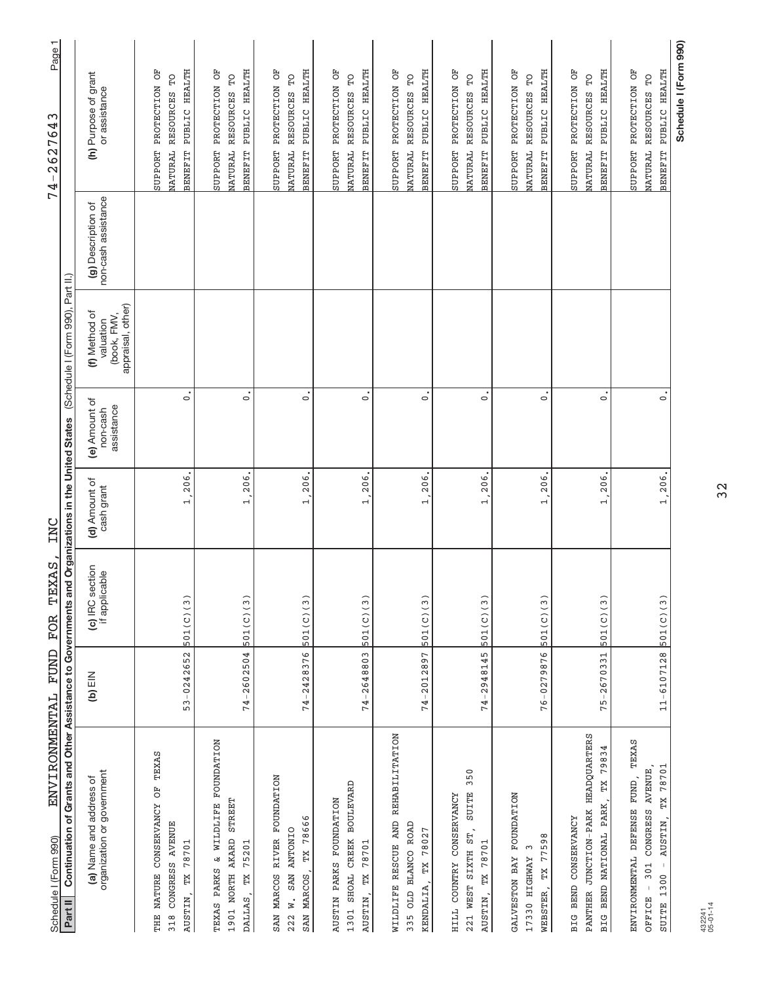| ENVIRONMENTAL<br>Schedule I (Form 990)                                                                                   | FUND                            | TEXAS,<br><b>FOR</b>             | INC                             |                                         |                                                                | L                                         | Page <sup>-</sup><br>S<br>4<br>26276<br>$\overline{\phantom{a}}$<br>4                                          |
|--------------------------------------------------------------------------------------------------------------------------|---------------------------------|----------------------------------|---------------------------------|-----------------------------------------|----------------------------------------------------------------|-------------------------------------------|----------------------------------------------------------------------------------------------------------------|
| Continuation of Grants and Other Assistance to Governments and Organizations in the United States<br>Part II             |                                 |                                  |                                 |                                         | (Schedule I (Form 990), Part II.)                              |                                           |                                                                                                                |
| organization or government<br>(a) Name and address of                                                                    | $(b)$ EIN                       | (c) IRC section<br>if applicable | (d) Amount of<br>cash grant     | (e) Amount of<br>assistance<br>non-cash | appraisal, other)<br>(f) Method of<br>(book, FMV,<br>valuation | non-cash assistance<br>(g) Description of | (h) Purpose of grant<br>or assistance                                                                          |
| THE NATURE CONSERVANCY OF TEXAS<br><b>AVENUE</b><br>78701<br>CONGRESS<br>TX<br><b>AUSTIN</b><br>318                      | 53-0242652                      | 501(C)(3)                        | 206.<br>$\overline{ }$          | $\dot{\circ}$                           |                                                                |                                           | PUBLIC HEALTH<br>PROTECTION OF<br>PО<br><b>RESOURCES</b><br><b>SUPPORT</b><br><b>NATURAL</b><br><b>BENEFIT</b> |
| <b>FOUNDATION</b><br>STREET<br>EAITTLIN 3<br>1901 NORTH AKARD<br>75201<br>TEXAS PARKS<br>ТX<br><b>DALLAS</b>             | $74 - 2602504$                  | 501(C)(3)                        | 206<br>$\overline{a}$           | $\dot{\circ}$                           |                                                                |                                           | PUBLIC HEALTH<br>PROTECTION OF<br>PО<br><b>RESOURCES</b><br>SUPPORT<br><b>BENEFIT</b><br>NATURAL               |
| <b>FOUNDATION</b><br>TX 78666<br>SAN ANTONIO<br><b>RIVER</b><br>SAN MARCOS<br>SAN MARCOS<br>$\ddot{\mathbf{z}}$<br>222   | 74-2428376                      | 501(C)(3)                        | 206<br>$\overline{a}$           | $\dot{\circ}$                           |                                                                |                                           | PUBLIC HEALTH<br>PROTECTION OF<br>RESOURCES TO<br>SUPPORT<br><b>NATURAL</b><br><b>BENEFIT</b>                  |
| 1301 SHOAL CREEK BOULEVARD<br>AUSTIN PARKS FOUNDATION<br>78701<br>TX<br>AUSTIN,                                          | 74-2648803                      | 501(C)(3)                        | 206<br>$\overline{a}$           | $\dot{\circ}$                           |                                                                |                                           | SUPPORT PROTECTION OF<br>BENEFIT PUBLIC HEALTH<br>RESOURCES TO<br>NATURAL                                      |
| WILDLIFE RESCUE AND REHABILITATION<br>335 OLD BLANCO ROAD<br>78027<br>KENDALIA, TX                                       | $74 - 2012897$                  | 501(C)(3)                        | 1,206                           | $\dot{\circ}$                           |                                                                |                                           | PUBLIC HEALTH<br>PROTECTION OF<br>RESOURCES TO<br>SUPPORT<br><b>BENEFIT</b><br>NATURAL                         |
| 350<br><b>SUITE</b><br>HILL COUNTRY CONSERVANCY<br>221 WEST SIXTH ST,<br>TX 78701<br>AUSTIN,                             | $74 - 2948145$                  | 501(C)(3)                        | 206<br>$\overline{a}$           | $\dot{\circ}$                           |                                                                |                                           | PUBLIC HEALTH<br>SUPPORT PROTECTION OF<br>RESOURCES TO<br><b>NATURAL</b><br><b>BENEFIT</b>                     |
| GALVESTON BAY FOUNDATION<br>WEBSTER, TX 77598<br>17330 HIGHWAY                                                           | 76-0279876                      | 501(C)(3)                        | 206<br>$\overline{\phantom{0}}$ | $\dot{\circ}$                           |                                                                |                                           | PUBLIC HEALTH<br>SUPPORT PROTECTION OF<br>RESOURCES TO<br>BENEFIT<br>NATURAL                                   |
| PANTHER JUNCTION-PARK HEADQUARTERS<br>79834<br>TX<br>BIG BEND NATIONAL PARK,<br>BIG BEND CONSERVANCY                     | $5 - 2670331$<br>$\overline{ }$ | 501(C)(3)                        | 206<br>$\overline{a}$           | $\dot{\circ}$                           |                                                                |                                           | PUBLIC HEALTH<br>SUPPORT PROTECTION OF<br>RESOURCES TO<br><b>BENEFIT</b><br>NATURAL                            |
| TEXAS<br>TX 78701<br>CONGRESS AVENUE,<br>ENVIRONMENTAL DEFENSE FUND,<br>AUSTIN,<br>301<br>1300<br>OFFICE<br><b>SUITE</b> | $11 - 6107128$                  | 501(C)(3)                        | 1,206.                          | $\dot{\circ}$                           |                                                                |                                           | PUBLIC HEALTH<br>SUPPORT PROTECTION OF<br>RESOURCES TO<br><b>NATURAL</b><br><b>BENEFIT</b>                     |
|                                                                                                                          |                                 |                                  |                                 |                                         |                                                                |                                           | Schedule I (Form 990)                                                                                          |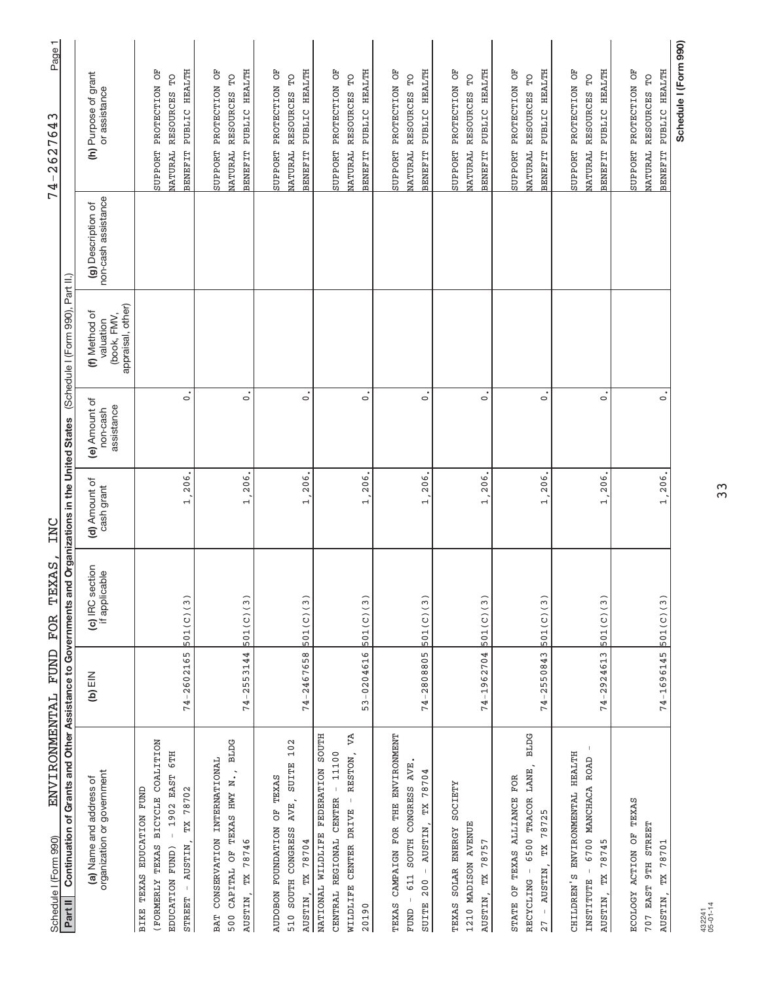| ENVIRONMENTAL<br>Schedule I (Form 990)                                                                                                                                    | FUND           | TEXAS,<br>FOR                    | INC                              |                                         |                                                                | L                                         | Page<br>S<br>4<br>26276<br>$\overline{\phantom{a}}$<br>4                                                | Π |
|---------------------------------------------------------------------------------------------------------------------------------------------------------------------------|----------------|----------------------------------|----------------------------------|-----------------------------------------|----------------------------------------------------------------|-------------------------------------------|---------------------------------------------------------------------------------------------------------|---|
| Continuation of Grants and Other Assistance to Governments and Organizations in the United States<br><b>Part II</b>                                                       |                |                                  |                                  |                                         | (Schedule I (Form 990), Part II.)                              |                                           |                                                                                                         |   |
| organization or government<br>(a) Name and address of                                                                                                                     | $(D)$ EIN      | (c) IRC section<br>if applicable | (d) Amount of<br>cash grant      | (e) Amount of<br>assistance<br>non-cash | appraisal, other)<br>(f) Method of<br>(book, FMV,<br>valuation | non-cash assistance<br>(g) Description of | (h) Purpose of grant<br>or assistance                                                                   |   |
| (FORMERLY TEXAS BICYCLE COALITION<br>6TH<br>EAST<br>TX 78702<br>BIKE TEXAS EDUCATION FUND<br>1902<br>$\bar{1}$<br><b>AUSTIN</b><br>EDUCATION FUND)<br>$\,$ $\,$<br>STREET | $74 - 2602165$ | 501(C)(3)                        | 206.<br>$\overline{ }$           | $\dot{\circ}$                           |                                                                |                                           | PUBLIC HEALTH<br>PROTECTION OF<br>Ρ,<br><b>RESOURCES</b><br>SUPPORT<br>NATURAL<br><b>BENEFIT</b>        |   |
| <b>BLDG</b><br>CONSERVATION INTERNATIONAL<br>CAPITAL OF TEXAS HWY N.,<br>78746<br>TX<br>AUSTIN,<br><b>BAT</b><br>500                                                      | $74 - 2553144$ | 501(C)(3)                        | 206.<br>$\overline{ }$           | $\dot{\circ}$                           |                                                                |                                           | PROTECTION OF<br>PUBLIC HEALTH<br>PО<br><b>RESOURCES</b><br><b>SUPPORT</b><br>NATURAL<br><b>BENEFIT</b> |   |
| SUITE 102<br>TEXAS<br>510 SOUTH CONGRESS AVE,<br>FOUNDATION OF<br>TX 78704<br><b>AUDOBON</b><br>AUSTIN,                                                                   | 74-2467658     | 501(C)(3)                        | 206.<br>$\overline{\phantom{0}}$ | $\dot{\circ}$                           |                                                                |                                           | PUBLIC HEALTH<br>PROTECTION OF<br>RESOURCES TO<br>SUPPORT<br>NATURAL<br><b>BENEFIT</b>                  |   |
| NATIONAL WILDLIFE FEDERATION SOUTH<br>VA<br>11100<br>RESTON,<br><b>CENTER</b><br>CENTER DRIVE<br>CENTRAL REGIONAL<br><b>MILDLIFE</b><br>20190                             | 53-0204616     | 501(C)(3)                        | 206.<br>$\overline{a}$           | $\dot{\circ}$                           |                                                                |                                           | PUBLIC HEALTH<br>PROTECTION OF<br>RESOURCES TO<br><b>SUPPORT</b><br><b>NATURAL</b><br><b>BENEFIT</b>    |   |
| ENVIRONMENT<br>611 SOUTH CONGRESS AVE.<br>AUSTIN, TX 78704<br>THE<br>CAMPAIGN FOR<br>$\mathsf I$<br>200<br>TEXAS<br><b>SUITE</b><br>FUND                                  | 74-2808805     | 501(C)(3)                        | 206<br>$\overline{a}$            | $\dot{\circ}$                           |                                                                |                                           | PUBLIC HEALTH<br>PROTECTION OF<br>RESOURCES TO<br><b>SUPPORT</b><br>NATURAL<br><b>BENEFIT</b>           |   |
| TEXAS SOLAR ENERGY SOCIETY<br>1210 MADISON AVENUE<br>TX 78757<br>AUSTIN,                                                                                                  | $74 - 1962704$ | 501(C)(3)                        | 206<br>$\overline{a}$            | $\dot{\circ}$                           |                                                                |                                           | SUPPORT PROTECTION OF<br>BENEFIT PUBLIC HEALTH<br>RESOURCES TO<br><b>NATURAL</b>                        |   |
| <b>BLDG</b><br>LANE,<br>STATE OF TEXAS ALLIANCE FOR<br>6500 TRACOR<br>TX 78725<br>AUSTIN,<br>RECYCLING -<br>$\mathbb{F}$<br>27                                            | $74 - 2550843$ | 501(C)(3)                        | 1,206                            | $\dot{\circ}$                           |                                                                |                                           | PUBLIC HEALTH<br>SUPPORT PROTECTION OF<br>RESOURCES TO<br>NATURAL<br><b>BENEFIT</b>                     |   |
| CHILDREN'S ENVIRONMENTAL HEALTH<br>6700 MANCHACA ROAD<br>TX 78745<br>INSTITUTE<br>AUSTIN,                                                                                 | $74 - 2924613$ | 501(C)(3)                        | 206.<br>$\overline{\phantom{0}}$ | $\dot{\circ}$                           |                                                                |                                           | PUBLIC HEALTH<br>SUPPORT PROTECTION OF<br>RESOURCES TO<br><b>BENEFIT</b><br><b>NATURAL</b>              |   |
| ECOLOGY ACTION OF TEXAS<br>707 EAST 9TH STREET<br>AUSTIN, TX 78701                                                                                                        | $74 - 1696145$ | 501(C)(3)                        | 1,206.                           | $\dot{\circ}$                           |                                                                |                                           | PUBLIC HEALTH<br>SUPPORT PROTECTION OF<br>RESOURCES TO<br><b>NATURAL</b><br><b>BENEFIT</b>              |   |
|                                                                                                                                                                           |                |                                  |                                  |                                         |                                                                |                                           | Schedule I (Form 990)                                                                                   |   |

432241 05‐01‐14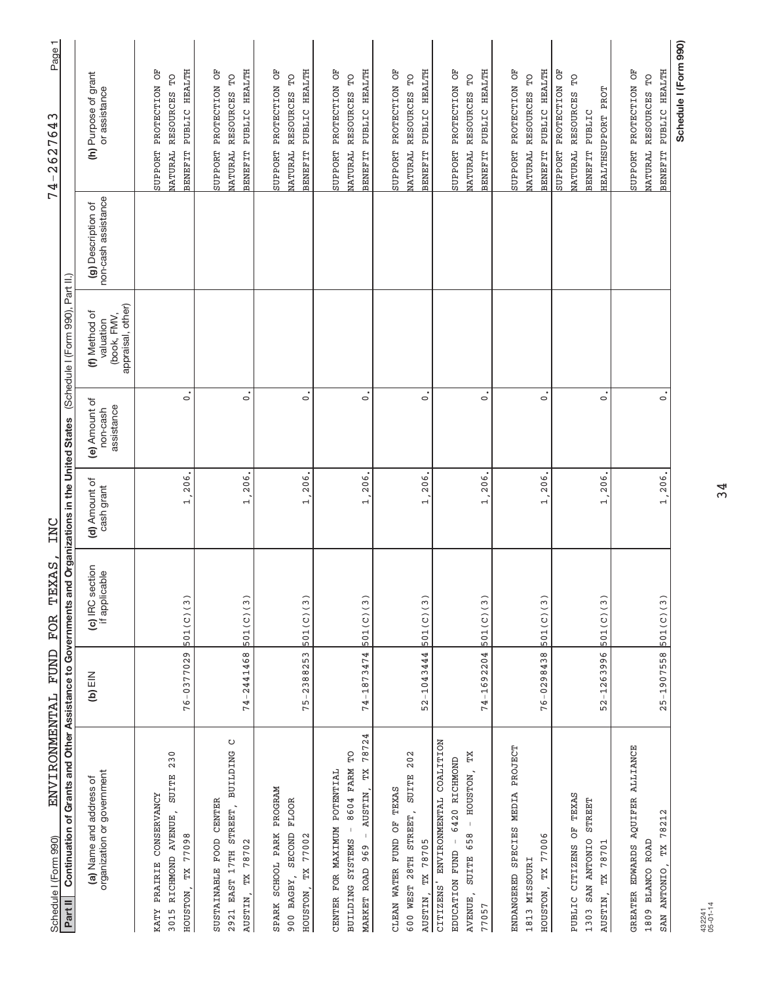| ENVIRONMENTAL<br>Schedule I (Form 990)                                                                                                                        | FUND                       | TEXAS,<br>FOR                    | INC                              |                                         |                                                                |                                           | Page 1<br>S<br>4<br>26276<br>-1<br>74                                                                    |
|---------------------------------------------------------------------------------------------------------------------------------------------------------------|----------------------------|----------------------------------|----------------------------------|-----------------------------------------|----------------------------------------------------------------|-------------------------------------------|----------------------------------------------------------------------------------------------------------|
| Continuation of Grants and Other Assistance to Governments and Organizations in the United States<br><b>Part II</b>                                           |                            |                                  |                                  |                                         | (Schedule I (Form 990), Part II.)                              |                                           |                                                                                                          |
| organization or government<br>(a) Name and address of                                                                                                         | $(b)$ EIN                  | (c) IRC section<br>if applicable | (d) Amount of<br>cash grant      | (e) Amount of<br>assistance<br>non-cash | appraisal, other)<br>(f) Method of<br>(book, FMV,<br>valuation | non-cash assistance<br>(g) Description of | (h) Purpose of grant<br>or assistance                                                                    |
| 230<br>RICHMOND AVENUE, SUITE<br>CONSERVANCY<br>77098<br>KATY PRAIRIE<br>$\overline{\text{TX}}$<br><b>HOUSTON</b><br>3015                                     | $76 - 0377029$             | 501(C)(3)                        | .206<br>$\overline{ }$           | $\dot{\circ}$                           |                                                                |                                           | PUBLIC HEALTH<br>PROTECTION OF<br>ΡÓ,<br><b>RESOURCES</b><br>SUPPORT<br><b>NATURAL</b><br><b>BENEFIT</b> |
| U<br>2921 EAST 17TH STREET, BUILDING<br>SUSTAINABLE FOOD CENTER<br>78702<br>TX<br>AUSTIN,                                                                     | $74 - 2441468$             | 501(C)(3)                        | 1,206                            | $\dot{\circ}$                           |                                                                |                                           | PUBLIC HEALTH<br>PROTECTION OF<br>PО<br><b>RESOURCES</b><br><b>SUPPORT</b><br>NATURAL<br><b>BENEFIT</b>  |
| PROGRAM<br><b>FLOOR</b><br><b>SECOND</b><br>SPARK SCHOOL PARK<br>TX 77002<br>900 BAGBY,<br>HOUSTON,                                                           | $75 - 2388253$ $501(C)(3)$ |                                  | ,206<br>$\overline{\phantom{0}}$ | $\dot{\circ}$                           |                                                                |                                           | PUBLIC HEALTH<br>PROTECTION OF<br>RESOURCES TO<br>SUPPORT<br>NATURAL<br><b>BENEFIT</b>                   |
| 78724<br>8604 FARM TO<br>TX<br>FOR MAXIMUM POTENTIAL<br>AUSTIN,<br>$\,$ $\,$<br>$\mathsf I$<br>BUILDING SYSTEMS<br>MARKET ROAD 969<br><b>CENTER</b>           | 74-1873474                 | 501(C)(3)                        | 1,206                            | $\dot{\circ}$                           |                                                                |                                           | PUBLIC HEALTH<br>PROTECTION OF<br>RESOURCES TO<br>SUPPORT<br><b>BENEFIT</b><br>NATURAL                   |
| 202<br><b>SUITE</b><br>OF TEXAS<br>600 WEST 28TH STREET,<br>CLEAN WATER FUND<br>TX 78705<br>AUSTIN,                                                           | $52 - 1043444$ $501(C)(3)$ |                                  | 1,206                            | $\dot{\circ}$                           |                                                                |                                           | PUBLIC HEALTH<br>PROTECTION OF<br>NATURAL RESOURCES TO<br>SUPPORT<br><b>BENEFIT</b>                      |
| CITIZENS' ENVIRONMENTAL COALITION<br>$\mathbb{T} \mathbb{X}$<br>6420 RICHMOND<br>$-$ HOUSTON,<br>SUITE 658<br>$\,$ $\,$<br>EDUCATION FUND<br>AVENUE,<br>77057 | $74 - 1692204$             | 501(C)(3)                        | 206<br>$\overline{a}$            | $\dot{\circ}$                           |                                                                |                                           | SUPPORT PROTECTION OF<br>BENEFIT PUBLIC HEALTH<br>NATURAL RESOURCES TO                                   |
| ENDANGERED SPECIES MEDIA PROJECT<br>TX 77006<br>1813 MISSOURI<br>HOUSTON,                                                                                     | 76-0298438                 | 501(C)(3)                        | 1,206                            | $\dot{\circ}$                           |                                                                |                                           | PUBLIC HEALTH<br>SUPPORT PROTECTION OF<br>RESOURCES TO<br><b>NATURAL</b><br><b>BENEFIT</b>               |
| PUBLIC CITIZENS OF TEXAS<br>STREET<br>1303 SAN ANTONIO<br>TX 78701<br>AUSTIN,                                                                                 | 52-1263996                 | 501(C)(3)                        | 206<br>$\overline{a}$            | $\dot{\circ}$                           |                                                                |                                           | PROTECTION OF<br>NATURAL RESOURCES TO<br>HEALTHSUPPORT PROT<br>BENEFIT PUBLIC<br>SUPPORT                 |
| GREATER EDWARDS AQUIFER ALLIANCE<br>SAN ANTONIO, TX 78212<br>1809 BLANCO ROAD                                                                                 | $25 - 1907558$ $501(C)(3)$ |                                  | 1,206.                           | $\dot{\circ}$                           |                                                                |                                           | PUBLIC HEALTH<br>SUPPORT PROTECTION OF<br>RESOURCES TO<br>NATURAL<br><b>BENEFIT</b>                      |
|                                                                                                                                                               |                            |                                  |                                  |                                         |                                                                |                                           | Schedule I (Form 990)                                                                                    |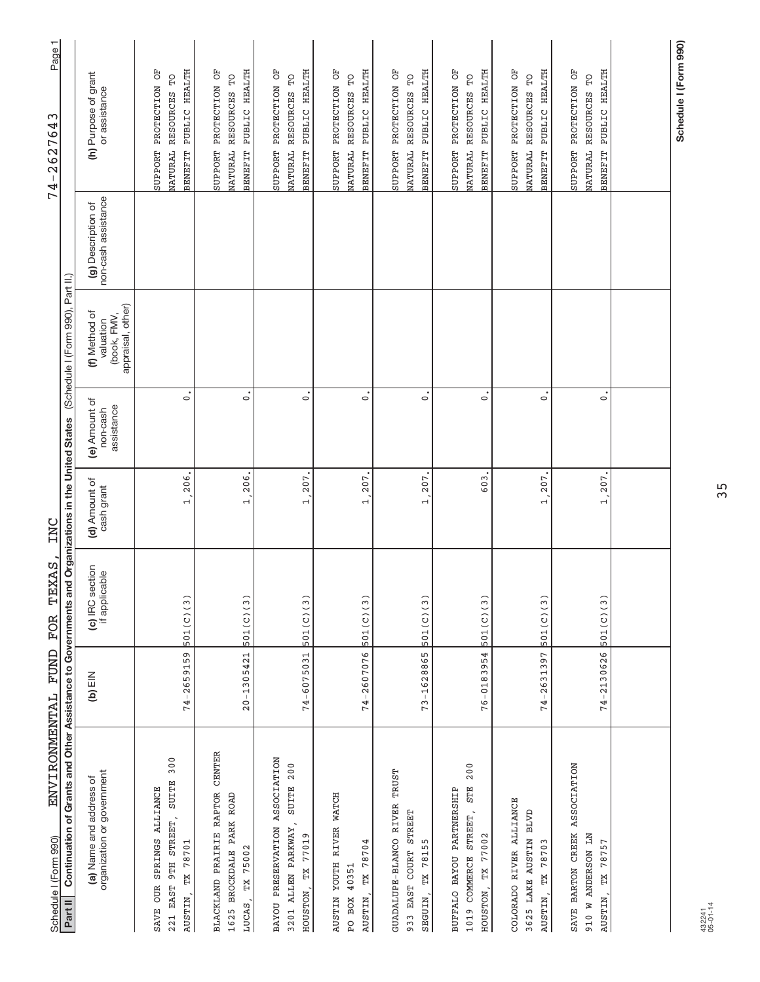| <b>ENVIRONMENTAL</b><br>Schedule I (Form 990)                                                                                                  | FUND                         | FOR TEXAS,                       | INC                              |                                         |                                                                |                                           | Page 1<br>S<br>$\overline{4}$<br>26276<br>$\overline{\phantom{a}}$<br>74                                |  |
|------------------------------------------------------------------------------------------------------------------------------------------------|------------------------------|----------------------------------|----------------------------------|-----------------------------------------|----------------------------------------------------------------|-------------------------------------------|---------------------------------------------------------------------------------------------------------|--|
| Continuation of Grants and Other Assistance to Governments and Organizations in the United States (Schedule I (Form 990), Part II.)<br>Part II |                              |                                  |                                  |                                         |                                                                |                                           |                                                                                                         |  |
| organization or government<br>(a) Name and address of                                                                                          | $(D)$ EIN                    | (c) IRC section<br>if applicable | (d) Amount of<br>cash grant      | (e) Amount of<br>assistance<br>non-cash | appraisal, other)<br>(f) Method of<br>(book, FMV,<br>valuation | (g) Description of<br>non-cash assistance | (h) Purpose of grant<br>or assistance                                                                   |  |
| 300<br>9TH STREET, SUITE<br>SPRINGS ALLIANCE<br>TX 78701<br>221 EAST<br>SAVE OUR<br><b>AUSTIN</b>                                              | $74 - 2659159$               | 501(C)(3)                        | 206<br>$\overline{ }$            | $\dot{\circ}$                           |                                                                |                                           | PUBLIC HEALTH<br>PROTECTION OF<br>RESOURCES TO<br>SUPPORT<br><b>NATURAL</b><br><b>BENEFIT</b>           |  |
| <b>CENTER</b><br>BLACKLAND PRAIRIE RAPTOR<br>1625 BROCKDALE PARK ROAD<br>TX 75002<br>LUCAS,                                                    | $20 - 1305421$               | 501(C)(3)                        | 206.<br>$\overline{a}$           | $\mathbf{c}$                            |                                                                |                                           | PROTECTION OF<br>PUBLIC HEALTH<br>PО<br><b>RESOURCES</b><br>SUPPORT<br><b>BENEFIT</b><br><b>NATURAL</b> |  |
| BAYOU PRESERVATION ASSOCIATION<br>200<br><b>SUITE</b><br>3201 ALLEN PARKWAY,<br>TX 77019<br>HOUSTON                                            | $74 - 6075031$ $501$ (C) (3) |                                  | .207<br>$\overline{\phantom{0}}$ | $\dot{\circ}$                           |                                                                |                                           | PUBLIC HEALTH<br>PROTECTION OF<br>RESOURCES TO<br>SUPPORT<br><b>NATURAL</b><br><b>BENEFIT</b>           |  |
| AUSTIN YOUTH RIVER WATCH<br>TX 78704<br>40351<br>PO BOX<br><b>AUSTIN</b>                                                                       | 74-2607076                   | 501(C)(3)                        | 207<br>$\overline{\phantom{0}}$  | $\dot{\circ}$                           |                                                                |                                           | PUBLIC HEALTH<br>PROTECTION OF<br>RESOURCES TO<br><b>BENEFIT</b><br><b>SUPPORT</b><br>NATURAL           |  |
| TRUST<br>GUADALUPE-BLANCO RIVER<br>933 EAST COURT STREET<br>TX 78155<br>SEGUIN,                                                                | $73 - 1628865$ $501(C)(3)$   |                                  | 1,207                            | $\dot{\circ}$                           |                                                                |                                           | PUBLIC HEALTH<br>PROTECTION OF<br>NATURAL RESOURCES TO<br><b>BENEFIT</b><br><b>SUPPORT</b>              |  |
| 200<br><b>STE</b><br>BUFFALO BAYOU PARTNERSHIP<br>1019 COMMERCE STREET,<br>HOUSTON, TX 77002                                                   | $76 - 0183954$               | 501(C)(3)                        | 603                              | $\dot{\circ}$                           |                                                                |                                           | SUPPORT PROTECTION OF<br>PUBLIC HEALTH<br>RESOURCES TO<br>NATURAL<br><b>BENEFIT</b>                     |  |
| COLORADO RIVER ALLIANCE<br>3625 LAKE AUSTIN BLVD<br>TX 78703<br>AUSTIN,                                                                        | $74 - 2631397$               | 501(C)(3)                        | 207<br>$\overline{a}$            | $\dot{\circ}$                           |                                                                |                                           | SUPPORT PROTECTION OF<br>PUBLIC HEALTH<br>RESOURCES TO<br><b>BENEFIT</b><br><b>NATURAL</b>              |  |
| SAVE BARTON CREEK ASSOCIATION<br>910 W ANDERSON LN<br>TX 78757<br>AUSTIN,                                                                      | 74-2130626                   | 501(C)(3)                        | 207<br>$\overline{\phantom{0}}$  | $\dot{\circ}$                           |                                                                |                                           | SUPPORT PROTECTION OF<br>PUBLIC HEALTH<br><b>NATURAL RESOURCES TO</b><br>BENEFIT                        |  |
|                                                                                                                                                |                              |                                  |                                  |                                         |                                                                |                                           |                                                                                                         |  |
|                                                                                                                                                |                              |                                  |                                  |                                         |                                                                |                                           | Schedule I (Form 990)                                                                                   |  |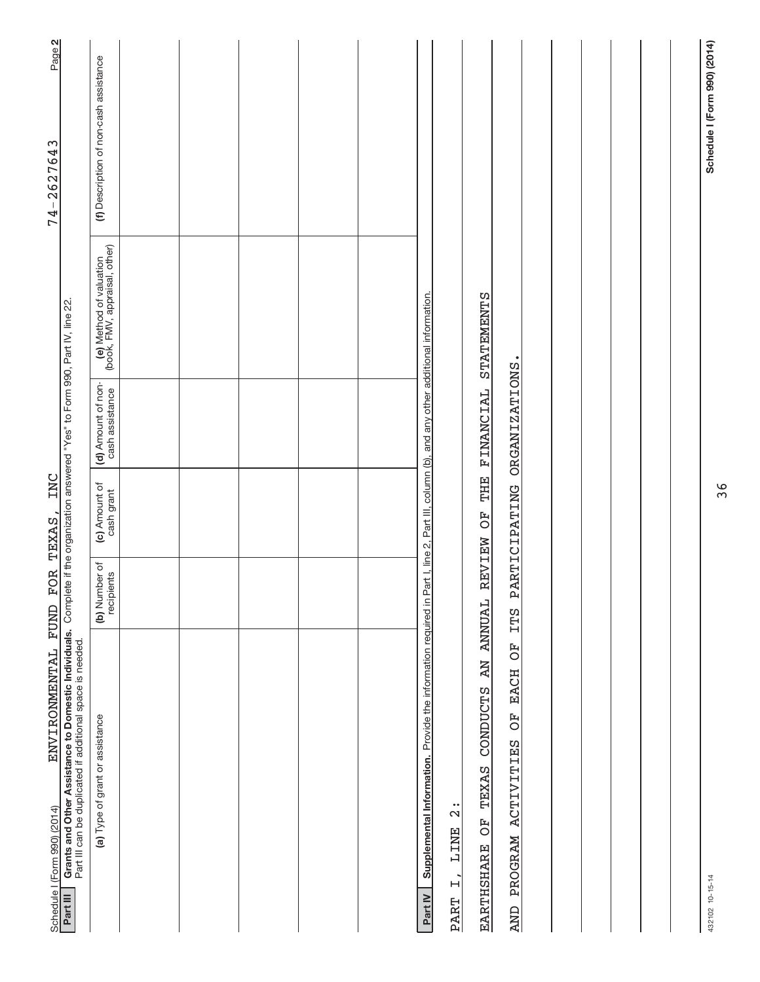| ENVIRONMENTAL FUND FOR TEXAS,<br>Schedule I (Form 990) (2014)                                                                                                                                            |                             | INC                         |                                       |                                                          | Page 2<br>74-2627643                   |
|----------------------------------------------------------------------------------------------------------------------------------------------------------------------------------------------------------|-----------------------------|-----------------------------|---------------------------------------|----------------------------------------------------------|----------------------------------------|
| Grants and Other Assistance to Domestic Individuals. Complete if the organization answered "Yes" to Form 990, Part IV, line 22.<br>Part III can be duplicated if additional space is needed.<br>Part III |                             |                             |                                       |                                                          |                                        |
| (a) Type of grant or assistance                                                                                                                                                                          | (b) Number of<br>recipients | (c) Amount of<br>cash grant | (d) Amount of non-<br>cash assistance | (e) Method of valuation<br>(book, FMV, appraisal, other) | (f) Description of non-cash assistance |
|                                                                                                                                                                                                          |                             |                             |                                       |                                                          |                                        |
|                                                                                                                                                                                                          |                             |                             |                                       |                                                          |                                        |
|                                                                                                                                                                                                          |                             |                             |                                       |                                                          |                                        |
|                                                                                                                                                                                                          |                             |                             |                                       |                                                          |                                        |
|                                                                                                                                                                                                          |                             |                             |                                       |                                                          |                                        |
| Supplemental Information. Provide the information required in Part I, line 2, Part III, column (b), and any other additional information.<br>Part IV                                                     |                             |                             |                                       |                                                          |                                        |
| $\frac{1}{2}$<br><b>LINE</b><br>$\vdash$<br><b>PART</b>                                                                                                                                                  |                             |                             |                                       |                                                          |                                        |
| KK<br>CONDUCTS<br>TEXAS<br>FO <sub>D</sub><br><b>EARTHSHARE</b>                                                                                                                                          | REVIEW<br><b>ANNUAL</b>     | THE<br>FO <sub>D</sub>      | FINANCIAL                             | STATEMENTS                                               |                                        |
| AND PROGRAM ACTIVITIES OF EACH OF                                                                                                                                                                        | <b>TTS</b>                  |                             | PARTICIPATING ORGANIZATIONS.          |                                                          |                                        |
|                                                                                                                                                                                                          |                             |                             |                                       |                                                          |                                        |
|                                                                                                                                                                                                          |                             |                             |                                       |                                                          |                                        |
|                                                                                                                                                                                                          |                             |                             |                                       |                                                          |                                        |
|                                                                                                                                                                                                          |                             |                             |                                       |                                                          |                                        |
|                                                                                                                                                                                                          |                             |                             |                                       |                                                          |                                        |
| 432102 10-15-14                                                                                                                                                                                          |                             |                             |                                       |                                                          | Schedule I (Form 990) (2014)           |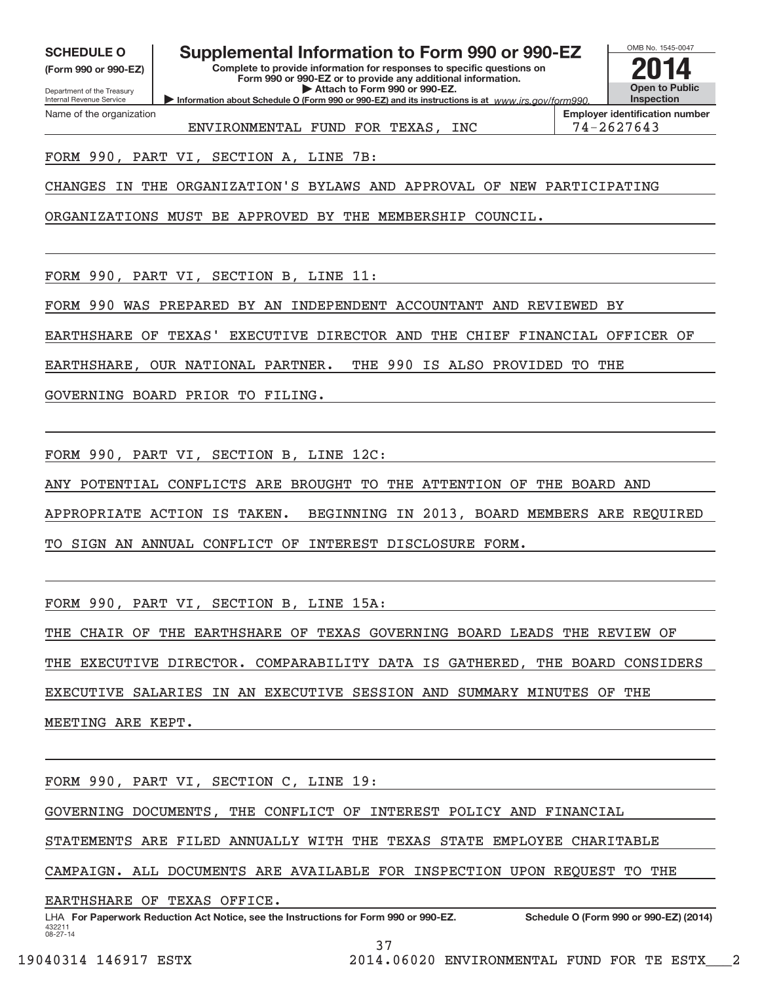OMB No. 1545‐0047 Department of the Treasury Internal Revenue Service **Information about Schedule O (Form 990 or 990-EZ) and its instructions is at**  $www.irs.gov/form990$ **. Complete to provide information for responses to specific questions on Form 990 or 990‐EZ or to provide any additional information. | Attach to Form 990 or 990‐EZ. (Form 990 or 990‐EZ) Open to Public Inspection Employer identification number** Name of the organization **SCHEDULE O Supplemental Information to Form 990 or 990‐EZ 2014** FORM 990, PART VI, SECTION A, LINE 7B: CHANGES IN THE ORGANIZATION'S BYLAWS AND APPROVAL OF NEW PARTICIPATING ORGANIZATIONS MUST BE APPROVED BY THE MEMBERSHIP COUNCIL. FORM 990, PART VI, SECTION B, LINE 11: ENVIRONMENTAL FUND FOR TEXAS, INC 74-2627643

FORM 990 WAS PREPARED BY AN INDEPENDENT ACCOUNTANT AND REVIEWED BY

EARTHSHARE OF TEXAS' EXECUTIVE DIRECTOR AND THE CHIEF FINANCIAL OFFICER OF

EARTHSHARE, OUR NATIONAL PARTNER. THE 990 IS ALSO PROVIDED TO THE

GOVERNING BOARD PRIOR TO FILING.

FORM 990, PART VI, SECTION B, LINE 12C:

ANY POTENTIAL CONFLICTS ARE BROUGHT TO THE ATTENTION OF THE BOARD AND

APPROPRIATE ACTION IS TAKEN. BEGINNING IN 2013, BOARD MEMBERS ARE REQUIRED

TO SIGN AN ANNUAL CONFLICT OF INTEREST DISCLOSURE FORM.

FORM 990, PART VI, SECTION B, LINE 15A:

THE CHAIR OF THE EARTHSHARE OF TEXAS GOVERNING BOARD LEADS THE REVIEW OF

THE EXECUTIVE DIRECTOR. COMPARABILITY DATA IS GATHERED, THE BOARD CONSIDERS

EXECUTIVE SALARIES IN AN EXECUTIVE SESSION AND SUMMARY MINUTES OF THE

MEETING ARE KEPT.

FORM 990, PART VI, SECTION C, LINE 19:

GOVERNING DOCUMENTS, THE CONFLICT OF INTEREST POLICY AND FINANCIAL

STATEMENTS ARE FILED ANNUALLY WITH THE TEXAS STATE EMPLOYEE CHARITABLE

CAMPAIGN. ALL DOCUMENTS ARE AVAILABLE FOR INSPECTION UPON REQUEST TO THE

EARTHSHARE OF TEXAS OFFICE.

432211 08‐27‐14 **For Paperwork Reduction Act Notice, see the Instructions for Form 990 or 990‐EZ. Schedule O (Form 990 or 990‐EZ) (2014)** LHA

19040314 146917 ESTX 2014.06020 ENVIRONMENTAL FUND FOR TE ESTX\_\_\_2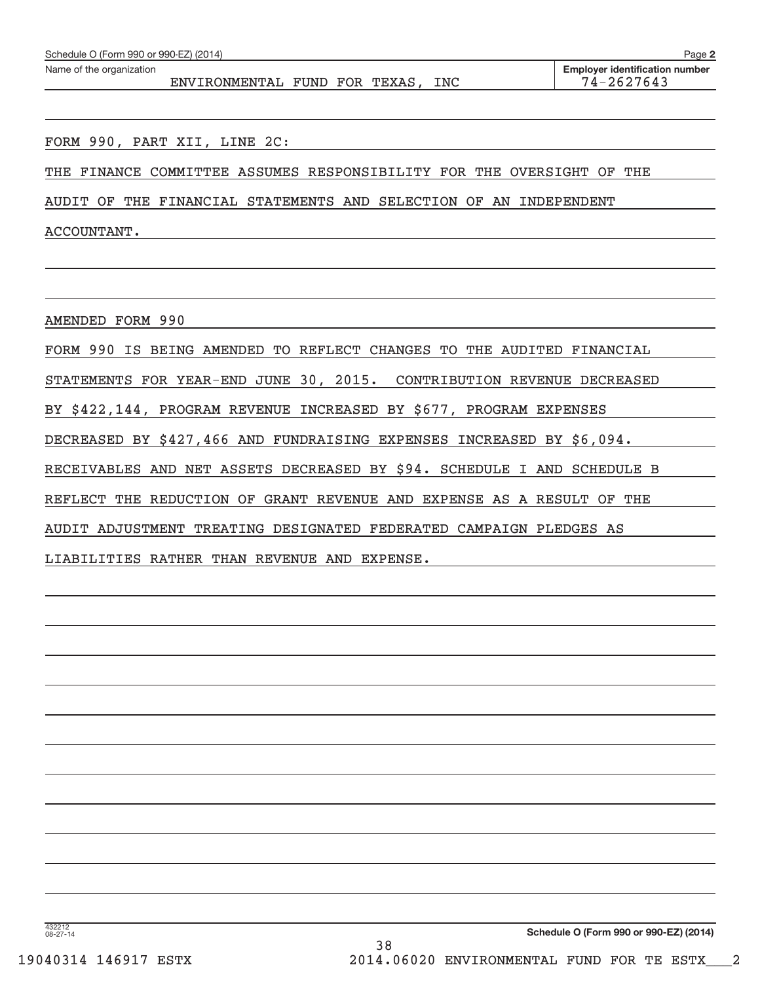| Schedule O (Form 990 or 990-EZ) (2014) |                              |     | Page 2                                              |
|----------------------------------------|------------------------------|-----|-----------------------------------------------------|
| Name of the organization               | ENVIRONMENTAL FUND FOR TEXAS | INC | <b>Employer identification number</b><br>74-2627643 |
|                                        |                              |     |                                                     |

FORM 990, PART XII, LINE 2C:

THE FINANCE COMMITTEE ASSUMES RESPONSIBILITY FOR THE OVERSIGHT OF THE

AUDIT OF THE FINANCIAL STATEMENTS AND SELECTION OF AN INDEPENDENT

ACCOUNTANT.

AMENDED FORM 990

FORM 990 IS BEING AMENDED TO REFLECT CHANGES TO THE AUDITED FINANCIAL

STATEMENTS FOR YEAR‐END JUNE 30, 2015. CONTRIBUTION REVENUE DECREASED

BY \$422,144, PROGRAM REVENUE INCREASED BY \$677, PROGRAM EXPENSES

DECREASED BY \$427,466 AND FUNDRAISING EXPENSES INCREASED BY \$6,094.

RECEIVABLES AND NET ASSETS DECREASED BY \$94. SCHEDULE I AND SCHEDULE B

REFLECT THE REDUCTION OF GRANT REVENUE AND EXPENSE AS A RESULT OF THE

AUDIT ADJUSTMENT TREATING DESIGNATED FEDERATED CAMPAIGN PLEDGES AS

LIABILITIES RATHER THAN REVENUE AND EXPENSE.

432212 08‐27‐14